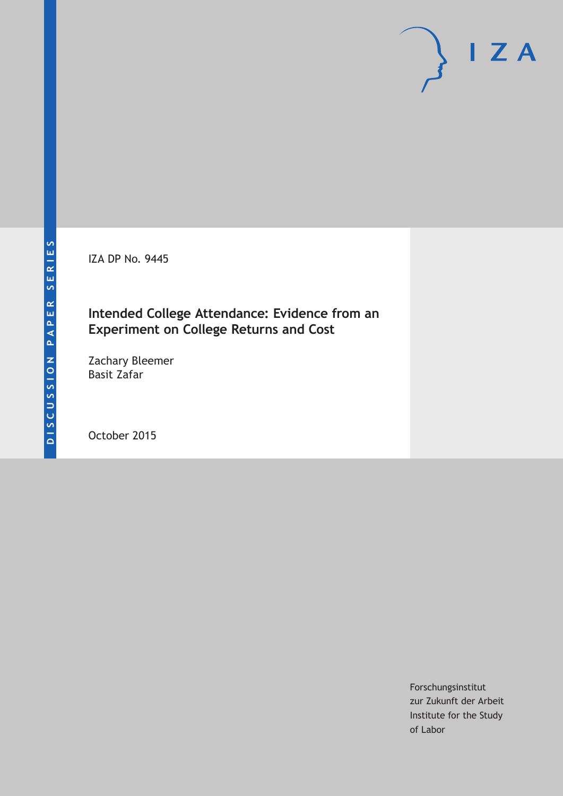IZA DP No. 9445

### **Intended College Attendance: Evidence from an Experiment on College Returns and Cost**

Zachary Bleemer Basit Zafar

October 2015

Forschungsinstitut zur Zukunft der Arbeit Institute for the Study of Labor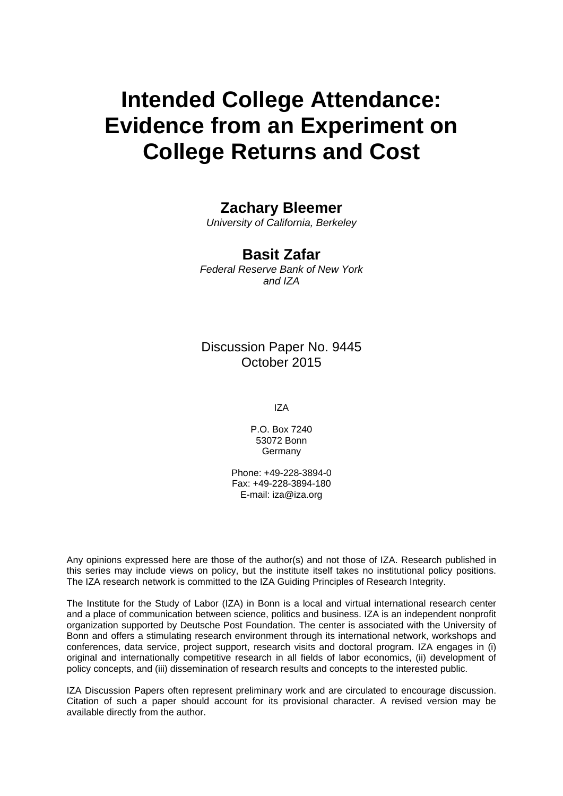# **Intended College Attendance: Evidence from an Experiment on College Returns and Cost**

### **Zachary Bleemer**

*University of California, Berkeley* 

#### **Basit Zafar**

*Federal Reserve Bank of New York and IZA* 

#### Discussion Paper No. 9445 October 2015

IZA

P.O. Box 7240 53072 Bonn Germany

Phone: +49-228-3894-0 Fax: +49-228-3894-180 E-mail: iza@iza.org

Any opinions expressed here are those of the author(s) and not those of IZA. Research published in this series may include views on policy, but the institute itself takes no institutional policy positions. The IZA research network is committed to the IZA Guiding Principles of Research Integrity.

The Institute for the Study of Labor (IZA) in Bonn is a local and virtual international research center and a place of communication between science, politics and business. IZA is an independent nonprofit organization supported by Deutsche Post Foundation. The center is associated with the University of Bonn and offers a stimulating research environment through its international network, workshops and conferences, data service, project support, research visits and doctoral program. IZA engages in (i) original and internationally competitive research in all fields of labor economics, (ii) development of policy concepts, and (iii) dissemination of research results and concepts to the interested public.

IZA Discussion Papers often represent preliminary work and are circulated to encourage discussion. Citation of such a paper should account for its provisional character. A revised version may be available directly from the author.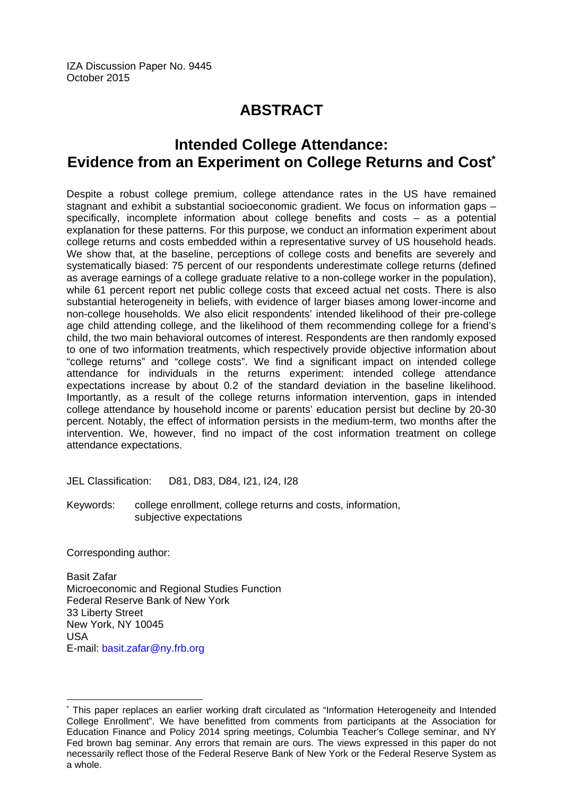### **ABSTRACT**

### **Intended College Attendance: Evidence from an Experiment on College Returns and Cost\***

Despite a robust college premium, college attendance rates in the US have remained stagnant and exhibit a substantial socioeconomic gradient. We focus on information gaps – specifically, incomplete information about college benefits and costs – as a potential explanation for these patterns. For this purpose, we conduct an information experiment about college returns and costs embedded within a representative survey of US household heads. We show that, at the baseline, perceptions of college costs and benefits are severely and systematically biased: 75 percent of our respondents underestimate college returns (defined as average earnings of a college graduate relative to a non-college worker in the population), while 61 percent report net public college costs that exceed actual net costs. There is also substantial heterogeneity in beliefs, with evidence of larger biases among lower-income and non-college households. We also elicit respondents' intended likelihood of their pre-college age child attending college, and the likelihood of them recommending college for a friend's child, the two main behavioral outcomes of interest. Respondents are then randomly exposed to one of two information treatments, which respectively provide objective information about "college returns" and "college costs". We find a significant impact on intended college attendance for individuals in the returns experiment: intended college attendance expectations increase by about 0.2 of the standard deviation in the baseline likelihood. Importantly, as a result of the college returns information intervention, gaps in intended college attendance by household income or parents' education persist but decline by 20-30 percent. Notably, the effect of information persists in the medium-term, two months after the intervention. We, however, find no impact of the cost information treatment on college attendance expectations.

JEL Classification: D81, D83, D84, I21, I24, I28

Keywords: college enrollment, college returns and costs, information, subjective expectations

Corresponding author:

 $\overline{a}$ 

Basit Zafar Microeconomic and Regional Studies Function Federal Reserve Bank of New York 33 Liberty Street New York, NY 10045 USA E-mail: basit.zafar@ny.frb.org

<sup>\*</sup> This paper replaces an earlier working draft circulated as "Information Heterogeneity and Intended College Enrollment". We have benefitted from comments from participants at the Association for Education Finance and Policy 2014 spring meetings, Columbia Teacher's College seminar, and NY Fed brown bag seminar. Any errors that remain are ours. The views expressed in this paper do not necessarily reflect those of the Federal Reserve Bank of New York or the Federal Reserve System as a whole.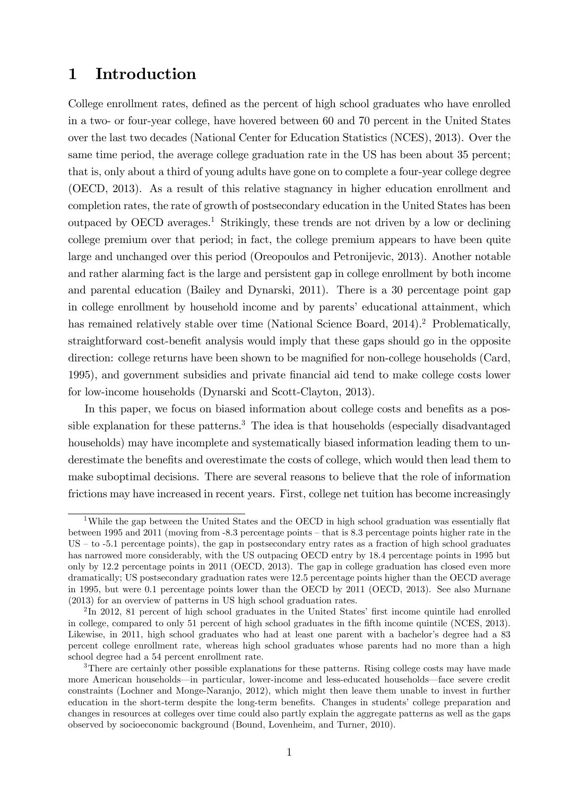### 1 Introduction

College enrollment rates, defined as the percent of high school graduates who have enrolled in a two- or four-year college, have hovered between 60 and 70 percent in the United States over the last two decades (National Center for Education Statistics (NCES), 2013). Over the same time period, the average college graduation rate in the US has been about 35 percent; that is, only about a third of young adults have gone on to complete a four-year college degree (OECD, 2013). As a result of this relative stagnancy in higher education enrollment and completion rates, the rate of growth of postsecondary education in the United States has been outpaced by OECD averages.<sup>1</sup> Strikingly, these trends are not driven by a low or declining college premium over that period; in fact, the college premium appears to have been quite large and unchanged over this period (Oreopoulos and Petronijevic, 2013). Another notable and rather alarming fact is the large and persistent gap in college enrollment by both income and parental education (Bailey and Dynarski, 2011). There is a 30 percentage point gap in college enrollment by household income and by parents' educational attainment, which has remained relatively stable over time (National Science Board, 2014).<sup>2</sup> Problematically, straightforward cost-benefit analysis would imply that these gaps should go in the opposite direction: college returns have been shown to be magnified for non-college households (Card, 1995), and government subsidies and private Önancial aid tend to make college costs lower for low-income households (Dynarski and Scott-Clayton, 2013).

In this paper, we focus on biased information about college costs and benefits as a possible explanation for these patterns.<sup>3</sup> The idea is that households (especially disadvantaged households) may have incomplete and systematically biased information leading them to underestimate the benefits and overestimate the costs of college, which would then lead them to make suboptimal decisions. There are several reasons to believe that the role of information frictions may have increased in recent years. First, college net tuition has become increasingly

<sup>&</sup>lt;sup>1</sup>While the gap between the United States and the OECD in high school graduation was essentially flat between 1995 and 2011 (moving from  $-8.3$  percentage points  $-$  that is 8.3 percentage points higher rate in the  $US - to -5.1$  percentage points), the gap in postsecondary entry rates as a fraction of high school graduates has narrowed more considerably, with the US outpacing OECD entry by 18.4 percentage points in 1995 but only by 12.2 percentage points in 2011 (OECD, 2013). The gap in college graduation has closed even more dramatically; US postsecondary graduation rates were 12.5 percentage points higher than the OECD average in 1995, but were 0.1 percentage points lower than the OECD by 2011 (OECD, 2013). See also Murnane (2013) for an overview of patterns in US high school graduation rates.

 $2\text{In }2012$ , 81 percent of high school graduates in the United States' first income quintile had enrolled in college, compared to only 51 percent of high school graduates in the fifth income quintile (NCES, 2013). Likewise, in 2011, high school graduates who had at least one parent with a bachelor's degree had a 83 percent college enrollment rate, whereas high school graduates whose parents had no more than a high school degree had a 54 percent enrollment rate.

<sup>&</sup>lt;sup>3</sup>There are certainly other possible explanations for these patterns. Rising college costs may have made more American households—in particular, lower-income and less-educated households—face severe credit constraints (Lochner and Monge-Naranjo, 2012), which might then leave them unable to invest in further education in the short-term despite the long-term benefits. Changes in students' college preparation and changes in resources at colleges over time could also partly explain the aggregate patterns as well as the gaps observed by socioeconomic background (Bound, Lovenheim, and Turner, 2010).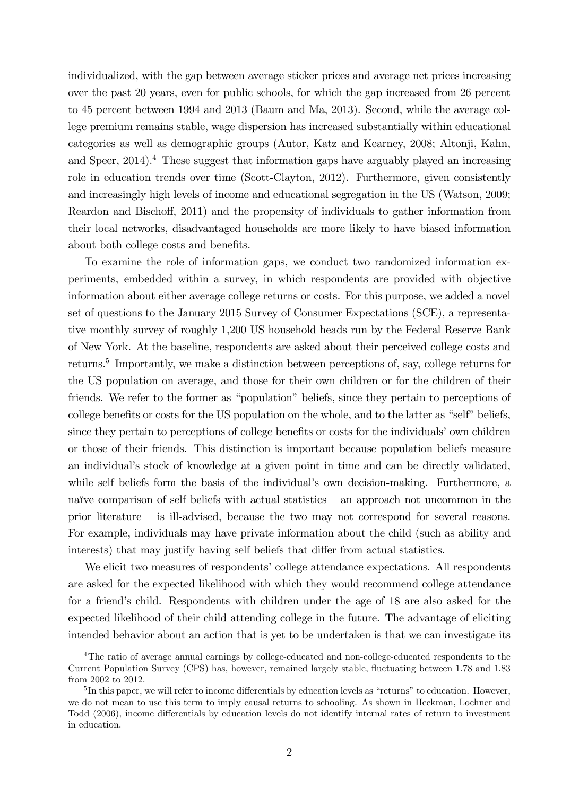individualized, with the gap between average sticker prices and average net prices increasing over the past 20 years, even for public schools, for which the gap increased from 26 percent to 45 percent between 1994 and 2013 (Baum and Ma, 2013). Second, while the average college premium remains stable, wage dispersion has increased substantially within educational categories as well as demographic groups (Autor, Katz and Kearney, 2008; Altonji, Kahn, and Speer, 2014).<sup>4</sup> These suggest that information gaps have arguably played an increasing role in education trends over time (Scott-Clayton, 2012). Furthermore, given consistently and increasingly high levels of income and educational segregation in the US (Watson, 2009; Reardon and Bischoff, 2011) and the propensity of individuals to gather information from their local networks, disadvantaged households are more likely to have biased information about both college costs and benefits.

To examine the role of information gaps, we conduct two randomized information experiments, embedded within a survey, in which respondents are provided with objective information about either average college returns or costs. For this purpose, we added a novel set of questions to the January 2015 Survey of Consumer Expectations (SCE), a representative monthly survey of roughly 1,200 US household heads run by the Federal Reserve Bank of New York. At the baseline, respondents are asked about their perceived college costs and returns.<sup>5</sup> Importantly, we make a distinction between perceptions of, say, college returns for the US population on average, and those for their own children or for the children of their friends. We refer to the former as "population" beliefs, since they pertain to perceptions of college benefits or costs for the US population on the whole, and to the latter as "self" beliefs, since they pertain to perceptions of college benefits or costs for the individuals' own children or those of their friends. This distinction is important because population beliefs measure an individual's stock of knowledge at a given point in time and can be directly validated, while self beliefs form the basis of the individual's own decision-making. Furthermore, a naïve comparison of self beliefs with actual statistics  $-$  an approach not uncommon in the prior literature  $-$  is ill-advised, because the two may not correspond for several reasons. For example, individuals may have private information about the child (such as ability and interests) that may justify having self beliefs that differ from actual statistics.

We elicit two measures of respondents' college attendance expectations. All respondents are asked for the expected likelihood with which they would recommend college attendance for a friendís child. Respondents with children under the age of 18 are also asked for the expected likelihood of their child attending college in the future. The advantage of eliciting intended behavior about an action that is yet to be undertaken is that we can investigate its

<sup>&</sup>lt;sup>4</sup>The ratio of average annual earnings by college-educated and non-college-educated respondents to the Current Population Survey (CPS) has, however, remained largely stable, fluctuating between 1.78 and 1.83 from 2002 to 2012.

 ${}^{5}$ In this paper, we will refer to income differentials by education levels as "returns" to education. However, we do not mean to use this term to imply causal returns to schooling. As shown in Heckman, Lochner and Todd (2006), income differentials by education levels do not identify internal rates of return to investment in education.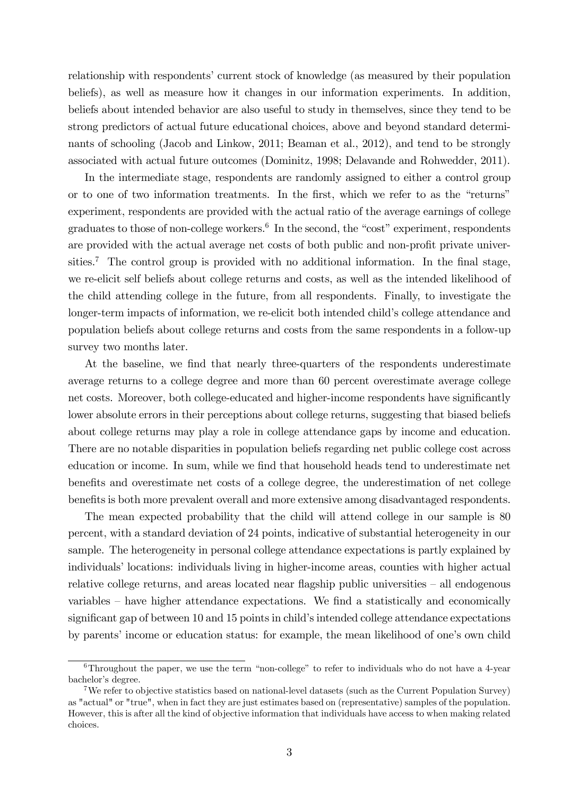relationship with respondents' current stock of knowledge (as measured by their population beliefs), as well as measure how it changes in our information experiments. In addition, beliefs about intended behavior are also useful to study in themselves, since they tend to be strong predictors of actual future educational choices, above and beyond standard determinants of schooling (Jacob and Linkow, 2011; Beaman et al., 2012), and tend to be strongly associated with actual future outcomes (Dominitz, 1998; Delavande and Rohwedder, 2011).

In the intermediate stage, respondents are randomly assigned to either a control group or to one of two information treatments. In the first, which we refer to as the "returns" experiment, respondents are provided with the actual ratio of the average earnings of college graduates to those of non-college workers.<sup>6</sup> In the second, the "cost" experiment, respondents are provided with the actual average net costs of both public and non-profit private universities.<sup>7</sup> The control group is provided with no additional information. In the final stage, we re-elicit self beliefs about college returns and costs, as well as the intended likelihood of the child attending college in the future, from all respondents. Finally, to investigate the longer-term impacts of information, we re-elicit both intended child's college attendance and population beliefs about college returns and costs from the same respondents in a follow-up survey two months later.

At the baseline, we find that nearly three-quarters of the respondents underestimate average returns to a college degree and more than 60 percent overestimate average college net costs. Moreover, both college-educated and higher-income respondents have significantly lower absolute errors in their perceptions about college returns, suggesting that biased beliefs about college returns may play a role in college attendance gaps by income and education. There are no notable disparities in population beliefs regarding net public college cost across education or income. In sum, while we find that household heads tend to underestimate net benefits and overestimate net costs of a college degree, the underestimation of net college benefits is both more prevalent overall and more extensive among disadvantaged respondents.

The mean expected probability that the child will attend college in our sample is 80 percent, with a standard deviation of 24 points, indicative of substantial heterogeneity in our sample. The heterogeneity in personal college attendance expectations is partly explained by individuals' locations: individuals living in higher-income areas, counties with higher actual relative college returns, and areas located near flagship public universities – all endogenous  $variables$  – have higher attendance expectations. We find a statistically and economically significant gap of between 10 and 15 points in child's intended college attendance expectations by parents' income or education status: for example, the mean likelihood of one's own child

 $6$ Throughout the paper, we use the term "non-college" to refer to individuals who do not have a 4-year bachelor's degree.

<sup>7</sup>We refer to objective statistics based on national-level datasets (such as the Current Population Survey) as "actual" or "true", when in fact they are just estimates based on (representative) samples of the population. However, this is after all the kind of objective information that individuals have access to when making related choices.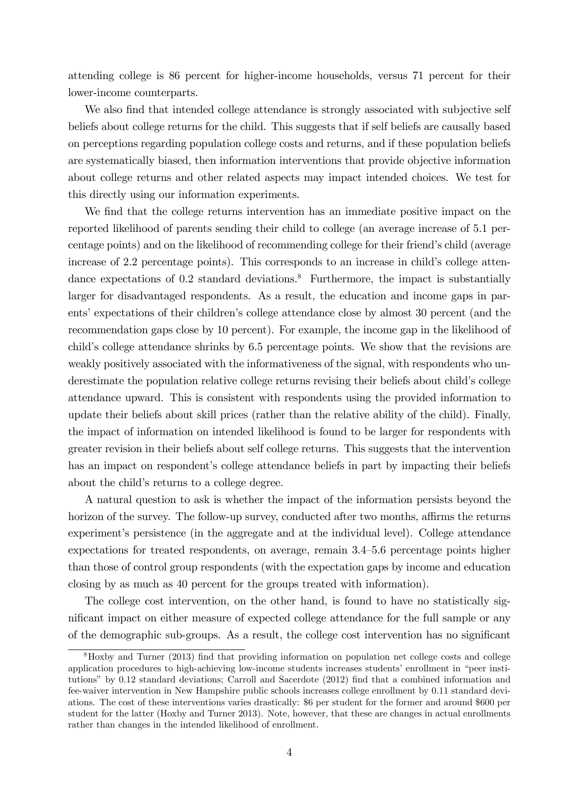attending college is 86 percent for higher-income households, versus 71 percent for their lower-income counterparts.

We also find that intended college attendance is strongly associated with subjective self beliefs about college returns for the child. This suggests that if self beliefs are causally based on perceptions regarding population college costs and returns, and if these population beliefs are systematically biased, then information interventions that provide objective information about college returns and other related aspects may impact intended choices. We test for this directly using our information experiments.

We find that the college returns intervention has an immediate positive impact on the reported likelihood of parents sending their child to college (an average increase of 5.1 percentage points) and on the likelihood of recommending college for their friend's child (average increase of 2.2 percentage points). This corresponds to an increase in child's college attendance expectations of  $0.2$  standard deviations.<sup>8</sup> Furthermore, the impact is substantially larger for disadvantaged respondents. As a result, the education and income gaps in parents' expectations of their children's college attendance close by almost 30 percent (and the recommendation gaps close by 10 percent). For example, the income gap in the likelihood of child's college attendance shrinks by 6.5 percentage points. We show that the revisions are weakly positively associated with the informativeness of the signal, with respondents who underestimate the population relative college returns revising their beliefs about child's college attendance upward. This is consistent with respondents using the provided information to update their beliefs about skill prices (rather than the relative ability of the child). Finally, the impact of information on intended likelihood is found to be larger for respondents with greater revision in their beliefs about self college returns. This suggests that the intervention has an impact on respondent's college attendance beliefs in part by impacting their beliefs about the child's returns to a college degree.

A natural question to ask is whether the impact of the information persists beyond the horizon of the survey. The follow-up survey, conducted after two months, affirms the returns experiment's persistence (in the aggregate and at the individual level). College attendance expectations for treated respondents, on average, remain  $3.4-5.6$  percentage points higher than those of control group respondents (with the expectation gaps by income and education closing by as much as 40 percent for the groups treated with information).

The college cost intervention, on the other hand, is found to have no statistically significant impact on either measure of expected college attendance for the full sample or any of the demographic sub-groups. As a result, the college cost intervention has no significant

<sup>&</sup>lt;sup>8</sup>Hoxby and Turner (2013) find that providing information on population net college costs and college application procedures to high-achieving low-income students increases students' enrollment in "peer institutions" by 0.12 standard deviations; Carroll and Sacerdote (2012) find that a combined information and fee-waiver intervention in New Hampshire public schools increases college enrollment by 0.11 standard deviations. The cost of these interventions varies drastically: \$6 per student for the former and around \$600 per student for the latter (Hoxby and Turner 2013). Note, however, that these are changes in actual enrollments rather than changes in the intended likelihood of enrollment.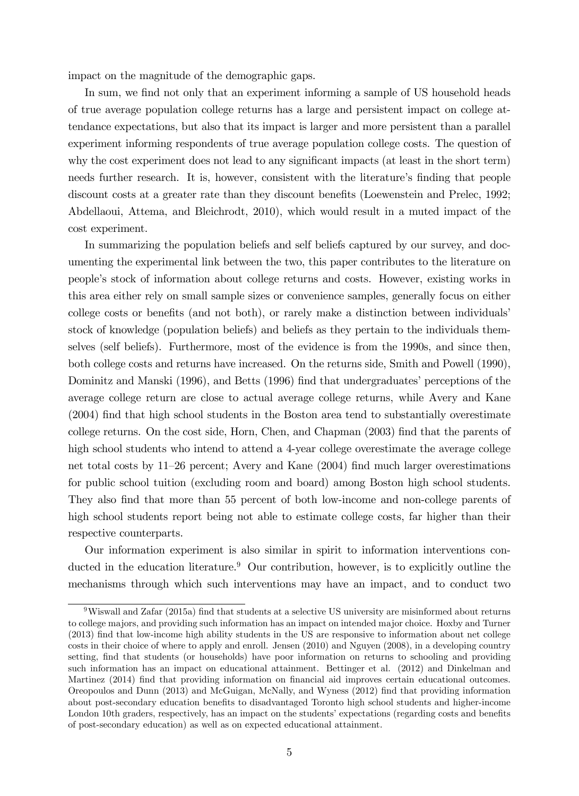impact on the magnitude of the demographic gaps.

In sum, we find not only that an experiment informing a sample of US household heads of true average population college returns has a large and persistent impact on college attendance expectations, but also that its impact is larger and more persistent than a parallel experiment informing respondents of true average population college costs. The question of why the cost experiment does not lead to any significant impacts (at least in the short term) needs further research. It is, however, consistent with the literature's finding that people discount costs at a greater rate than they discount benefits (Loewenstein and Prelec, 1992; Abdellaoui, Attema, and Bleichrodt, 2010), which would result in a muted impact of the cost experiment.

In summarizing the population beliefs and self beliefs captured by our survey, and documenting the experimental link between the two, this paper contributes to the literature on peopleís stock of information about college returns and costs. However, existing works in this area either rely on small sample sizes or convenience samples, generally focus on either college costs or benefits (and not both), or rarely make a distinction between individuals stock of knowledge (population beliefs) and beliefs as they pertain to the individuals themselves (self beliefs). Furthermore, most of the evidence is from the 1990s, and since then, both college costs and returns have increased. On the returns side, Smith and Powell (1990), Dominitz and Manski (1996), and Betts (1996) find that undergraduates' perceptions of the average college return are close to actual average college returns, while Avery and Kane  $(2004)$  find that high school students in the Boston area tend to substantially overestimate college returns. On the cost side, Horn, Chen, and Chapman (2003) find that the parents of high school students who intend to attend a 4-year college overestimate the average college net total costs by  $11-26$  percent; Avery and Kane  $(2004)$  find much larger overestimations for public school tuition (excluding room and board) among Boston high school students. They also find that more than 55 percent of both low-income and non-college parents of high school students report being not able to estimate college costs, far higher than their respective counterparts.

Our information experiment is also similar in spirit to information interventions conducted in the education literature.<sup>9</sup> Our contribution, however, is to explicitly outline the mechanisms through which such interventions may have an impact, and to conduct two

 $9$ Wiswall and Zafar (2015a) find that students at a selective US university are misinformed about returns to college majors, and providing such information has an impact on intended major choice. Hoxby and Turner (2013) Önd that low-income high ability students in the US are responsive to information about net college costs in their choice of where to apply and enroll. Jensen (2010) and Nguyen (2008), in a developing country setting, find that students (or households) have poor information on returns to schooling and providing such information has an impact on educational attainment. Bettinger et al. (2012) and Dinkelman and Martinez (2014) find that providing information on financial aid improves certain educational outcomes. Oreopoulos and Dunn (2013) and McGuigan, McNally, and Wyness (2012) Önd that providing information about post-secondary education benefits to disadvantaged Toronto high school students and higher-income London 10th graders, respectively, has an impact on the students' expectations (regarding costs and benefits of post-secondary education) as well as on expected educational attainment.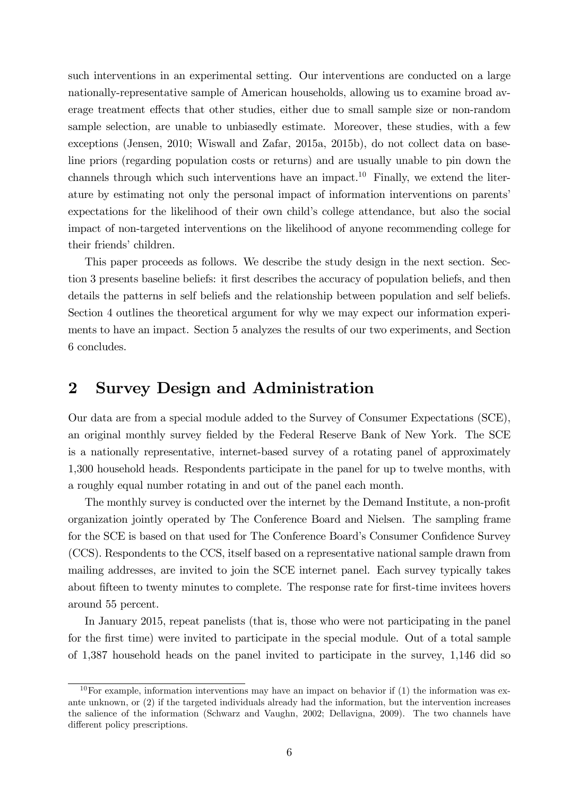such interventions in an experimental setting. Our interventions are conducted on a large nationally-representative sample of American households, allowing us to examine broad average treatment effects that other studies, either due to small sample size or non-random sample selection, are unable to unbiasedly estimate. Moreover, these studies, with a few exceptions (Jensen, 2010; Wiswall and Zafar, 2015a, 2015b), do not collect data on baseline priors (regarding population costs or returns) and are usually unable to pin down the channels through which such interventions have an impact.<sup>10</sup> Finally, we extend the literature by estimating not only the personal impact of information interventions on parents' expectations for the likelihood of their own child's college attendance, but also the social impact of non-targeted interventions on the likelihood of anyone recommending college for their friends' children.

This paper proceeds as follows. We describe the study design in the next section. Section 3 presents baseline beliefs: it first describes the accuracy of population beliefs, and then details the patterns in self beliefs and the relationship between population and self beliefs. Section 4 outlines the theoretical argument for why we may expect our information experiments to have an impact. Section 5 analyzes the results of our two experiments, and Section 6 concludes.

#### 2 Survey Design and Administration

Our data are from a special module added to the Survey of Consumer Expectations (SCE), an original monthly survey fielded by the Federal Reserve Bank of New York. The SCE is a nationally representative, internet-based survey of a rotating panel of approximately 1,300 household heads. Respondents participate in the panel for up to twelve months, with a roughly equal number rotating in and out of the panel each month.

The monthly survey is conducted over the internet by the Demand Institute, a non-profit organization jointly operated by The Conference Board and Nielsen. The sampling frame for the SCE is based on that used for The Conference Board's Consumer Confidence Survey (CCS). Respondents to the CCS, itself based on a representative national sample drawn from mailing addresses, are invited to join the SCE internet panel. Each survey typically takes about fifteen to twenty minutes to complete. The response rate for first-time invitees hovers around 55 percent.

In January 2015, repeat panelists (that is, those who were not participating in the panel for the first time) were invited to participate in the special module. Out of a total sample of 1,387 household heads on the panel invited to participate in the survey, 1,146 did so

 $10$ For example, information interventions may have an impact on behavior if (1) the information was exante unknown, or (2) if the targeted individuals already had the information, but the intervention increases the salience of the information (Schwarz and Vaughn, 2002; Dellavigna, 2009). The two channels have different policy prescriptions.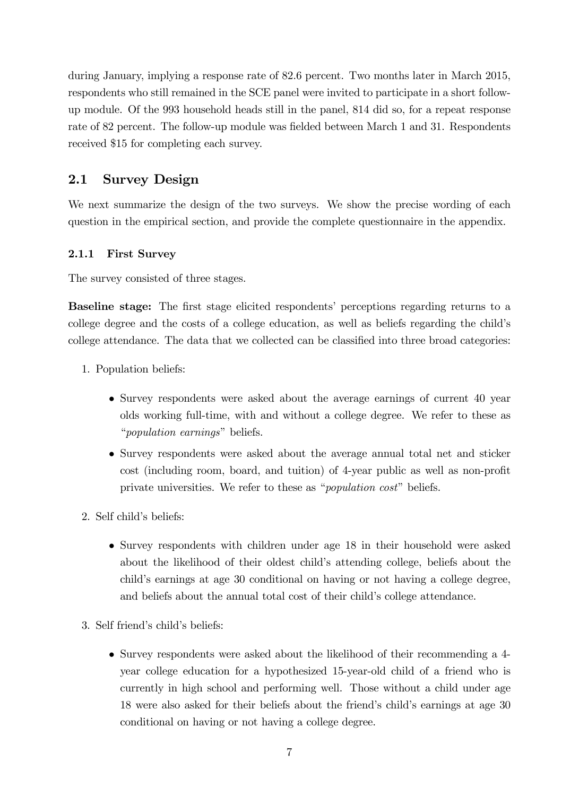during January, implying a response rate of 82.6 percent. Two months later in March 2015, respondents who still remained in the SCE panel were invited to participate in a short followup module. Of the 993 household heads still in the panel, 814 did so, for a repeat response rate of 82 percent. The follow-up module was fielded between March 1 and 31. Respondents received \$15 for completing each survey.

#### 2.1 Survey Design

We next summarize the design of the two surveys. We show the precise wording of each question in the empirical section, and provide the complete questionnaire in the appendix.

#### 2.1.1 First Survey

The survey consisted of three stages.

**Baseline stage:** The first stage elicited respondents' perceptions regarding returns to a college degree and the costs of a college education, as well as beliefs regarding the child's college attendance. The data that we collected can be classified into three broad categories:

- 1. Population beliefs:
	- Survey respondents were asked about the average earnings of current 40 year olds working full-time, with and without a college degree. We refer to these as "*population earnings*" beliefs.
	- Survey respondents were asked about the average annual total net and sticker cost (including room, board, and tuition) of 4-year public as well as non-profit private universities. We refer to these as "*population cost*" beliefs.
- 2. Self child's beliefs:
	- Survey respondents with children under age 18 in their household were asked about the likelihood of their oldest child's attending college, beliefs about the childís earnings at age 30 conditional on having or not having a college degree, and beliefs about the annual total cost of their child's college attendance.
- 3. Self friend's child's beliefs:
	- Survey respondents were asked about the likelihood of their recommending a 4 year college education for a hypothesized 15-year-old child of a friend who is currently in high school and performing well. Those without a child under age 18 were also asked for their beliefs about the friend's child's earnings at age 30 conditional on having or not having a college degree.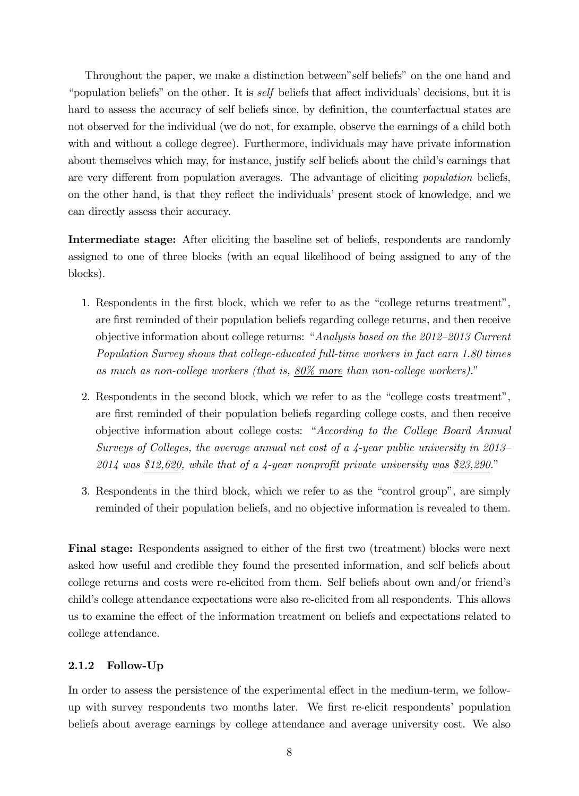Throughout the paper, we make a distinction between "self beliefs" on the one hand and "population beliefs" on the other. It is *self* beliefs that affect individuals' decisions, but it is hard to assess the accuracy of self beliefs since, by definition, the counterfactual states are not observed for the individual (we do not, for example, observe the earnings of a child both with and without a college degree). Furthermore, individuals may have private information about themselves which may, for instance, justify self beliefs about the child's earnings that are very different from population averages. The advantage of eliciting *population* beliefs, on the other hand, is that they reflect the individuals' present stock of knowledge, and we can directly assess their accuracy.

Intermediate stage: After eliciting the baseline set of beliefs, respondents are randomly assigned to one of three blocks (with an equal likelihood of being assigned to any of the blocks).

- 1. Respondents in the first block, which we refer to as the "college returns treatment", are first reminded of their population beliefs regarding college returns, and then receive objective information about college returns: "Analysis based on the 2012–2013 Current Population Survey shows that college-educated full-time workers in fact earn 1.80 times as much as non-college workers (that is,  $80\%$  more than non-college workers)."
- 2. Respondents in the second block, which we refer to as the "college costs treatment", are first reminded of their population beliefs regarding college costs, and then receive objective information about college costs: "According to the College Board Annual Surveys of Colleges, the average annual net cost of a  $\frac{1}{4}$ -year public university in 2013–  $2014$  was \$12,620, while that of a 4-year nonprofit private university was \$23,290.
- 3. Respondents in the third block, which we refer to as the "control group", are simply reminded of their population beliefs, and no objective information is revealed to them.

Final stage: Respondents assigned to either of the first two (treatment) blocks were next asked how useful and credible they found the presented information, and self beliefs about college returns and costs were re-elicited from them. Self beliefs about own and/or friend's childís college attendance expectations were also re-elicited from all respondents. This allows us to examine the effect of the information treatment on beliefs and expectations related to college attendance.

#### 2.1.2 Follow-Up

In order to assess the persistence of the experimental effect in the medium-term, we followup with survey respondents two months later. We first re-elicit respondents' population beliefs about average earnings by college attendance and average university cost. We also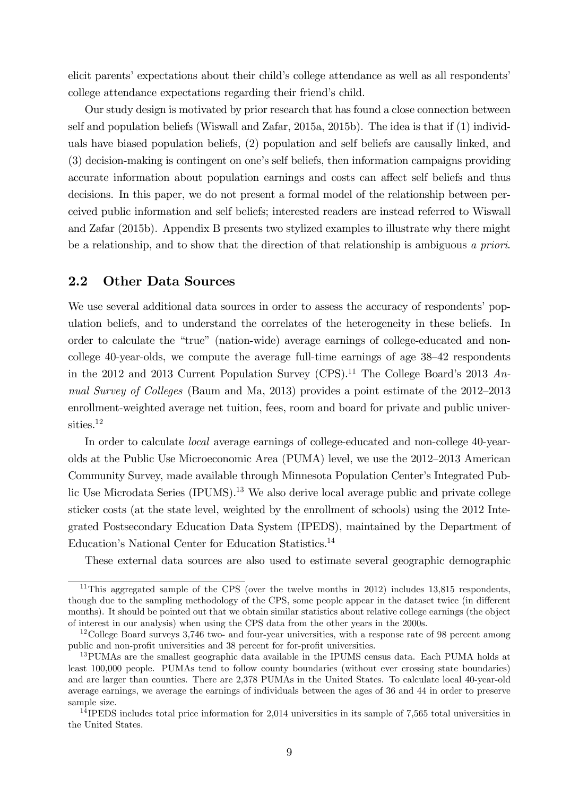elicit parents' expectations about their child's college attendance as well as all respondents' college attendance expectations regarding their friend's child.

Our study design is motivated by prior research that has found a close connection between self and population beliefs (Wiswall and Zafar, 2015a, 2015b). The idea is that if (1) individuals have biased population beliefs, (2) population and self beliefs are causally linked, and  $(3)$  decision-making is contingent on one's self beliefs, then information campaigns providing accurate information about population earnings and costs can affect self beliefs and thus decisions. In this paper, we do not present a formal model of the relationship between perceived public information and self beliefs; interested readers are instead referred to Wiswall and Zafar (2015b). Appendix B presents two stylized examples to illustrate why there might be a relationship, and to show that the direction of that relationship is ambiguous a priori.

#### 2.2 Other Data Sources

We use several additional data sources in order to assess the accuracy of respondents' population beliefs, and to understand the correlates of the heterogeneity in these beliefs. In order to calculate the "true" (nation-wide) average earnings of college-educated and noncollege 40-year-olds, we compute the average full-time earnings of age  $38-42$  respondents in the 2012 and 2013 Current Population Survey (CPS).<sup>11</sup> The College Board's 2013 Annual Survey of Colleges (Baum and Ma, 2013) provides a point estimate of the 2012–2013 enrollment-weighted average net tuition, fees, room and board for private and public universities.<sup>12</sup>

In order to calculate local average earnings of college-educated and non-college 40-yearolds at the Public Use Microeconomic Area (PUMA) level, we use the 2012–2013 American Community Survey, made available through Minnesota Population Center's Integrated Public Use Microdata Series (IPUMS).<sup>13</sup> We also derive local average public and private college sticker costs (at the state level, weighted by the enrollment of schools) using the 2012 Integrated Postsecondary Education Data System (IPEDS), maintained by the Department of Education's National Center for Education Statistics.<sup>14</sup>

These external data sources are also used to estimate several geographic demographic

<sup>&</sup>lt;sup>11</sup>This aggregated sample of the CPS (over the twelve months in 2012) includes 13,815 respondents, though due to the sampling methodology of the CPS, some people appear in the dataset twice (in different months). It should be pointed out that we obtain similar statistics about relative college earnings (the object of interest in our analysis) when using the CPS data from the other years in the 2000s.

<sup>&</sup>lt;sup>12</sup>College Board surveys 3.746 two- and four-year universities, with a response rate of 98 percent among public and non-profit universities and 38 percent for for-profit universities.

<sup>13</sup>PUMAs are the smallest geographic data available in the IPUMS census data. Each PUMA holds at least 100,000 people. PUMAs tend to follow county boundaries (without ever crossing state boundaries) and are larger than counties. There are 2,378 PUMAs in the United States. To calculate local 40-year-old average earnings, we average the earnings of individuals between the ages of 36 and 44 in order to preserve sample size.

<sup>&</sup>lt;sup>14</sup>IPEDS includes total price information for 2,014 universities in its sample of 7,565 total universities in the United States.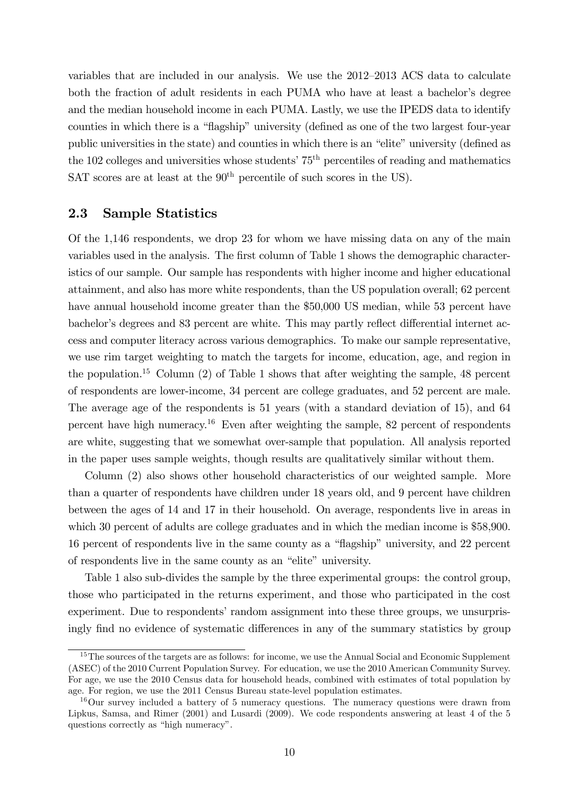variables that are included in our analysis. We use the  $2012-2013$  ACS data to calculate both the fraction of adult residents in each PUMA who have at least a bachelor's degree and the median household income in each PUMA. Lastly, we use the IPEDS data to identify counties in which there is a "flagship" university (defined as one of the two largest four-year public universities in the state) and counties in which there is an "elite" university (defined as the 102 colleges and universities whose students<sup> $75<sup>th</sup>$ </sup> percentiles of reading and mathematics SAT scores are at least at the  $90<sup>th</sup>$  percentile of such scores in the US).

#### 2.3 Sample Statistics

Of the 1,146 respondents, we drop 23 for whom we have missing data on any of the main variables used in the analysis. The first column of Table 1 shows the demographic characteristics of our sample. Our sample has respondents with higher income and higher educational attainment, and also has more white respondents, than the US population overall; 62 percent have annual household income greater than the \$50,000 US median, while 53 percent have bachelor's degrees and 83 percent are white. This may partly reflect differential internet access and computer literacy across various demographics. To make our sample representative, we use rim target weighting to match the targets for income, education, age, and region in the population.<sup>15</sup> Column (2) of Table 1 shows that after weighting the sample, 48 percent of respondents are lower-income, 34 percent are college graduates, and 52 percent are male. The average age of the respondents is 51 years (with a standard deviation of 15), and 64 percent have high numeracy.<sup>16</sup> Even after weighting the sample, 82 percent of respondents are white, suggesting that we somewhat over-sample that population. All analysis reported in the paper uses sample weights, though results are qualitatively similar without them.

Column (2) also shows other household characteristics of our weighted sample. More than a quarter of respondents have children under 18 years old, and 9 percent have children between the ages of 14 and 17 in their household. On average, respondents live in areas in which 30 percent of adults are college graduates and in which the median income is \$58,900. 16 percent of respondents live in the same county as a "flagship" university, and 22 percent of respondents live in the same county as an "elite" university.

Table 1 also sub-divides the sample by the three experimental groups: the control group, those who participated in the returns experiment, and those who participated in the cost experiment. Due to respondents' random assignment into these three groups, we unsurprisingly find no evidence of systematic differences in any of the summary statistics by group

<sup>&</sup>lt;sup>15</sup>The sources of the targets are as follows: for income, we use the Annual Social and Economic Supplement (ASEC) of the 2010 Current Population Survey. For education, we use the 2010 American Community Survey. For age, we use the 2010 Census data for household heads, combined with estimates of total population by age. For region, we use the 2011 Census Bureau state-level population estimates.

 $16$ Our survey included a battery of 5 numeracy questions. The numeracy questions were drawn from Lipkus, Samsa, and Rimer (2001) and Lusardi (2009). We code respondents answering at least 4 of the 5 questions correctly as "high numeracy".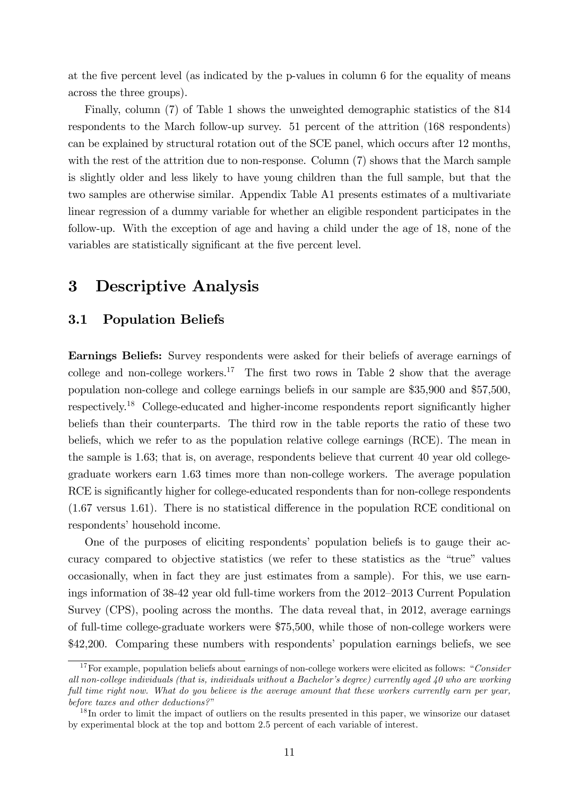at the five percent level (as indicated by the p-values in column 6 for the equality of means across the three groups).

Finally, column (7) of Table 1 shows the unweighted demographic statistics of the 814 respondents to the March follow-up survey. 51 percent of the attrition (168 respondents) can be explained by structural rotation out of the SCE panel, which occurs after 12 months, with the rest of the attrition due to non-response. Column (7) shows that the March sample is slightly older and less likely to have young children than the full sample, but that the two samples are otherwise similar. Appendix Table A1 presents estimates of a multivariate linear regression of a dummy variable for whether an eligible respondent participates in the follow-up. With the exception of age and having a child under the age of 18, none of the variables are statistically significant at the five percent level.

### 3 Descriptive Analysis

#### 3.1 Population Beliefs

Earnings Beliefs: Survey respondents were asked for their beliefs of average earnings of college and non-college workers.<sup>17</sup> The first two rows in Table 2 show that the average population non-college and college earnings beliefs in our sample are \$35,900 and \$57,500, respectively.<sup>18</sup> College-educated and higher-income respondents report significantly higher beliefs than their counterparts. The third row in the table reports the ratio of these two beliefs, which we refer to as the population relative college earnings (RCE). The mean in the sample is 1.63; that is, on average, respondents believe that current 40 year old collegegraduate workers earn 1.63 times more than non-college workers. The average population RCE is significantly higher for college-educated respondents than for non-college respondents  $(1.67 \text{ versus } 1.61)$ . There is no statistical difference in the population RCE conditional on respondents' household income.

One of the purposes of eliciting respondents' population beliefs is to gauge their accuracy compared to objective statistics (we refer to these statistics as the "true" values occasionally, when in fact they are just estimates from a sample). For this, we use earnings information of 38-42 year old full-time workers from the 2012–2013 Current Population Survey (CPS), pooling across the months. The data reveal that, in 2012, average earnings of full-time college-graduate workers were \$75,500, while those of non-college workers were \$42,200. Comparing these numbers with respondents' population earnings beliefs, we see

<sup>&</sup>lt;sup>17</sup>For example, population beliefs about earnings of non-college workers were elicited as follows:  $\lq$ Consider all non-college individuals (that is, individuals without a Bachelor's degree) currently aged  $\lambda_0$  who are working full time right now. What do you believe is the average amount that these workers currently earn per year, before taxes and other deductions?"

<sup>&</sup>lt;sup>18</sup>In order to limit the impact of outliers on the results presented in this paper, we winsorize our dataset by experimental block at the top and bottom 2.5 percent of each variable of interest.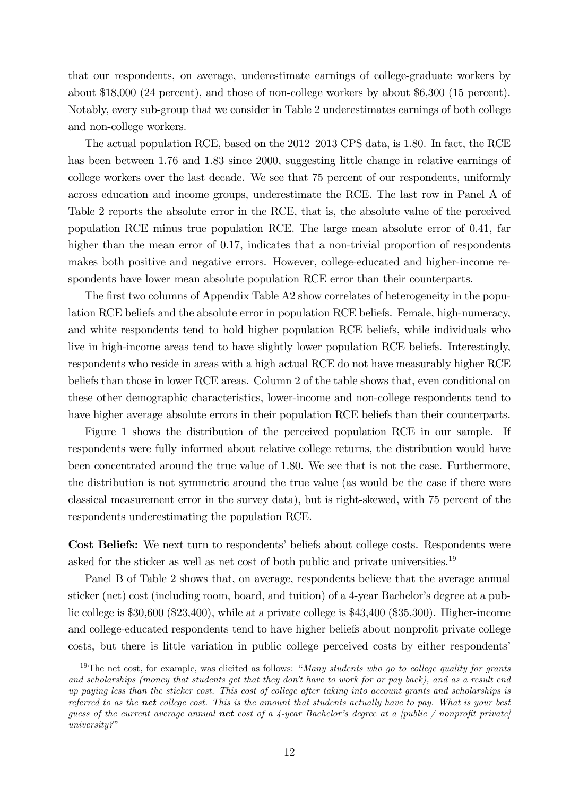that our respondents, on average, underestimate earnings of college-graduate workers by about \$18,000 (24 percent), and those of non-college workers by about \$6,300 (15 percent). Notably, every sub-group that we consider in Table 2 underestimates earnings of both college and non-college workers.

The actual population RCE, based on the  $2012-2013$  CPS data, is 1.80. In fact, the RCE has been between 1.76 and 1.83 since 2000, suggesting little change in relative earnings of college workers over the last decade. We see that 75 percent of our respondents, uniformly across education and income groups, underestimate the RCE. The last row in Panel A of Table 2 reports the absolute error in the RCE, that is, the absolute value of the perceived population RCE minus true population RCE. The large mean absolute error of 0.41, far higher than the mean error of 0.17, indicates that a non-trivial proportion of respondents makes both positive and negative errors. However, college-educated and higher-income respondents have lower mean absolute population RCE error than their counterparts.

The first two columns of Appendix Table A2 show correlates of heterogeneity in the population RCE beliefs and the absolute error in population RCE beliefs. Female, high-numeracy, and white respondents tend to hold higher population RCE beliefs, while individuals who live in high-income areas tend to have slightly lower population RCE beliefs. Interestingly, respondents who reside in areas with a high actual RCE do not have measurably higher RCE beliefs than those in lower RCE areas. Column 2 of the table shows that, even conditional on these other demographic characteristics, lower-income and non-college respondents tend to have higher average absolute errors in their population RCE beliefs than their counterparts.

Figure 1 shows the distribution of the perceived population RCE in our sample. If respondents were fully informed about relative college returns, the distribution would have been concentrated around the true value of 1.80. We see that is not the case. Furthermore, the distribution is not symmetric around the true value (as would be the case if there were classical measurement error in the survey data), but is right-skewed, with 75 percent of the respondents underestimating the population RCE.

Cost Beliefs: We next turn to respondents' beliefs about college costs. Respondents were asked for the sticker as well as net cost of both public and private universities.<sup>19</sup>

Panel B of Table 2 shows that, on average, respondents believe that the average annual sticker (net) cost (including room, board, and tuition) of a 4-year Bachelor's degree at a public college is \$30,600 (\$23,400), while at a private college is \$43,400 (\$35,300). Higher-income and college-educated respondents tend to have higher beliefs about nonprofit private college costs, but there is little variation in public college perceived costs by either respondentsí

<sup>&</sup>lt;sup>19</sup>The net cost, for example, was elicited as follows: "Many students who go to college quality for grants and scholarships (money that students get that they don't have to work for or pay back), and as a result end up paying less than the sticker cost. This cost of college after taking into account grants and scholarships is referred to as the net college cost. This is the amount that students actually have to pay. What is your best guess of the current average annual **net** cost of a  $\lambda$ -year Bachelor's degree at a [public / nonprofit private]  $university$ ?"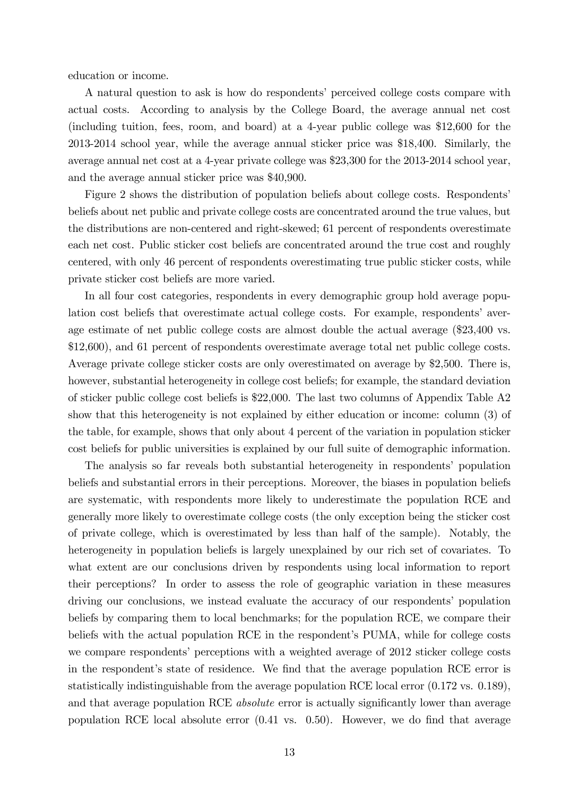education or income.

A natural question to ask is how do respondents' perceived college costs compare with actual costs. According to analysis by the College Board, the average annual net cost (including tuition, fees, room, and board) at a 4-year public college was \$12,600 for the 2013-2014 school year, while the average annual sticker price was \$18,400. Similarly, the average annual net cost at a 4-year private college was \$23,300 for the 2013-2014 school year, and the average annual sticker price was \$40,900.

Figure 2 shows the distribution of population beliefs about college costs. Respondentsí beliefs about net public and private college costs are concentrated around the true values, but the distributions are non-centered and right-skewed; 61 percent of respondents overestimate each net cost. Public sticker cost beliefs are concentrated around the true cost and roughly centered, with only 46 percent of respondents overestimating true public sticker costs, while private sticker cost beliefs are more varied.

In all four cost categories, respondents in every demographic group hold average population cost beliefs that overestimate actual college costs. For example, respondents' average estimate of net public college costs are almost double the actual average (\$23,400 vs. \$12,600), and 61 percent of respondents overestimate average total net public college costs. Average private college sticker costs are only overestimated on average by \$2,500. There is, however, substantial heterogeneity in college cost beliefs; for example, the standard deviation of sticker public college cost beliefs is \$22,000. The last two columns of Appendix Table A2 show that this heterogeneity is not explained by either education or income: column (3) of the table, for example, shows that only about 4 percent of the variation in population sticker cost beliefs for public universities is explained by our full suite of demographic information.

The analysis so far reveals both substantial heterogeneity in respondents' population beliefs and substantial errors in their perceptions. Moreover, the biases in population beliefs are systematic, with respondents more likely to underestimate the population RCE and generally more likely to overestimate college costs (the only exception being the sticker cost of private college, which is overestimated by less than half of the sample). Notably, the heterogeneity in population beliefs is largely unexplained by our rich set of covariates. To what extent are our conclusions driven by respondents using local information to report their perceptions? In order to assess the role of geographic variation in these measures driving our conclusions, we instead evaluate the accuracy of our respondents' population beliefs by comparing them to local benchmarks; for the population RCE, we compare their beliefs with the actual population RCE in the respondent's PUMA, while for college costs we compare respondents' perceptions with a weighted average of 2012 sticker college costs in the respondent's state of residence. We find that the average population RCE error is statistically indistinguishable from the average population RCE local error (0.172 vs. 0.189), and that average population RCE *absolute* error is actually significantly lower than average population RCE local absolute error  $(0.41 \text{ vs. } 0.50)$ . However, we do find that average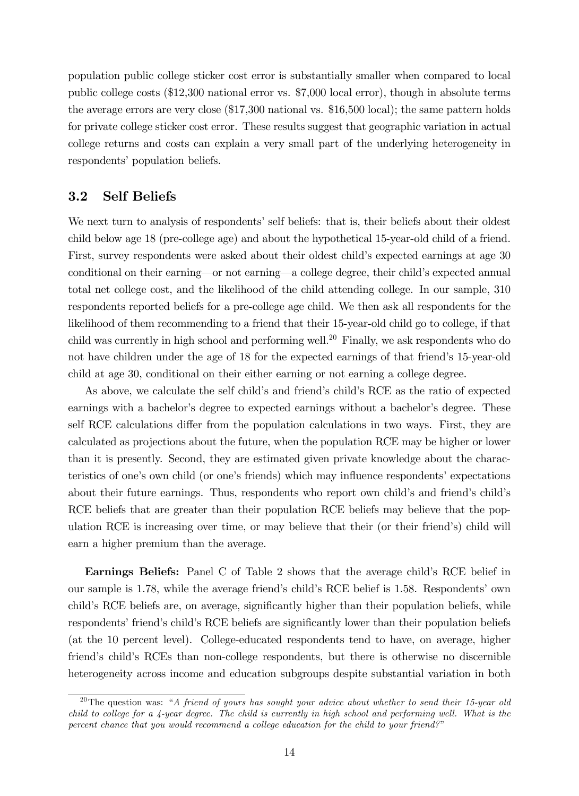population public college sticker cost error is substantially smaller when compared to local public college costs (\$12,300 national error vs. \$7,000 local error), though in absolute terms the average errors are very close (\$17,300 national vs. \$16,500 local); the same pattern holds for private college sticker cost error. These results suggest that geographic variation in actual college returns and costs can explain a very small part of the underlying heterogeneity in respondents' population beliefs.

#### 3.2 Self Beliefs

We next turn to analysis of respondents' self beliefs: that is, their beliefs about their oldest child below age 18 (pre-college age) and about the hypothetical 15-year-old child of a friend. First, survey respondents were asked about their oldest child's expected earnings at age 30 conditional on their earning—or not earning—a college degree, their child's expected annual total net college cost, and the likelihood of the child attending college. In our sample, 310 respondents reported beliefs for a pre-college age child. We then ask all respondents for the likelihood of them recommending to a friend that their 15-year-old child go to college, if that child was currently in high school and performing well.<sup>20</sup> Finally, we ask respondents who do not have children under the age of 18 for the expected earnings of that friend's 15-year-old child at age 30, conditional on their either earning or not earning a college degree.

As above, we calculate the self child's and friend's child's RCE as the ratio of expected earnings with a bachelor's degree to expected earnings without a bachelor's degree. These self RCE calculations differ from the population calculations in two ways. First, they are calculated as projections about the future, when the population RCE may be higher or lower than it is presently. Second, they are estimated given private knowledge about the characteristics of one's own child (or one's friends) which may influence respondents' expectations about their future earnings. Thus, respondents who report own child's and friend's child's RCE beliefs that are greater than their population RCE beliefs may believe that the population RCE is increasing over time, or may believe that their (or their friend's) child will earn a higher premium than the average.

**Earnings Beliefs:** Panel C of Table 2 shows that the average child's RCE belief in our sample is 1.78, while the average friend's child's RCE belief is 1.58. Respondents' own child's RCE beliefs are, on average, significantly higher than their population beliefs, while respondents' friend's child's RCE beliefs are significantly lower than their population beliefs (at the 10 percent level). College-educated respondents tend to have, on average, higher friend's child's RCEs than non-college respondents, but there is otherwise no discernible heterogeneity across income and education subgroups despite substantial variation in both

<sup>&</sup>lt;sup>20</sup>The question was: "A friend of yours has sought your advice about whether to send their 15-year old child to college for a 4-year degree. The child is currently in high school and performing well. What is the percent chance that you would recommend a college education for the child to your friend?"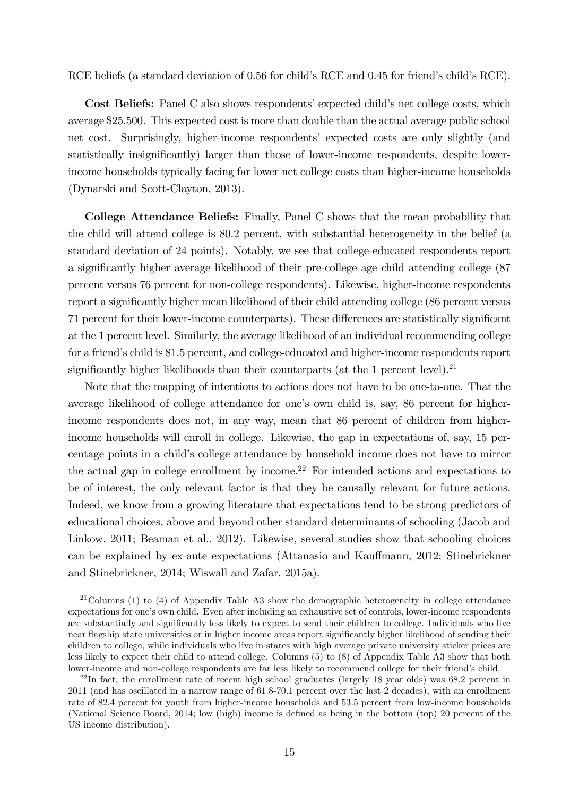RCE beliefs (a standard deviation of 0.56 for child's RCE and 0.45 for friend's child's RCE).

Cost Beliefs: Panel C also shows respondents' expected child's net college costs, which average \$25,500. This expected cost is more than double than the actual average public school net cost. Surprisingly, higher-income respondentsí expected costs are only slightly (and statistically insignificantly) larger than those of lower-income respondents, despite lowerincome households typically facing far lower net college costs than higher-income households (Dynarski and Scott-Clayton, 2013).

College Attendance Beliefs: Finally, Panel C shows that the mean probability that the child will attend college is 80.2 percent, with substantial heterogeneity in the belief (a standard deviation of 24 points). Notably, we see that college-educated respondents report a significantly higher average likelihood of their pre-college age child attending college (87) percent versus 76 percent for non-college respondents). Likewise, higher-income respondents report a significantly higher mean likelihood of their child attending college (86 percent versus 71 percent for their lower-income counterparts). These differences are statistically significant at the 1 percent level. Similarly, the average likelihood of an individual recommending college for a friend's child is 81.5 percent, and college-educated and higher-income respondents report significantly higher likelihoods than their counterparts (at the 1 percent level).<sup>21</sup>

Note that the mapping of intentions to actions does not have to be one-to-one. That the average likelihood of college attendance for one's own child is, say, 86 percent for higherincome respondents does not, in any way, mean that 86 percent of children from higherincome households will enroll in college. Likewise, the gap in expectations of, say, 15 percentage points in a child's college attendance by household income does not have to mirror the actual gap in college enrollment by income.<sup>22</sup> For intended actions and expectations to be of interest, the only relevant factor is that they be causally relevant for future actions. Indeed, we know from a growing literature that expectations tend to be strong predictors of educational choices, above and beyond other standard determinants of schooling (Jacob and Linkow, 2011; Beaman et al., 2012). Likewise, several studies show that schooling choices can be explained by ex-ante expectations (Attanasio and Kauffmann, 2012; Stinebrickner and Stinebrickner, 2014; Wiswall and Zafar, 2015a).

 $21$ Columns (1) to (4) of Appendix Table A3 show the demographic heterogeneity in college attendance expectations for one's own child. Even after including an exhaustive set of controls, lower-income respondents are substantially and significantly less likely to expect to send their children to college. Individuals who live near flagship state universities or in higher income areas report significantly higher likelihood of sending their children to college, while individuals who live in states with high average private university sticker prices are less likely to expect their child to attend college. Columns (5) to (8) of Appendix Table A3 show that both lower-income and non-college respondents are far less likely to recommend college for their friend's child.

 $^{22}$ In fact, the enrollment rate of recent high school graduates (largely 18 year olds) was 68.2 percent in 2011 (and has oscillated in a narrow range of 61.8-70.1 percent over the last 2 decades), with an enrollment rate of 82.4 percent for youth from higher-income households and 53.5 percent from low-income households (National Science Board, 2014; low (high) income is defined as being in the bottom (top) 20 percent of the US income distribution).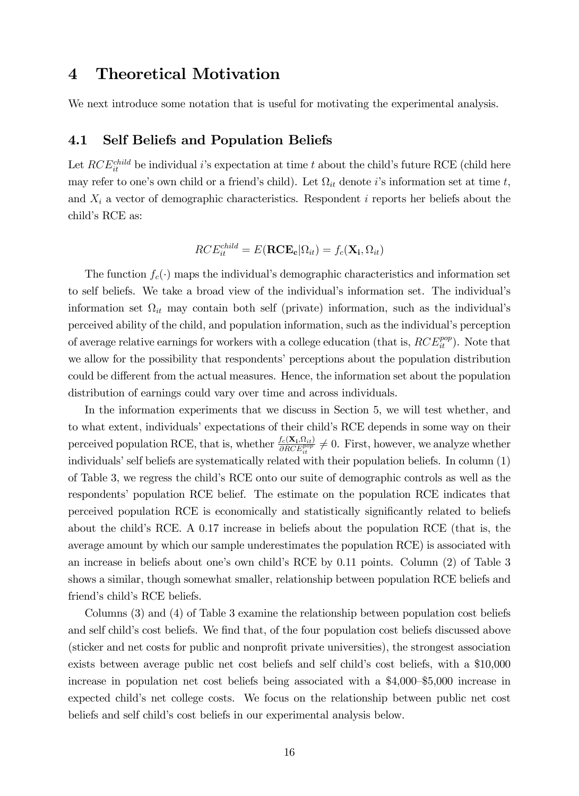### 4 Theoretical Motivation

We next introduce some notation that is useful for motivating the experimental analysis.

#### 4.1 Self Beliefs and Population Beliefs

Let  $RCE_{it}^{child}$  be individual i's expectation at time t about the child's future RCE (child here may refer to one's own child or a friend's child). Let  $\Omega_{it}$  denote i's information set at time t, and  $X_i$  a vector of demographic characteristics. Respondent i reports her beliefs about the child's RCE as:

$$
RCE_{it}^{child} = E(\text{RCE}_{\mathbf{c}}|\Omega_{it}) = f_c(\mathbf{X_i}, \Omega_{it})
$$

The function  $f_c(\cdot)$  maps the individual's demographic characteristics and information set to self beliefs. We take a broad view of the individual's information set. The individual's information set  $\Omega_{it}$  may contain both self (private) information, such as the individual's perceived ability of the child, and population information, such as the individual's perception of average relative earnings for workers with a college education (that is,  $RCE_{it}^{pop}$ ). Note that we allow for the possibility that respondents' perceptions about the population distribution could be different from the actual measures. Hence, the information set about the population distribution of earnings could vary over time and across individuals.

In the information experiments that we discuss in Section 5, we will test whether, and to what extent, individuals' expectations of their child's RCE depends in some way on their perceived population RCE, that is, whether  $\frac{f_c(\mathbf{X_i}, \Omega_{it})}{\partial RCE_{it}^{pop}} \neq 0$ . First, however, we analyze whether individuals' self beliefs are systematically related with their population beliefs. In column  $(1)$ of Table 3, we regress the childís RCE onto our suite of demographic controls as well as the respondents' population RCE belief. The estimate on the population RCE indicates that perceived population RCE is economically and statistically significantly related to beliefs about the childís RCE. A 0.17 increase in beliefs about the population RCE (that is, the average amount by which our sample underestimates the population RCE) is associated with an increase in beliefs about one's own child's RCE by  $0.11$  points. Column  $(2)$  of Table 3 shows a similar, though somewhat smaller, relationship between population RCE beliefs and friend's child's RCE beliefs.

Columns (3) and (4) of Table 3 examine the relationship between population cost beliefs and self child's cost beliefs. We find that, of the four population cost beliefs discussed above (sticker and net costs for public and nonprofit private universities), the strongest association exists between average public net cost beliefs and self child's cost beliefs, with a \$10,000 increase in population net cost beliefs being associated with a  $$4,000$ - $$5,000$  increase in expected child's net college costs. We focus on the relationship between public net cost beliefs and self childís cost beliefs in our experimental analysis below.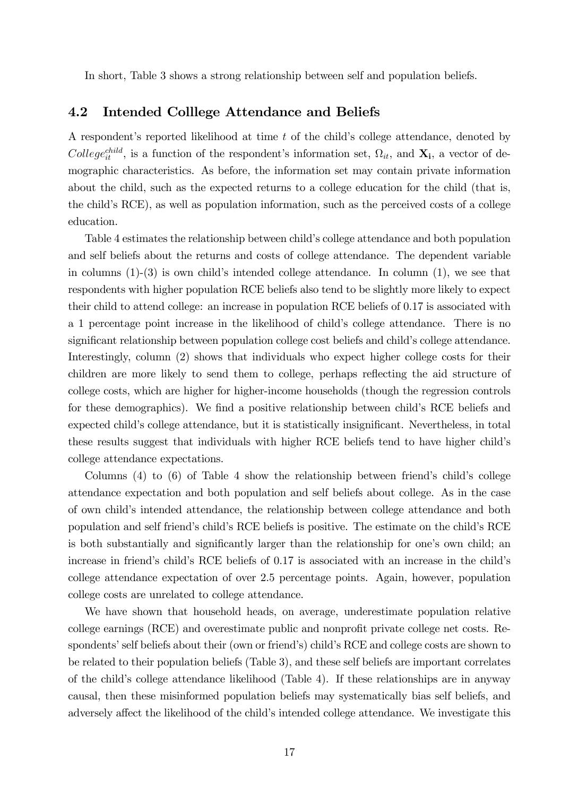In short, Table 3 shows a strong relationship between self and population beliefs.

#### 4.2 Intended Colllege Attendance and Beliefs

A respondent's reported likelihood at time  $t$  of the child's college attendance, denoted by College<sup>child</sup>, is a function of the respondent's information set,  $\Omega_{it}$ , and  $\mathbf{X_i}$ , a vector of demographic characteristics. As before, the information set may contain private information about the child, such as the expected returns to a college education for the child (that is, the child's RCE), as well as population information, such as the perceived costs of a college education.

Table 4 estimates the relationship between child's college attendance and both population and self beliefs about the returns and costs of college attendance. The dependent variable in columns  $(1)-(3)$  is own child's intended college attendance. In column  $(1)$ , we see that respondents with higher population RCE beliefs also tend to be slightly more likely to expect their child to attend college: an increase in population RCE beliefs of 0.17 is associated with a 1 percentage point increase in the likelihood of child's college attendance. There is no significant relationship between population college cost beliefs and child's college attendance. Interestingly, column (2) shows that individuals who expect higher college costs for their children are more likely to send them to college, perhaps reflecting the aid structure of college costs, which are higher for higher-income households (though the regression controls for these demographics). We find a positive relationship between child's RCE beliefs and expected child's college attendance, but it is statistically insignificant. Nevertheless, in total these results suggest that individuals with higher RCE beliefs tend to have higher child's college attendance expectations.

Columns  $(4)$  to  $(6)$  of Table 4 show the relationship between friend's child's college attendance expectation and both population and self beliefs about college. As in the case of own childís intended attendance, the relationship between college attendance and both population and self friendís childís RCE beliefs is positive. The estimate on the childís RCE is both substantially and significantly larger than the relationship for one's own child; an increase in friend's child's RCE beliefs of 0.17 is associated with an increase in the child's college attendance expectation of over 2.5 percentage points. Again, however, population college costs are unrelated to college attendance.

We have shown that household heads, on average, underestimate population relative college earnings (RCE) and overestimate public and nonprofit private college net costs. Respondents' self beliefs about their (own or friend's) child's RCE and college costs are shown to be related to their population beliefs (Table 3), and these self beliefs are important correlates of the child's college attendance likelihood (Table 4). If these relationships are in anyway causal, then these misinformed population beliefs may systematically bias self beliefs, and adversely affect the likelihood of the child's intended college attendance. We investigate this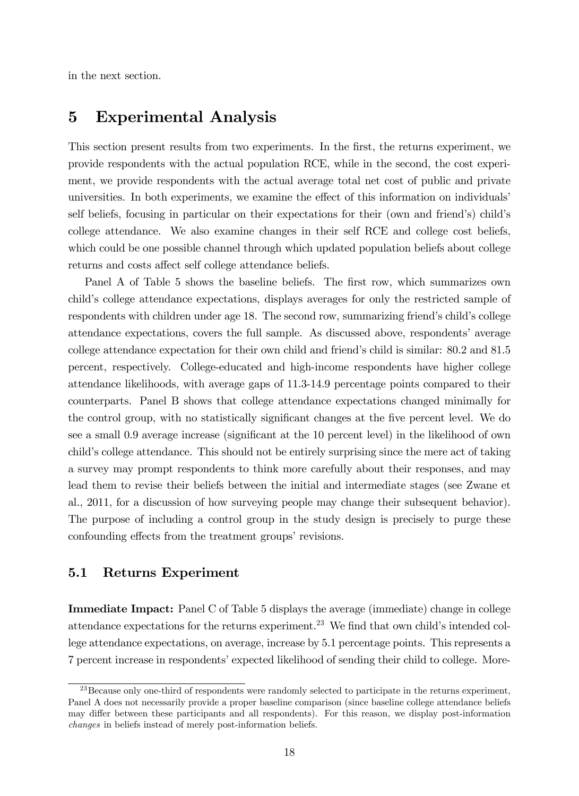in the next section.

### 5 Experimental Analysis

This section present results from two experiments. In the first, the returns experiment, we provide respondents with the actual population RCE, while in the second, the cost experiment, we provide respondents with the actual average total net cost of public and private universities. In both experiments, we examine the effect of this information on individuals' self beliefs, focusing in particular on their expectations for their (own and friend's) child's college attendance. We also examine changes in their self RCE and college cost beliefs, which could be one possible channel through which updated population beliefs about college returns and costs affect self college attendance beliefs.

Panel A of Table 5 shows the baseline beliefs. The first row, which summarizes own child's college attendance expectations, displays averages for only the restricted sample of respondents with children under age 18. The second row, summarizing friend's child's college attendance expectations, covers the full sample. As discussed above, respondents' average college attendance expectation for their own child and friend's child is similar:  $80.2$  and  $81.5$ percent, respectively. College-educated and high-income respondents have higher college attendance likelihoods, with average gaps of 11.3-14.9 percentage points compared to their counterparts. Panel B shows that college attendance expectations changed minimally for the control group, with no statistically significant changes at the five percent level. We do see a small 0.9 average increase (significant at the 10 percent level) in the likelihood of own child's college attendance. This should not be entirely surprising since the mere act of taking a survey may prompt respondents to think more carefully about their responses, and may lead them to revise their beliefs between the initial and intermediate stages (see Zwane et al., 2011, for a discussion of how surveying people may change their subsequent behavior). The purpose of including a control group in the study design is precisely to purge these confounding effects from the treatment groups' revisions.

#### 5.1 Returns Experiment

Immediate Impact: Panel C of Table 5 displays the average (immediate) change in college attendance expectations for the returns experiment.<sup>23</sup> We find that own child's intended college attendance expectations, on average, increase by 5.1 percentage points. This represents a 7 percent increase in respondents' expected likelihood of sending their child to college. More-

 $^{23}$ Because only one-third of respondents were randomly selected to participate in the returns experiment, Panel A does not necessarily provide a proper baseline comparison (since baseline college attendance beliefs may differ between these participants and all respondents). For this reason, we display post-information changes in beliefs instead of merely post-information beliefs.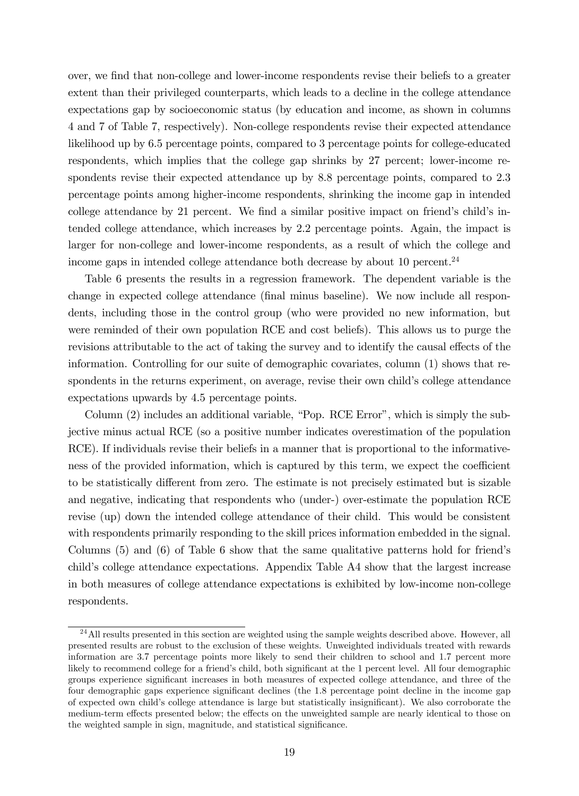over, we Önd that non-college and lower-income respondents revise their beliefs to a greater extent than their privileged counterparts, which leads to a decline in the college attendance expectations gap by socioeconomic status (by education and income, as shown in columns 4 and 7 of Table 7, respectively). Non-college respondents revise their expected attendance likelihood up by 6.5 percentage points, compared to 3 percentage points for college-educated respondents, which implies that the college gap shrinks by 27 percent; lower-income respondents revise their expected attendance up by 8.8 percentage points, compared to 2.3 percentage points among higher-income respondents, shrinking the income gap in intended college attendance by 21 percent. We find a similar positive impact on friend's child's intended college attendance, which increases by 2.2 percentage points. Again, the impact is larger for non-college and lower-income respondents, as a result of which the college and income gaps in intended college attendance both decrease by about 10 percent.<sup>24</sup>

Table 6 presents the results in a regression framework. The dependent variable is the change in expected college attendance (final minus baseline). We now include all respondents, including those in the control group (who were provided no new information, but were reminded of their own population RCE and cost beliefs). This allows us to purge the revisions attributable to the act of taking the survey and to identify the causal effects of the information. Controlling for our suite of demographic covariates, column (1) shows that respondents in the returns experiment, on average, revise their own child's college attendance expectations upwards by 4.5 percentage points.

Column  $(2)$  includes an additional variable, "Pop. RCE Error", which is simply the subjective minus actual RCE (so a positive number indicates overestimation of the population RCE). If individuals revise their beliefs in a manner that is proportional to the informativeness of the provided information, which is captured by this term, we expect the coefficient to be statistically different from zero. The estimate is not precisely estimated but is sizable and negative, indicating that respondents who (under-) over-estimate the population RCE revise (up) down the intended college attendance of their child. This would be consistent with respondents primarily responding to the skill prices information embedded in the signal. Columns  $(5)$  and  $(6)$  of Table 6 show that the same qualitative patterns hold for friend's child's college attendance expectations. Appendix Table A4 show that the largest increase in both measures of college attendance expectations is exhibited by low-income non-college respondents.

 $^{24}$ All results presented in this section are weighted using the sample weights described above. However, all presented results are robust to the exclusion of these weights. Unweighted individuals treated with rewards information are 3.7 percentage points more likely to send their children to school and 1.7 percent more likely to recommend college for a friend's child, both significant at the 1 percent level. All four demographic groups experience significant increases in both measures of expected college attendance, and three of the four demographic gaps experience significant declines (the 1.8 percentage point decline in the income gap of expected own child's college attendance is large but statistically insignificant). We also corroborate the medium-term effects presented below; the effects on the unweighted sample are nearly identical to those on the weighted sample in sign, magnitude, and statistical significance.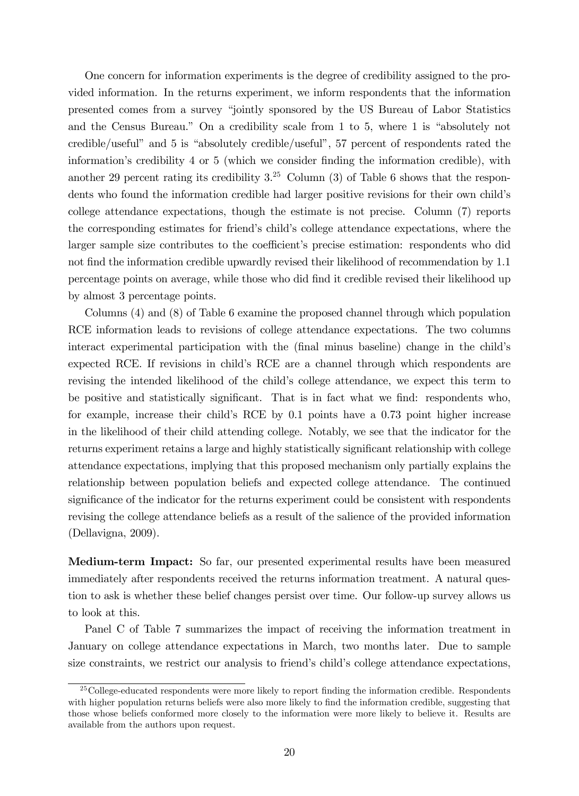One concern for information experiments is the degree of credibility assigned to the provided information. In the returns experiment, we inform respondents that the information presented comes from a survey "jointly sponsored by the US Bureau of Labor Statistics and the Census Bureau." On a credibility scale from  $1$  to  $5$ , where  $1$  is "absolutely not credible/useful" and 5 is "absolutely credible/useful", 57 percent of respondents rated the information's credibility  $4$  or  $5$  (which we consider finding the information credible), with another 29 percent rating its credibility  $3^{25}$  Column (3) of Table 6 shows that the respondents who found the information credible had larger positive revisions for their own child's college attendance expectations, though the estimate is not precise. Column (7) reports the corresponding estimates for friend's child's college attendance expectations, where the larger sample size contributes to the coefficient's precise estimation: respondents who did not find the information credible upwardly revised their likelihood of recommendation by 1.1 percentage points on average, while those who did Önd it credible revised their likelihood up by almost 3 percentage points.

Columns (4) and (8) of Table 6 examine the proposed channel through which population RCE information leads to revisions of college attendance expectations. The two columns interact experimental participation with the (final minus baseline) change in the child's expected RCE. If revisions in child's RCE are a channel through which respondents are revising the intended likelihood of the child's college attendance, we expect this term to be positive and statistically significant. That is in fact what we find: respondents who, for example, increase their child's RCE by  $0.1$  points have a  $0.73$  point higher increase in the likelihood of their child attending college. Notably, we see that the indicator for the returns experiment retains a large and highly statistically significant relationship with college attendance expectations, implying that this proposed mechanism only partially explains the relationship between population beliefs and expected college attendance. The continued significance of the indicator for the returns experiment could be consistent with respondents revising the college attendance beliefs as a result of the salience of the provided information (Dellavigna, 2009).

Medium-term Impact: So far, our presented experimental results have been measured immediately after respondents received the returns information treatment. A natural question to ask is whether these belief changes persist over time. Our follow-up survey allows us to look at this.

Panel C of Table 7 summarizes the impact of receiving the information treatment in January on college attendance expectations in March, two months later. Due to sample size constraints, we restrict our analysis to friend's child's college attendance expectations,

<sup>&</sup>lt;sup>25</sup>College-educated respondents were more likely to report finding the information credible. Respondents with higher population returns beliefs were also more likely to find the information credible, suggesting that those whose beliefs conformed more closely to the information were more likely to believe it. Results are available from the authors upon request.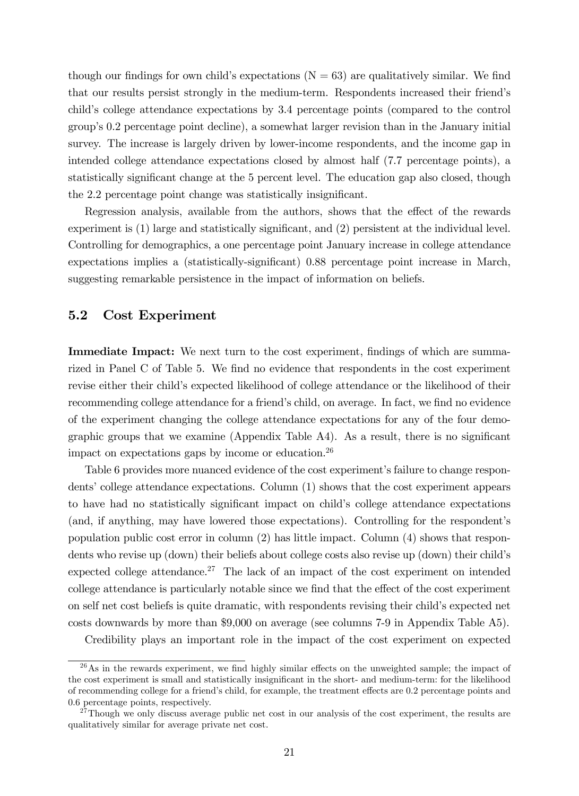though our findings for own child's expectations  $(N = 63)$  are qualitatively similar. We find that our results persist strongly in the medium-term. Respondents increased their friendís child's college attendance expectations by 3.4 percentage points (compared to the control groupís 0.2 percentage point decline), a somewhat larger revision than in the January initial survey. The increase is largely driven by lower-income respondents, and the income gap in intended college attendance expectations closed by almost half (7.7 percentage points), a statistically significant change at the 5 percent level. The education gap also closed, though the 2.2 percentage point change was statistically insignificant.

Regression analysis, available from the authors, shows that the effect of the rewards experiment is  $(1)$  large and statistically significant, and  $(2)$  persistent at the individual level. Controlling for demographics, a one percentage point January increase in college attendance expectations implies a (statistically-significant) 0.88 percentage point increase in March, suggesting remarkable persistence in the impact of information on beliefs.

#### 5.2 Cost Experiment

Immediate Impact: We next turn to the cost experiment, findings of which are summarized in Panel C of Table 5. We find no evidence that respondents in the cost experiment revise either their child's expected likelihood of college attendance or the likelihood of their recommending college attendance for a friend's child, on average. In fact, we find no evidence of the experiment changing the college attendance expectations for any of the four demographic groups that we examine (Appendix Table  $A4$ ). As a result, there is no significant impact on expectations gaps by income or education.<sup>26</sup>

Table 6 provides more nuanced evidence of the cost experiment's failure to change respondents' college attendance expectations. Column  $(1)$  shows that the cost experiment appears to have had no statistically significant impact on child's college attendance expectations (and, if anything, may have lowered those expectations). Controlling for the respondent's population public cost error in column (2) has little impact. Column (4) shows that respondents who revise up (down) their beliefs about college costs also revise up (down) their child's expected college attendance.<sup>27</sup> The lack of an impact of the cost experiment on intended college attendance is particularly notable since we find that the effect of the cost experiment on self net cost beliefs is quite dramatic, with respondents revising their child's expected net costs downwards by more than \$9,000 on average (see columns 7-9 in Appendix Table A5).

Credibility plays an important role in the impact of the cost experiment on expected

 $^{26}$ As in the rewards experiment, we find highly similar effects on the unweighted sample; the impact of the cost experiment is small and statistically insignificant in the short- and medium-term: for the likelihood of recommending college for a friend's child, for example, the treatment effects are 0.2 percentage points and 0.6 percentage points, respectively.

 $27$ Though we only discuss average public net cost in our analysis of the cost experiment, the results are qualitatively similar for average private net cost.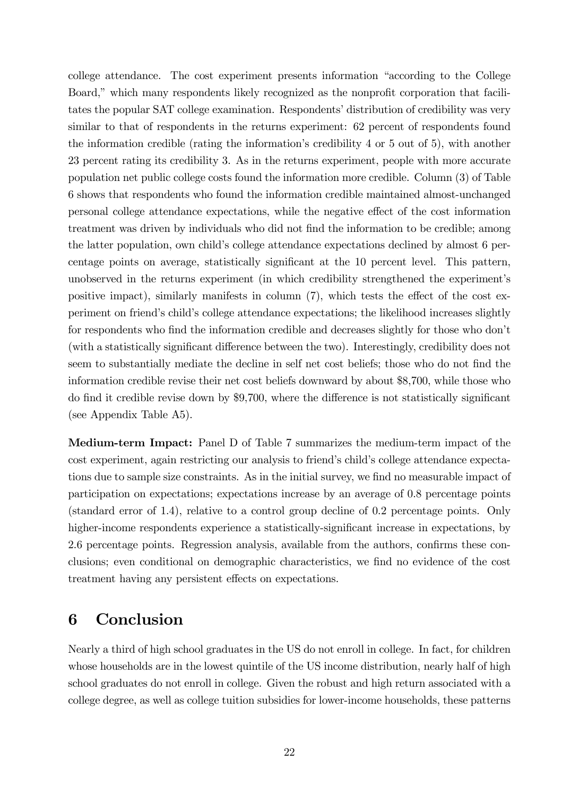college attendance. The cost experiment presents information "according to the College Board," which many respondents likely recognized as the nonprofit corporation that facilitates the popular SAT college examination. Respondents' distribution of credibility was very similar to that of respondents in the returns experiment: 62 percent of respondents found the information credible (rating the information's credibility 4 or 5 out of 5), with another 23 percent rating its credibility 3. As in the returns experiment, people with more accurate population net public college costs found the information more credible. Column (3) of Table 6 shows that respondents who found the information credible maintained almost-unchanged personal college attendance expectations, while the negative effect of the cost information treatment was driven by individuals who did not find the information to be credible; among the latter population, own child's college attendance expectations declined by almost 6 percentage points on average, statistically significant at the 10 percent level. This pattern, unobserved in the returns experiment (in which credibility strengthened the experimentís positive impact), similarly manifests in column  $(7)$ , which tests the effect of the cost experiment on friendís childís college attendance expectations; the likelihood increases slightly for respondents who find the information credible and decreases slightly for those who don't (with a statistically significant difference between the two). Interestingly, credibility does not seem to substantially mediate the decline in self net cost beliefs; those who do not find the information credible revise their net cost beliefs downward by about \$8,700, while those who do find it credible revise down by \$9,700, where the difference is not statistically significant (see Appendix Table A5).

Medium-term Impact: Panel D of Table 7 summarizes the medium-term impact of the cost experiment, again restricting our analysis to friend's child's college attendance expectations due to sample size constraints. As in the initial survey, we find no measurable impact of participation on expectations; expectations increase by an average of 0.8 percentage points (standard error of 1.4), relative to a control group decline of 0.2 percentage points. Only higher-income respondents experience a statistically-significant increase in expectations, by 2.6 percentage points. Regression analysis, available from the authors, confirms these conclusions; even conditional on demographic characteristics, we find no evidence of the cost treatment having any persistent effects on expectations.

### 6 Conclusion

Nearly a third of high school graduates in the US do not enroll in college. In fact, for children whose households are in the lowest quintile of the US income distribution, nearly half of high school graduates do not enroll in college. Given the robust and high return associated with a college degree, as well as college tuition subsidies for lower-income households, these patterns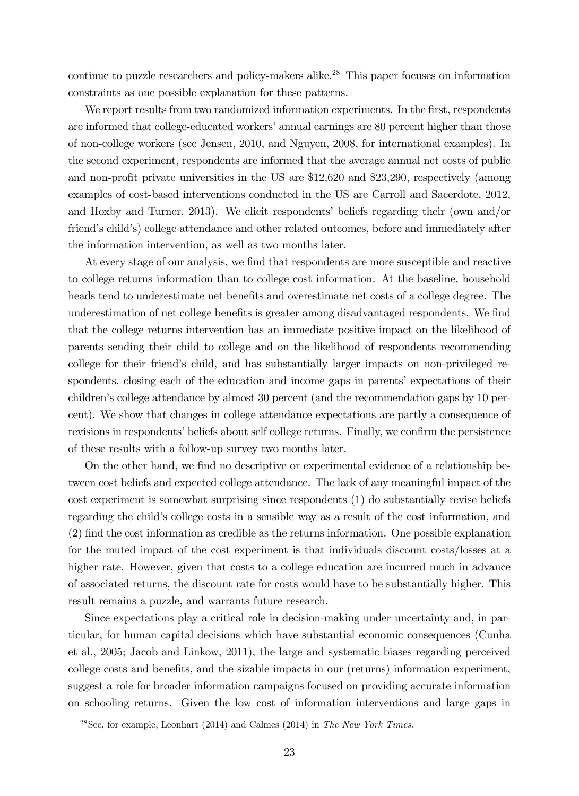continue to puzzle researchers and policy-makers alike.<sup>28</sup> This paper focuses on information constraints as one possible explanation for these patterns.

We report results from two randomized information experiments. In the first, respondents are informed that college-educated workers' annual earnings are 80 percent higher than those of non-college workers (see Jensen, 2010, and Nguyen, 2008, for international examples). In the second experiment, respondents are informed that the average annual net costs of public and non-profit private universities in the US are \$12,620 and \$23,290, respectively (among examples of cost-based interventions conducted in the US are Carroll and Sacerdote, 2012, and Hoxby and Turner, 2013). We elicit respondents' beliefs regarding their (own and/or friend's child's) college attendance and other related outcomes, before and immediately after the information intervention, as well as two months later.

At every stage of our analysis, we find that respondents are more susceptible and reactive to college returns information than to college cost information. At the baseline, household heads tend to underestimate net benefits and overestimate net costs of a college degree. The underestimation of net college benefits is greater among disadvantaged respondents. We find that the college returns intervention has an immediate positive impact on the likelihood of parents sending their child to college and on the likelihood of respondents recommending college for their friend's child, and has substantially larger impacts on non-privileged respondents, closing each of the education and income gaps in parents' expectations of their children's college attendance by almost 30 percent (and the recommendation gaps by 10 percent). We show that changes in college attendance expectations are partly a consequence of revisions in respondents' beliefs about self college returns. Finally, we confirm the persistence of these results with a follow-up survey two months later.

On the other hand, we find no descriptive or experimental evidence of a relationship between cost beliefs and expected college attendance. The lack of any meaningful impact of the cost experiment is somewhat surprising since respondents (1) do substantially revise beliefs regarding the child's college costs in a sensible way as a result of the cost information, and  $(2)$  find the cost information as credible as the returns information. One possible explanation for the muted impact of the cost experiment is that individuals discount costs/losses at a higher rate. However, given that costs to a college education are incurred much in advance of associated returns, the discount rate for costs would have to be substantially higher. This result remains a puzzle, and warrants future research.

Since expectations play a critical role in decision-making under uncertainty and, in particular, for human capital decisions which have substantial economic consequences (Cunha et al., 2005; Jacob and Linkow, 2011), the large and systematic biases regarding perceived college costs and benefits, and the sizable impacts in our (returns) information experiment, suggest a role for broader information campaigns focused on providing accurate information on schooling returns. Given the low cost of information interventions and large gaps in

 $^{28}$ See, for example, Leonhart (2014) and Calmes (2014) in The New York Times.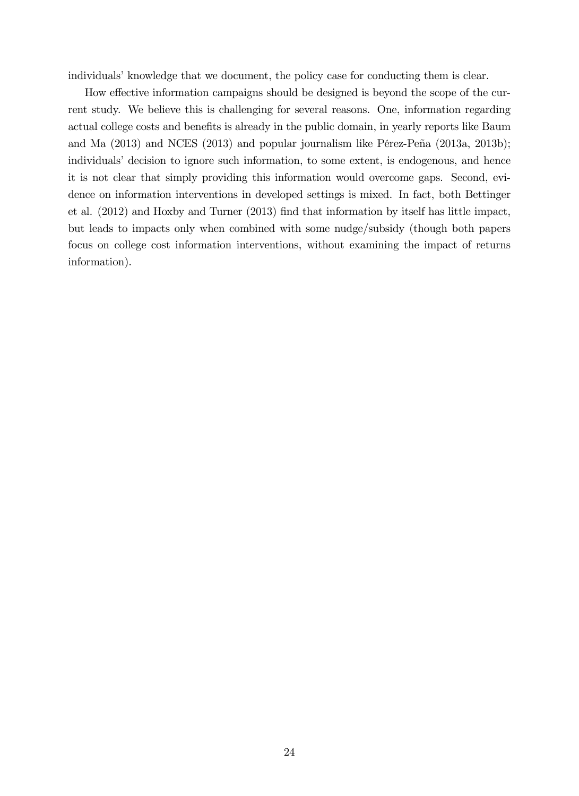individuals' knowledge that we document, the policy case for conducting them is clear.

How effective information campaigns should be designed is beyond the scope of the current study. We believe this is challenging for several reasons. One, information regarding actual college costs and benefits is already in the public domain, in yearly reports like Baum and Ma  $(2013)$  and NCES  $(2013)$  and popular journalism like Pérez-Peña  $(2013a, 2013b)$ ; individuals' decision to ignore such information, to some extent, is endogenous, and hence it is not clear that simply providing this information would overcome gaps. Second, evidence on information interventions in developed settings is mixed. In fact, both Bettinger et al. (2012) and Hoxby and Turner (2013) find that information by itself has little impact, but leads to impacts only when combined with some nudge/subsidy (though both papers focus on college cost information interventions, without examining the impact of returns information).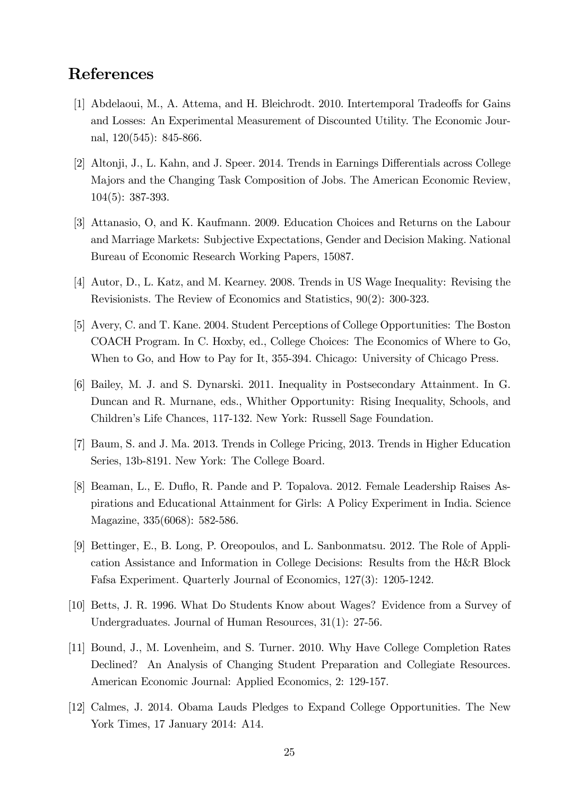### References

- [1] Abdelaoui, M., A. Attema, and H. Bleichrodt. 2010. Intertemporal Tradeoffs for Gains and Losses: An Experimental Measurement of Discounted Utility. The Economic Journal, 120(545): 845-866.
- [2] Altonji, J., L. Kahn, and J. Speer. 2014. Trends in Earnings Differentials across College Majors and the Changing Task Composition of Jobs. The American Economic Review, 104(5): 387-393.
- [3] Attanasio, O, and K. Kaufmann. 2009. Education Choices and Returns on the Labour and Marriage Markets: Subjective Expectations, Gender and Decision Making. National Bureau of Economic Research Working Papers, 15087.
- [4] Autor, D., L. Katz, and M. Kearney. 2008. Trends in US Wage Inequality: Revising the Revisionists. The Review of Economics and Statistics, 90(2): 300-323.
- [5] Avery, C. and T. Kane. 2004. Student Perceptions of College Opportunities: The Boston COACH Program. In C. Hoxby, ed., College Choices: The Economics of Where to Go, When to Go, and How to Pay for It, 355-394. Chicago: University of Chicago Press.
- [6] Bailey, M. J. and S. Dynarski. 2011. Inequality in Postsecondary Attainment. In G. Duncan and R. Murnane, eds., Whither Opportunity: Rising Inequality, Schools, and Childrenís Life Chances, 117-132. New York: Russell Sage Foundation.
- [7] Baum, S. and J. Ma. 2013. Trends in College Pricing, 2013. Trends in Higher Education Series, 13b-8191. New York: The College Board.
- [8] Beaman, L., E. Duáo, R. Pande and P. Topalova. 2012. Female Leadership Raises Aspirations and Educational Attainment for Girls: A Policy Experiment in India. Science Magazine, 335(6068): 582-586.
- [9] Bettinger, E., B. Long, P. Oreopoulos, and L. Sanbonmatsu. 2012. The Role of Application Assistance and Information in College Decisions: Results from the H&R Block Fafsa Experiment. Quarterly Journal of Economics, 127(3): 1205-1242.
- [10] Betts, J. R. 1996. What Do Students Know about Wages? Evidence from a Survey of Undergraduates. Journal of Human Resources, 31(1): 27-56.
- [11] Bound, J., M. Lovenheim, and S. Turner. 2010. Why Have College Completion Rates Declined? An Analysis of Changing Student Preparation and Collegiate Resources. American Economic Journal: Applied Economics, 2: 129-157.
- [12] Calmes, J. 2014. Obama Lauds Pledges to Expand College Opportunities. The New York Times, 17 January 2014: A14.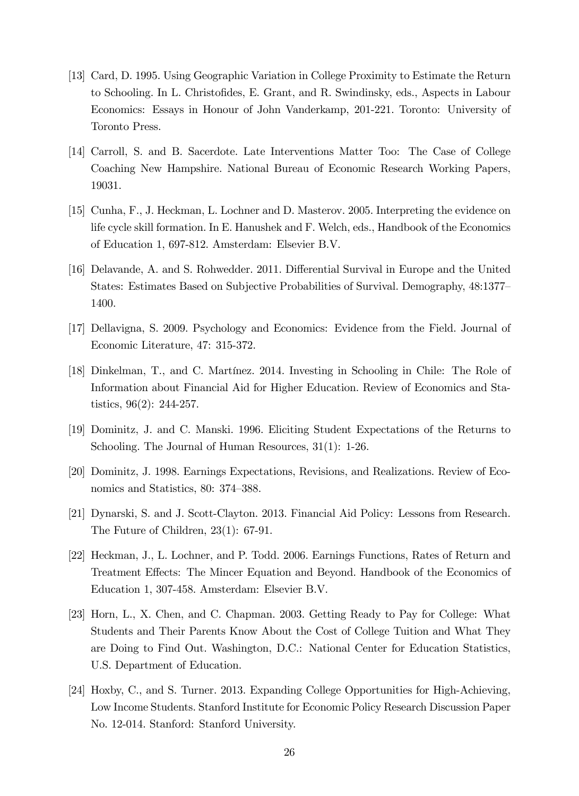- [13] Card, D. 1995. Using Geographic Variation in College Proximity to Estimate the Return to Schooling. In L. Christofides, E. Grant, and R. Swindinsky, eds., Aspects in Labour Economics: Essays in Honour of John Vanderkamp, 201-221. Toronto: University of Toronto Press.
- [14] Carroll, S. and B. Sacerdote. Late Interventions Matter Too: The Case of College Coaching New Hampshire. National Bureau of Economic Research Working Papers, 19031.
- [15] Cunha, F., J. Heckman, L. Lochner and D. Masterov. 2005. Interpreting the evidence on life cycle skill formation. In E. Hanushek and F. Welch, eds., Handbook of the Economics of Education 1, 697-812. Amsterdam: Elsevier B.V.
- [16] Delavande, A. and S. Rohwedder. 2011. Differential Survival in Europe and the United States: Estimates Based on Subjective Probabilities of Survival. Demography,  $48:1377$ – 1400.
- [17] Dellavigna, S. 2009. Psychology and Economics: Evidence from the Field. Journal of Economic Literature, 47: 315-372.
- [18] Dinkelman, T., and C. Martínez. 2014. Investing in Schooling in Chile: The Role of Information about Financial Aid for Higher Education. Review of Economics and Statistics, 96(2): 244-257.
- [19] Dominitz, J. and C. Manski. 1996. Eliciting Student Expectations of the Returns to Schooling. The Journal of Human Resources,  $31(1)$ : 1-26.
- [20] Dominitz, J. 1998. Earnings Expectations, Revisions, and Realizations. Review of Economics and Statistics, 80: 374–388.
- [21] Dynarski, S. and J. Scott-Clayton. 2013. Financial Aid Policy: Lessons from Research. The Future of Children, 23(1): 67-91.
- [22] Heckman, J., L. Lochner, and P. Todd. 2006. Earnings Functions, Rates of Return and Treatment Effects: The Mincer Equation and Beyond. Handbook of the Economics of Education 1, 307-458. Amsterdam: Elsevier B.V.
- [23] Horn, L., X. Chen, and C. Chapman. 2003. Getting Ready to Pay for College: What Students and Their Parents Know About the Cost of College Tuition and What They are Doing to Find Out. Washington, D.C.: National Center for Education Statistics, U.S. Department of Education.
- [24] Hoxby, C., and S. Turner. 2013. Expanding College Opportunities for High-Achieving, Low Income Students. Stanford Institute for Economic Policy Research Discussion Paper No. 12-014. Stanford: Stanford University.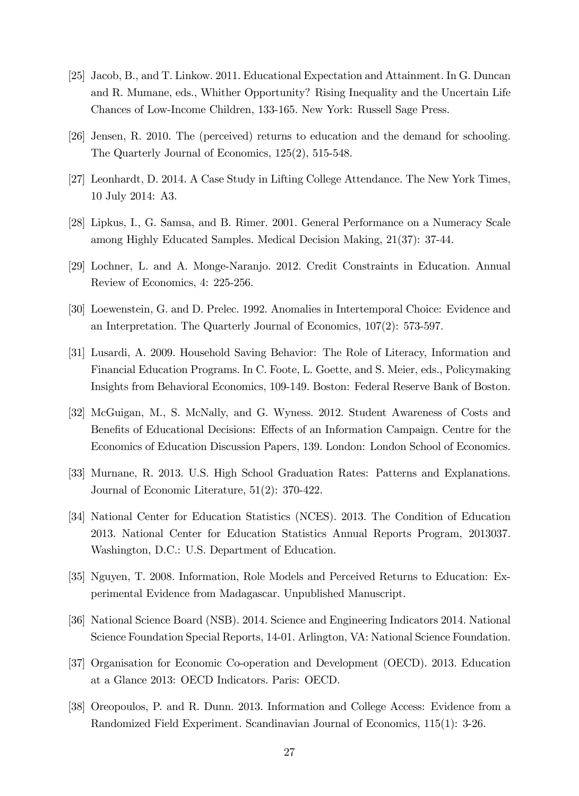- [25] Jacob, B., and T. Linkow. 2011. Educational Expectation and Attainment. In G. Duncan and R. Mumane, eds., Whither Opportunity? Rising Inequality and the Uncertain Life Chances of Low-Income Children, 133-165. New York: Russell Sage Press.
- [26] Jensen, R. 2010. The (perceived) returns to education and the demand for schooling. The Quarterly Journal of Economics, 125(2), 515-548.
- [27] Leonhardt, D. 2014. A Case Study in Lifting College Attendance. The New York Times, 10 July 2014: A3.
- [28] Lipkus, I., G. Samsa, and B. Rimer. 2001. General Performance on a Numeracy Scale among Highly Educated Samples. Medical Decision Making, 21(37): 37-44.
- [29] Lochner, L. and A. Monge-Naranjo. 2012. Credit Constraints in Education. Annual Review of Economics, 4: 225-256.
- [30] Loewenstein, G. and D. Prelec. 1992. Anomalies in Intertemporal Choice: Evidence and an Interpretation. The Quarterly Journal of Economics, 107(2): 573-597.
- [31] Lusardi, A. 2009. Household Saving Behavior: The Role of Literacy, Information and Financial Education Programs. In C. Foote, L. Goette, and S. Meier, eds., Policymaking Insights from Behavioral Economics, 109-149. Boston: Federal Reserve Bank of Boston.
- [32] McGuigan, M., S. McNally, and G. Wyness. 2012. Student Awareness of Costs and Benefits of Educational Decisions: Effects of an Information Campaign. Centre for the Economics of Education Discussion Papers, 139. London: London School of Economics.
- [33] Murnane, R. 2013. U.S. High School Graduation Rates: Patterns and Explanations. Journal of Economic Literature, 51(2): 370-422.
- [34] National Center for Education Statistics (NCES). 2013. The Condition of Education 2013. National Center for Education Statistics Annual Reports Program, 2013037. Washington, D.C.: U.S. Department of Education.
- [35] Nguyen, T. 2008. Information, Role Models and Perceived Returns to Education: Experimental Evidence from Madagascar. Unpublished Manuscript.
- [36] National Science Board (NSB). 2014. Science and Engineering Indicators 2014. National Science Foundation Special Reports, 14-01. Arlington, VA: National Science Foundation.
- [37] Organisation for Economic Co-operation and Development (OECD). 2013. Education at a Glance 2013: OECD Indicators. Paris: OECD.
- [38] Oreopoulos, P. and R. Dunn. 2013. Information and College Access: Evidence from a Randomized Field Experiment. Scandinavian Journal of Economics, 115(1): 3-26.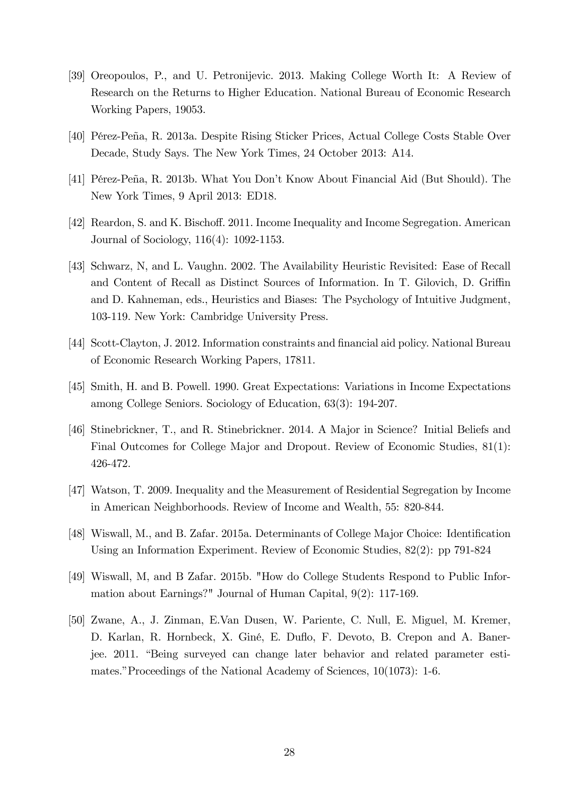- [39] Oreopoulos, P., and U. Petronijevic. 2013. Making College Worth It: A Review of Research on the Returns to Higher Education. National Bureau of Economic Research Working Papers, 19053.
- [40] PÈrez-PeÒa, R. 2013a. Despite Rising Sticker Prices, Actual College Costs Stable Over Decade, Study Says. The New York Times, 24 October 2013: A14.
- [41] Pérez-Peña, R. 2013b. What You Don't Know About Financial Aid (But Should). The New York Times, 9 April 2013: ED18.
- [42] Reardon, S. and K. Bischoff. 2011. Income Inequality and Income Segregation. American Journal of Sociology, 116(4): 1092-1153.
- [43] Schwarz, N, and L. Vaughn. 2002. The Availability Heuristic Revisited: Ease of Recall and Content of Recall as Distinct Sources of Information. In T. Gilovich, D. Griffin and D. Kahneman, eds., Heuristics and Biases: The Psychology of Intuitive Judgment, 103-119. New York: Cambridge University Press.
- [44] Scott-Clayton, J. 2012. Information constraints and financial aid policy. National Bureau of Economic Research Working Papers, 17811.
- [45] Smith, H. and B. Powell. 1990. Great Expectations: Variations in Income Expectations among College Seniors. Sociology of Education, 63(3): 194-207.
- [46] Stinebrickner, T., and R. Stinebrickner. 2014. A Major in Science? Initial Beliefs and Final Outcomes for College Major and Dropout. Review of Economic Studies, 81(1): 426-472.
- [47] Watson, T. 2009. Inequality and the Measurement of Residential Segregation by Income in American Neighborhoods. Review of Income and Wealth, 55: 820-844.
- [48] Wiswall, M., and B. Zafar. 2015a. Determinants of College Major Choice: Identification Using an Information Experiment. Review of Economic Studies, 82(2): pp 791-824
- [49] Wiswall, M, and B Zafar. 2015b. "How do College Students Respond to Public Information about Earnings?" Journal of Human Capital, 9(2): 117-169.
- [50] Zwane, A., J. Zinman, E.Van Dusen, W. Pariente, C. Null, E. Miguel, M. Kremer, D. Karlan, R. Hornbeck, X. Giné, E. Duflo, F. Devoto, B. Crepon and A. Banerjee. 2011. "Being surveyed can change later behavior and related parameter estimates." Proceedings of the National Academy of Sciences,  $10(1073)$ : 1-6.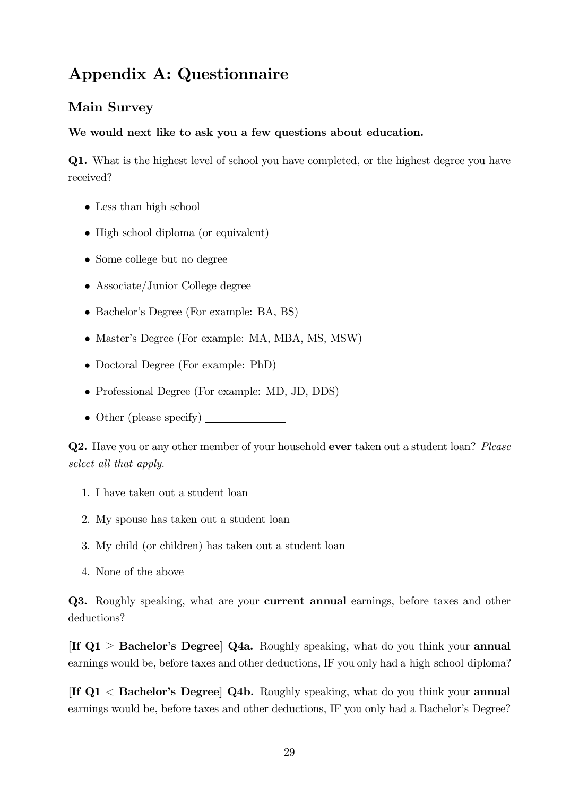### Appendix A: Questionnaire

#### Main Survey

#### We would next like to ask you a few questions about education.

Q1. What is the highest level of school you have completed, or the highest degree you have received?

- Less than high school
- High school diploma (or equivalent)
- Some college but no degree
- Associate/Junior College degree
- Bachelor's Degree (For example: BA, BS)
- Master's Degree (For example: MA, MBA, MS, MSW)
- Doctoral Degree (For example: PhD)
- Professional Degree (For example: MD, JD, DDS)
- Other (please specify) \_\_\_\_\_\_

Q2. Have you or any other member of your household ever taken out a student loan? Please select all that apply.

- 1. I have taken out a student loan
- 2. My spouse has taken out a student loan
- 3. My child (or children) has taken out a student loan
- 4. None of the above

Q3. Roughly speaking, what are your current annual earnings, before taxes and other deductions?

**If Q1 > Bachelor's Degree**  $\overline{Q4a}$ . Roughly speaking, what do you think your annual earnings would be, before taxes and other deductions, IF you only had a high school diploma?

[If Q1 < Bachelorís Degree] Q4b. Roughly speaking, what do you think your annual earnings would be, before taxes and other deductions, IF you only had a Bachelor's Degree?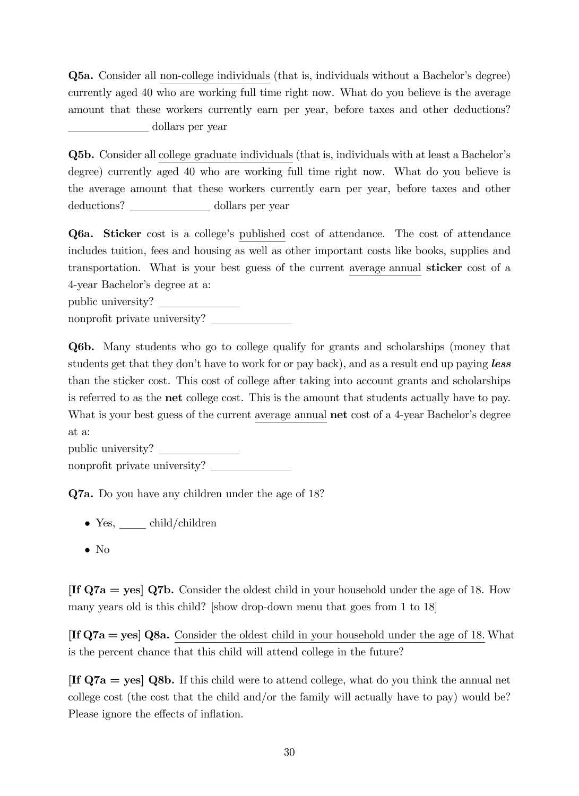Q5a. Consider all non-college individuals (that is, individuals without a Bachelor's degree) currently aged 40 who are working full time right now. What do you believe is the average amount that these workers currently earn per year, before taxes and other deductions? dollars per year

Q5b. Consider all college graduate individuals (that is, individuals with at least a Bachelor's degree) currently aged 40 who are working full time right now. What do you believe is the average amount that these workers currently earn per year, before taxes and other deductions? dollars per year

Q6a. Sticker cost is a college's published cost of attendance. The cost of attendance includes tuition, fees and housing as well as other important costs like books, supplies and transportation. What is your best guess of the current average annual sticker cost of a 4-year Bachelor's degree at a:

public university?

nonprofit private university?

Q6b. Many students who go to college qualify for grants and scholarships (money that students get that they don't have to work for or pay back), and as a result end up paying less than the sticker cost. This cost of college after taking into account grants and scholarships is referred to as the net college cost. This is the amount that students actually have to pay. What is your best guess of the current average annual net cost of a 4-year Bachelor's degree at a:

public university?

nonprofit private university?

Q7a. Do you have any children under the age of 18?

- $\bullet$  Yes,  $\_\_\_$ children
- No

**If**  $Q7a = yes$  **Q7b.** Consider the oldest child in your household under the age of 18. How many years old is this child? [show drop-down menu that goes from 1 to 18]

[If Q7a = yes] Q8a. Consider the oldest child in your household under the age of 18. What is the percent chance that this child will attend college in the future?

[If Q7a = yes] Q8b. If this child were to attend college, what do you think the annual net college cost (the cost that the child and/or the family will actually have to pay) would be? Please ignore the effects of inflation.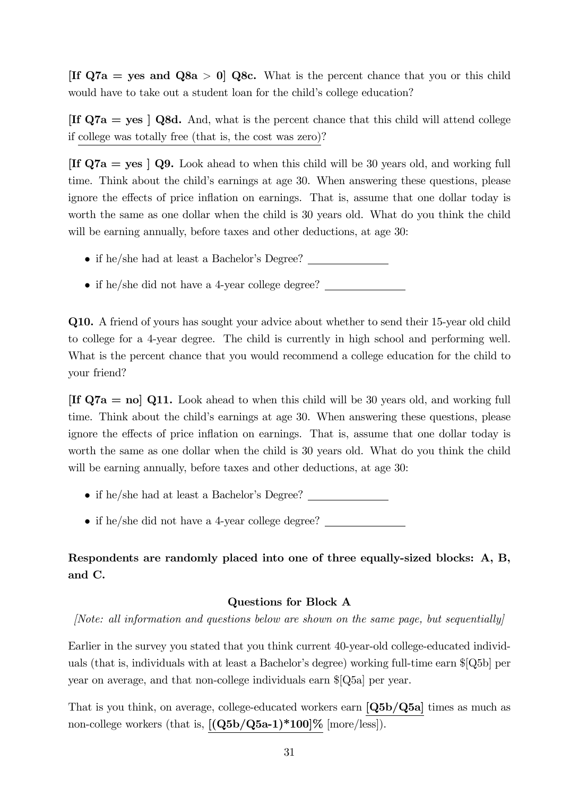**If Q7a = yes and Q8a > 0 Q8c.** What is the percent chance that you or this child would have to take out a student loan for the child's college education?

**If Q7a = yes Q8d.** And, what is the percent chance that this child will attend college if college was totally free (that is, the cost was zero)?

**If**  $Q7a = yes \mid Q9$ **.** Look ahead to when this child will be 30 years old, and working full time. Think about the child's earnings at age 30. When answering these questions, please ignore the effects of price inflation on earnings. That is, assume that one dollar today is worth the same as one dollar when the child is 30 years old. What do you think the child will be earning annually, before taxes and other deductions, at age 30:

- if he/she had at least a Bachelor's Degree?
- if he/she did not have a 4-year college degree?

Q10. A friend of yours has sought your advice about whether to send their 15-year old child to college for a 4-year degree. The child is currently in high school and performing well. What is the percent chance that you would recommend a college education for the child to your friend?

**If Q7a = no** Q11. Look ahead to when this child will be 30 years old, and working full time. Think about the child's earnings at age 30. When answering these questions, please ignore the effects of price inflation on earnings. That is, assume that one dollar today is worth the same as one dollar when the child is 30 years old. What do you think the child will be earning annually, before taxes and other deductions, at age 30:

- if he/she had at least a Bachelor's Degree?
- if he/she did not have a 4-year college degree?

#### Respondents are randomly placed into one of three equally-sized blocks: A, B, and C.

#### Questions for Block A

[Note: all information and questions below are shown on the same page, but sequentially]

Earlier in the survey you stated that you think current 40-year-old college-educated individuals (that is, individuals with at least a Bachelor's degree) working full-time earn  $\mathcal{S}[Q5b]$  per year on average, and that non-college individuals earn \$[Q5a] per year.

That is you think, on average, college-educated workers earn [Q5b/Q5a] times as much as non-college workers (that is,  $[(Q5b/Q5a-1)*100]\%$  [more/less]).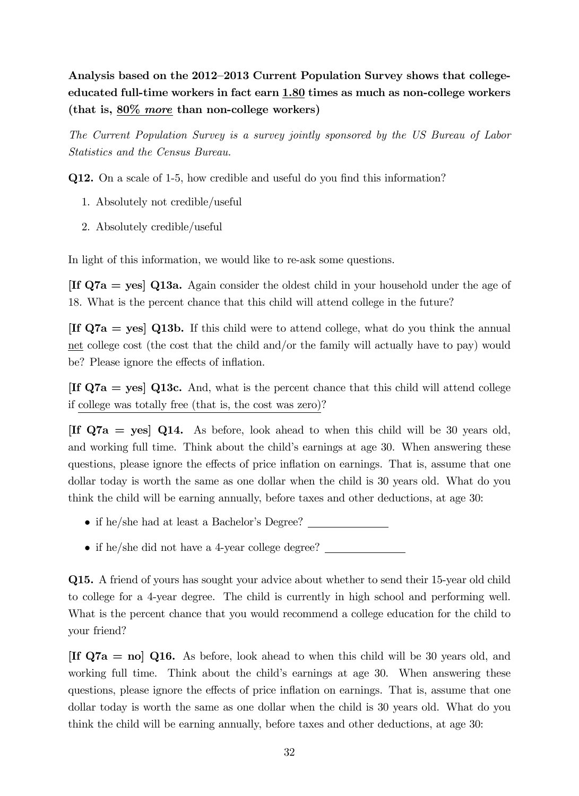Analysis based on the 2012–2013 Current Population Survey shows that collegeeducated full-time workers in fact earn 1.80 times as much as non-college workers (that is, 80% more than non-college workers)

The Current Population Survey is a survey jointly sponsored by the US Bureau of Labor Statistics and the Census Bureau.

Q12. On a scale of 1-5, how credible and useful do you find this information?

- 1. Absolutely not credible/useful
- 2. Absolutely credible/useful

In light of this information, we would like to re-ask some questions.

**If Q7a = yes** Q13a. Again consider the oldest child in your household under the age of 18. What is the percent chance that this child will attend college in the future?

**If Q7a = yes** Q13b. If this child were to attend college, what do you think the annual net college cost (the cost that the child and/or the family will actually have to pay) would be? Please ignore the effects of inflation.

**If Q7a = yes** Q13c. And, what is the percent chance that this child will attend college if college was totally free (that is, the cost was zero)?

[If  $Q7a = yes$ ]  $Q14$ . As before, look ahead to when this child will be 30 years old, and working full time. Think about the child's earnings at age 30. When answering these questions, please ignore the effects of price inflation on earnings. That is, assume that one dollar today is worth the same as one dollar when the child is 30 years old. What do you think the child will be earning annually, before taxes and other deductions, at age 30:

- if he/she had at least a Bachelor's Degree?
- if he/she did not have a 4-year college degree?

Q15. A friend of yours has sought your advice about whether to send their 15-year old child to college for a 4-year degree. The child is currently in high school and performing well. What is the percent chance that you would recommend a college education for the child to your friend?

[If Q7a = no] Q16. As before, look ahead to when this child will be 30 years old, and working full time. Think about the child's earnings at age 30. When answering these questions, please ignore the effects of price inflation on earnings. That is, assume that one dollar today is worth the same as one dollar when the child is 30 years old. What do you think the child will be earning annually, before taxes and other deductions, at age 30: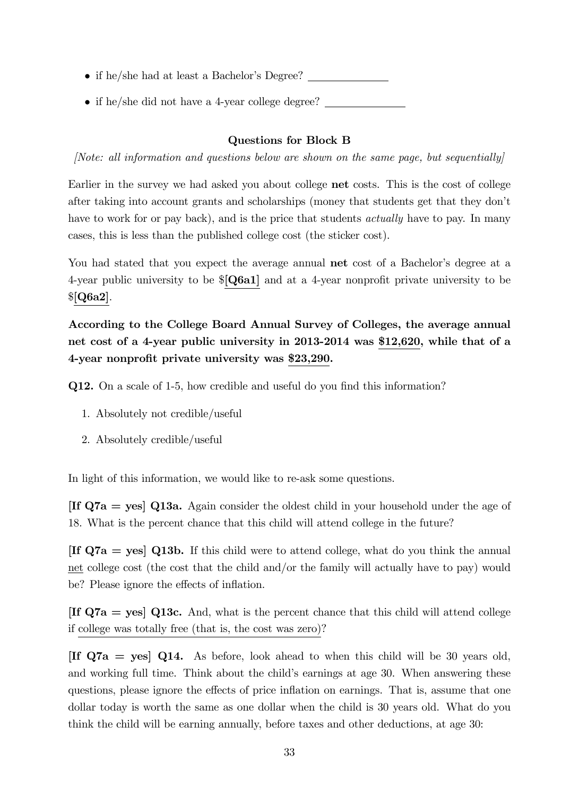- if he/she had at least a Bachelor's Degree?
- if he/she did not have a 4-year college degree?

#### Questions for Block B

[Note: all information and questions below are shown on the same page, but sequentially]

Earlier in the survey we had asked you about college net costs. This is the cost of college after taking into account grants and scholarships (money that students get that they donít have to work for or pay back), and is the price that students *actually* have to pay. In many cases, this is less than the published college cost (the sticker cost).

You had stated that you expect the average annual net cost of a Bachelor's degree at a 4-year public university to be  $\Omega$ 6a1 and at a 4-year nonprofit private university to be  $$[Q6a2]$ .

According to the College Board Annual Survey of Colleges, the average annual net cost of a 4-year public university in 2013-2014 was \$12,620, while that of a 4-year nonprofit private university was \$23,290.

Q12. On a scale of 1-5, how credible and useful do you find this information?

- 1. Absolutely not credible/useful
- 2. Absolutely credible/useful

In light of this information, we would like to re-ask some questions.

**If Q7a = yes** Q13a. Again consider the oldest child in your household under the age of 18. What is the percent chance that this child will attend college in the future?

**If Q7a = yes** Q13b. If this child were to attend college, what do you think the annual net college cost (the cost that the child and/or the family will actually have to pay) would be? Please ignore the effects of inflation.

**If Q7a = yes** Q13c. And, what is the percent chance that this child will attend college if college was totally free (that is, the cost was zero)?

**If**  $Q7a = yes$   $Q14$ . As before, look ahead to when this child will be 30 years old, and working full time. Think about the child's earnings at age 30. When answering these questions, please ignore the effects of price inflation on earnings. That is, assume that one dollar today is worth the same as one dollar when the child is 30 years old. What do you think the child will be earning annually, before taxes and other deductions, at age 30: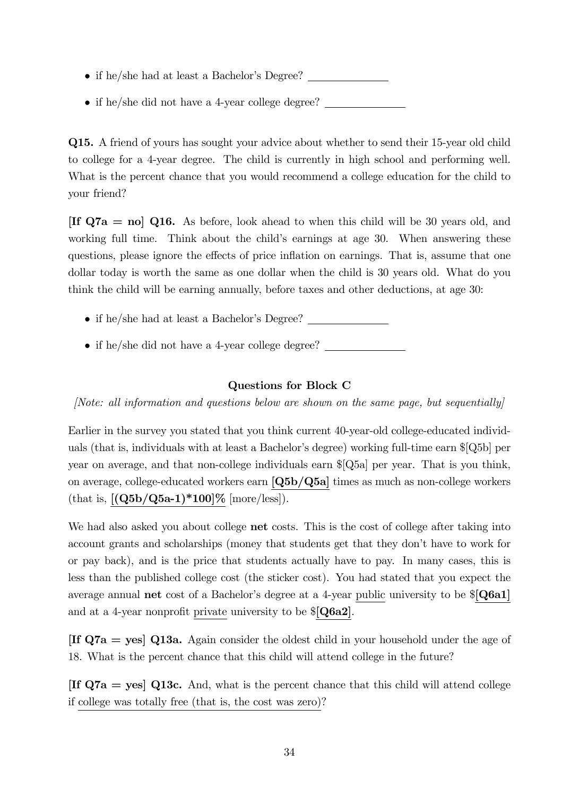- if he/she had at least a Bachelor's Degree?
- if he/she did not have a 4-year college degree?

Q15. A friend of yours has sought your advice about whether to send their 15-year old child to college for a 4-year degree. The child is currently in high school and performing well. What is the percent chance that you would recommend a college education for the child to your friend?

[If Q7a = no] Q16. As before, look ahead to when this child will be 30 years old, and working full time. Think about the child's earnings at age 30. When answering these questions, please ignore the effects of price inflation on earnings. That is, assume that one dollar today is worth the same as one dollar when the child is 30 years old. What do you think the child will be earning annually, before taxes and other deductions, at age 30:

- if he/she had at least a Bachelor's Degree?
- if he/she did not have a 4-year college degree?

#### Questions for Block C

[Note: all information and questions below are shown on the same page, but sequentially]

Earlier in the survey you stated that you think current 40-year-old college-educated individuals (that is, individuals with at least a Bachelor's degree) working full-time earn  $\mathcal{S}[Q_5b]$  per year on average, and that non-college individuals earn \$[Q5a] per year. That is you think, on average, college-educated workers earn [Q5b/Q5a] times as much as non-college workers (that is,  $[({\bf Q5b}/{\bf Q5a-1})*100]\%$  [more/less]).

We had also asked you about college net costs. This is the cost of college after taking into account grants and scholarships (money that students get that they don't have to work for or pay back), and is the price that students actually have to pay. In many cases, this is less than the published college cost (the sticker cost). You had stated that you expect the average annual net cost of a Bachelor's degree at a 4-year public university to be  $\Omega$ 6a1 and at a 4-year nonprofit private university to be  $\Omega$ **6a2**.

**If Q7a = yes** Q13a. Again consider the oldest child in your household under the age of 18. What is the percent chance that this child will attend college in the future?

**If Q7a = yes** Q13c. And, what is the percent chance that this child will attend college if college was totally free (that is, the cost was zero)?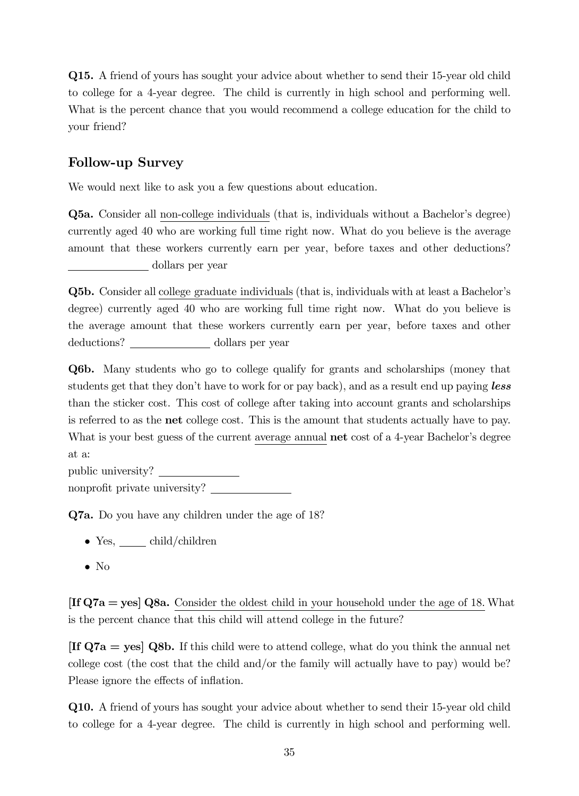Q15. A friend of yours has sought your advice about whether to send their 15-year old child to college for a 4-year degree. The child is currently in high school and performing well. What is the percent chance that you would recommend a college education for the child to your friend?

#### Follow-up Survey

We would next like to ask you a few questions about education.

Q5a. Consider all non-college individuals (that is, individuals without a Bachelor's degree) currently aged 40 who are working full time right now. What do you believe is the average amount that these workers currently earn per year, before taxes and other deductions? dollars per year

Q5b. Consider all college graduate individuals (that is, individuals with at least a Bachelor's degree) currently aged 40 who are working full time right now. What do you believe is the average amount that these workers currently earn per year, before taxes and other deductions? dollars per year

Q6b. Many students who go to college qualify for grants and scholarships (money that students get that they don't have to work for or pay back), and as a result end up paying less than the sticker cost. This cost of college after taking into account grants and scholarships is referred to as the net college cost. This is the amount that students actually have to pay. What is your best guess of the current average annual net cost of a 4-year Bachelor's degree at a:

public university? nonprofit private university?  $\_\_$ 

Q7a. Do you have any children under the age of 18?

- Yes,  $\_\_$ child/children
- $\bullet$  No

[If Q7a = yes] Q8a. Consider the oldest child in your household under the age of 18. What is the percent chance that this child will attend college in the future?

[If Q7a = yes] Q8b. If this child were to attend college, what do you think the annual net college cost (the cost that the child and/or the family will actually have to pay) would be? Please ignore the effects of inflation.

Q10. A friend of yours has sought your advice about whether to send their 15-year old child to college for a 4-year degree. The child is currently in high school and performing well.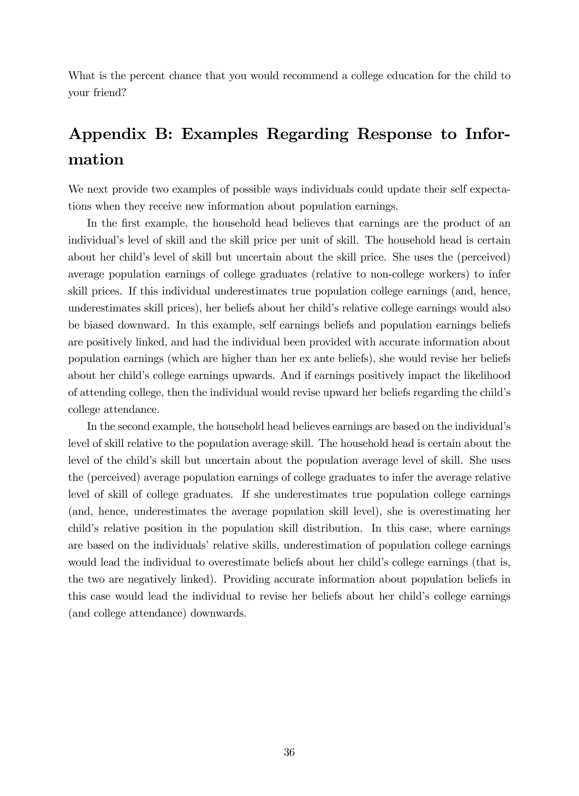What is the percent chance that you would recommend a college education for the child to your friend?

## Appendix B: Examples Regarding Response to Information

We next provide two examples of possible ways individuals could update their self expectations when they receive new information about population earnings.

In the first example, the household head believes that earnings are the product of an individual's level of skill and the skill price per unit of skill. The household head is certain about her child's level of skill but uncertain about the skill price. She uses the (perceived) average population earnings of college graduates (relative to non-college workers) to infer skill prices. If this individual underestimates true population college earnings (and, hence, underestimates skill prices), her beliefs about her child's relative college earnings would also be biased downward. In this example, self earnings beliefs and population earnings beliefs are positively linked, and had the individual been provided with accurate information about population earnings (which are higher than her ex ante beliefs), she would revise her beliefs about her child's college earnings upwards. And if earnings positively impact the likelihood of attending college, then the individual would revise upward her beliefs regarding the childís college attendance.

In the second example, the household head believes earnings are based on the individual's level of skill relative to the population average skill. The household head is certain about the level of the childís skill but uncertain about the population average level of skill. She uses the (perceived) average population earnings of college graduates to infer the average relative level of skill of college graduates. If she underestimates true population college earnings (and, hence, underestimates the average population skill level), she is overestimating her child's relative position in the population skill distribution. In this case, where earnings are based on the individuals' relative skills, underestimation of population college earnings would lead the individual to overestimate beliefs about her child's college earnings (that is, the two are negatively linked). Providing accurate information about population beliefs in this case would lead the individual to revise her beliefs about her child's college earnings (and college attendance) downwards.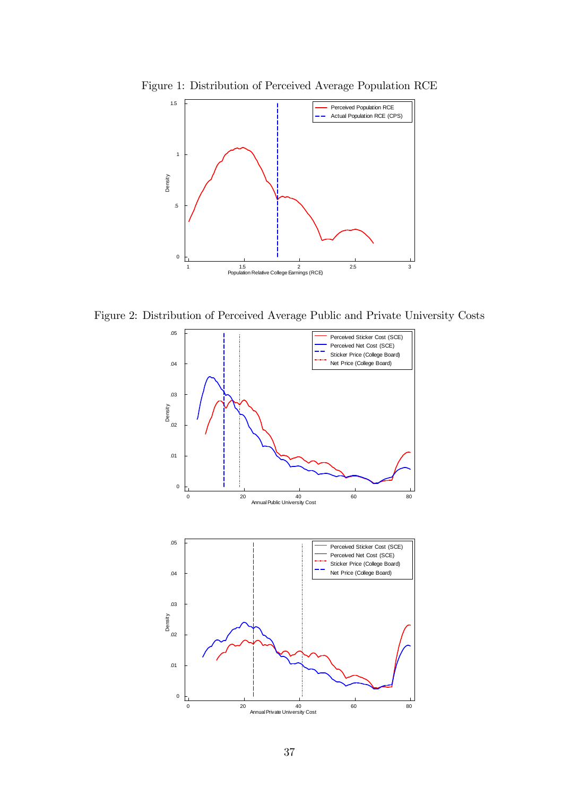Figure 1: Distribution of Perceived Average Population RCE



Figure 2: Distribution of Perceived Average Public and Private University Costs

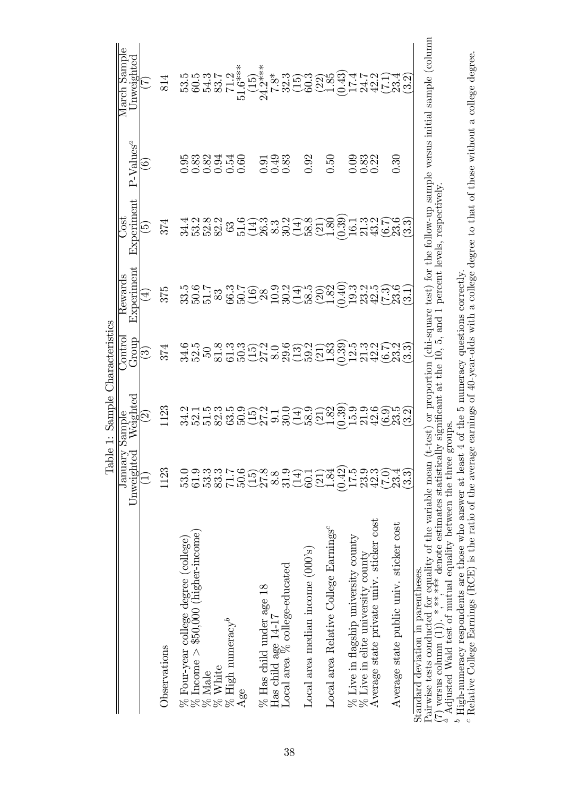|                                                                                                                                                                    |                                  | Table 1: Sample Characteristics     |                  |                       |                             |                     |                                                                          |
|--------------------------------------------------------------------------------------------------------------------------------------------------------------------|----------------------------------|-------------------------------------|------------------|-----------------------|-----------------------------|---------------------|--------------------------------------------------------------------------|
|                                                                                                                                                                    | January<br>weighted<br>Unweighte | Weightec<br>$\operatorname{Sample}$ | Jontro<br>Group  | Experiment<br>Rewards | Experiment<br>Jost          | $P\text{-Values}^a$ | March Sample<br>Jnweightec                                               |
|                                                                                                                                                                    |                                  | $\odot$                             | <u>ය</u>         | $\bigoplus$           | $\widehat{\mathbb{P}}$      | $\odot$             |                                                                          |
| Observations                                                                                                                                                       | 1123                             | 1123                                | 374              | 375                   | 374                         |                     | 814                                                                      |
| % Four-year college degree (college)                                                                                                                               | 53.0                             |                                     |                  |                       |                             |                     |                                                                          |
| $\%$ Income $> \$50,000$ (higher-income)                                                                                                                           |                                  |                                     |                  |                       |                             |                     |                                                                          |
| $\%$ Male                                                                                                                                                          | $61.3$<br>$53.3$                 |                                     | $3.5\frac{1}{2}$ |                       |                             | 5383476<br>0000000  |                                                                          |
| % White                                                                                                                                                            | 83.3                             |                                     |                  |                       |                             |                     |                                                                          |
| $\%$ High numeracy <sup>b</sup>                                                                                                                                    | $7.6$<br>7.17                    |                                     |                  |                       |                             |                     |                                                                          |
| Age                                                                                                                                                                |                                  |                                     |                  |                       |                             |                     |                                                                          |
|                                                                                                                                                                    |                                  |                                     |                  |                       |                             |                     |                                                                          |
| $\%$ Has child under age 18                                                                                                                                        | $\overbrace{27.8}^{(15)}$        |                                     |                  |                       |                             | $0.43$<br>$0.63$    |                                                                          |
| Has child age 14-17                                                                                                                                                | $8.8\,$                          |                                     |                  |                       |                             |                     |                                                                          |
| Local area $\%$ college-educated                                                                                                                                   | 31.9                             |                                     |                  |                       |                             |                     |                                                                          |
|                                                                                                                                                                    | $(14)$<br>$60.1$                 |                                     |                  |                       |                             |                     |                                                                          |
| Local area median income $(000's)$                                                                                                                                 |                                  |                                     |                  |                       |                             | 0.92                |                                                                          |
|                                                                                                                                                                    | (21)                             |                                     |                  |                       |                             |                     |                                                                          |
| Local area Relative College Earnings <sup>c</sup>                                                                                                                  | .84                              |                                     |                  |                       |                             | 0.50                |                                                                          |
|                                                                                                                                                                    | (0.42)                           |                                     |                  |                       |                             |                     |                                                                          |
| $%$ Live in flagship university county                                                                                                                             | 17.5                             |                                     |                  |                       |                             | 0.09                |                                                                          |
| $\%$ Live in elite university county                                                                                                                               | 23.9                             |                                     |                  |                       |                             |                     |                                                                          |
| Average state private univ. sticker cost                                                                                                                           | $42.3$                           |                                     |                  |                       |                             | 0.83                |                                                                          |
|                                                                                                                                                                    | $\binom{7.0}{23.4}$              | $\frac{0.9}{23.5}$                  | (6.7)            |                       |                             |                     |                                                                          |
| Average state public univ. sticker cost                                                                                                                            |                                  |                                     |                  |                       |                             | $0.\overline{3}0$   |                                                                          |
|                                                                                                                                                                    | (၁.၃                             | (3.2)                               |                  |                       |                             |                     |                                                                          |
| Pairwise tests conducted for equality of the variable mean $(7)$ versus column $(1)$ . * ** *** denote estimates statistical<br>Standard deviation in parentheses. |                                  | or proportion<br>t-test             |                  |                       |                             |                     | (chi-square test) for the follow-up sample versus initial sample (column |
|                                                                                                                                                                    |                                  | Iv significant at the 10            | 5. and           |                       | percent levels respectively |                     |                                                                          |

(7) versus column (1)). \*\*\*\*\* denote estimates statistically significant at the 10, 5, and 1 percent levels, respectively.

Adjusted Wald test of mutual equality between the three groups.

High-numeracy respondents are those who answer at least 4 of the 5 numeracy questions correctly.

abcRelative College Earnings (RCE) is the ratio of the average earnings of 40-year-olds with a college degree to that of those without a college degree.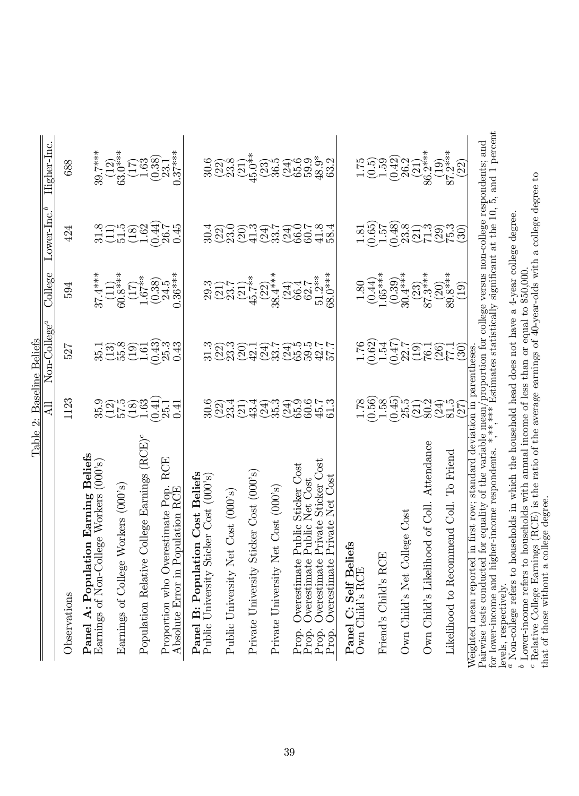|                                                                                                                                                                                                                         | All                              | $\rm Non\text{-}College^a$                                 | College                                                                                                                                                                                                             | م<br>Lower-Inc.                                                                                                                                                                                                                                                                                                             | Higher-Inc.                                                                                                                                                                                                                                                                                                                       |
|-------------------------------------------------------------------------------------------------------------------------------------------------------------------------------------------------------------------------|----------------------------------|------------------------------------------------------------|---------------------------------------------------------------------------------------------------------------------------------------------------------------------------------------------------------------------|-----------------------------------------------------------------------------------------------------------------------------------------------------------------------------------------------------------------------------------------------------------------------------------------------------------------------------|-----------------------------------------------------------------------------------------------------------------------------------------------------------------------------------------------------------------------------------------------------------------------------------------------------------------------------------|
| Observations                                                                                                                                                                                                            | 1123                             | 527                                                        | 594                                                                                                                                                                                                                 | 424                                                                                                                                                                                                                                                                                                                         | 688                                                                                                                                                                                                                                                                                                                               |
| Beliefs<br>(000's)<br>Earnings of Non-College Workers<br>Panel A: Population Earning                                                                                                                                    |                                  |                                                            |                                                                                                                                                                                                                     |                                                                                                                                                                                                                                                                                                                             |                                                                                                                                                                                                                                                                                                                                   |
| Earnings of College Workers (000's                                                                                                                                                                                      |                                  |                                                            |                                                                                                                                                                                                                     |                                                                                                                                                                                                                                                                                                                             |                                                                                                                                                                                                                                                                                                                                   |
| College Earnings (RCE)<br>Population Relative                                                                                                                                                                           |                                  |                                                            |                                                                                                                                                                                                                     |                                                                                                                                                                                                                                                                                                                             |                                                                                                                                                                                                                                                                                                                                   |
| RCE<br>estimate Pop.<br>Absolute Error in Population RCE<br>Proportion who Over                                                                                                                                         | 352)<br>CLS<br>CLS<br>CLON<br>CL | 35.3%<br>CBSO U 45.43<br>CBC U 45.43                       | $37.4***$<br>$(11)$<br>$60.8***$<br>$(17)$<br>$1.67**$<br>$1.67**$<br>$24.5$<br>$24.5$                                                                                                                              | 3125824755<br>C158244555                                                                                                                                                                                                                                                                                                    | $39.7***$<br>$(12)$<br>$(3.0***)$<br>$(17)$<br>$(163)$<br>$(0.38)$<br>$23.1$<br>$(0.38)$                                                                                                                                                                                                                                          |
| Panel B: Population Cost Beliefs<br>Public University Sticker Cost (000's)                                                                                                                                              |                                  |                                                            |                                                                                                                                                                                                                     |                                                                                                                                                                                                                                                                                                                             |                                                                                                                                                                                                                                                                                                                                   |
| Public University Net Cost (000's)                                                                                                                                                                                      |                                  |                                                            |                                                                                                                                                                                                                     |                                                                                                                                                                                                                                                                                                                             |                                                                                                                                                                                                                                                                                                                                   |
| Private University Sticker Cost (000's)                                                                                                                                                                                 |                                  |                                                            |                                                                                                                                                                                                                     |                                                                                                                                                                                                                                                                                                                             |                                                                                                                                                                                                                                                                                                                                   |
| Private University Net Cost (000's)                                                                                                                                                                                     |                                  |                                                            |                                                                                                                                                                                                                     |                                                                                                                                                                                                                                                                                                                             |                                                                                                                                                                                                                                                                                                                                   |
| Public Sticker Cost<br>Public Net Cost<br>Overestimate<br>Overestimate<br>Prop.<br>Prop.                                                                                                                                | 90234749399553<br>902394989995   | 32330145458455<br>32330438289315                           | $\begin{array}{l} 29.3 \\ 201 \\ 23.7 \\ 45.7 \\ \hline 49.4 \\ \hline 221 \\ 38.4 \\ \hline 39.4 \\ \hline 24.7 \\ \hline 39.4 \\ \hline 24.7 \\ \hline 39.12 \\ \hline 51.2 \\ \hline 51.2 \\ \hline \end{array}$ | 32300345495.84<br>32309475495.84                                                                                                                                                                                                                                                                                            | 903397*<br>80330539999539                                                                                                                                                                                                                                                                                                         |
| Private Sticker Cost<br>Private Net Cost<br>Overestimate<br>Overestimate<br>Prop.<br>Prop.                                                                                                                              |                                  |                                                            | $68.0***$                                                                                                                                                                                                           |                                                                                                                                                                                                                                                                                                                             |                                                                                                                                                                                                                                                                                                                                   |
| Panel C: Self Beliefs<br>Own Child's RCE                                                                                                                                                                                |                                  |                                                            |                                                                                                                                                                                                                     |                                                                                                                                                                                                                                                                                                                             |                                                                                                                                                                                                                                                                                                                                   |
| Friend's Child's RCE                                                                                                                                                                                                    |                                  |                                                            | $\begin{array}{c} 1.80 \\[-2pt] 0.44) \\[-2pt] 1.65^{***} \\[-2pt] 1.65^{***} \\[-2pt] 0.39) \\[-2pt] 30.4^{***} \\[-2pt] 87.3^{***} \\[-2pt] 87.3^{***} \\[-2pt] 89.8^{***} \end{array}$                           |                                                                                                                                                                                                                                                                                                                             |                                                                                                                                                                                                                                                                                                                                   |
| Cost<br>Own Child's Net College (                                                                                                                                                                                       |                                  |                                                            |                                                                                                                                                                                                                     |                                                                                                                                                                                                                                                                                                                             |                                                                                                                                                                                                                                                                                                                                   |
| $\Lambda t$ tendance<br>Own Child's Likelihood of Coll.                                                                                                                                                                 |                                  |                                                            |                                                                                                                                                                                                                     |                                                                                                                                                                                                                                                                                                                             |                                                                                                                                                                                                                                                                                                                                   |
| To Friend<br>Likelihood to Recommend Coll.                                                                                                                                                                              |                                  |                                                            | (19)                                                                                                                                                                                                                | $\begin{array}{l} 1.81 \\[-4pt] 1.64 \\[-4pt] 0.43 \\[-4pt] 0.48 \\[-4pt] 0.33 \\[-4pt] 0.73 \\[-4pt] 0.33 \\[-4pt] 0.33 \\[-4pt] 0.33 \\[-4pt] 0.33 \\[-4pt] 0.33 \\[-4pt] 0.33 \\[-4pt] 0.33 \\[-4pt] 0.33 \\[-4pt] 0.33 \\[-4pt] 0.33 \\[-4pt] 0.33 \\[-4pt] 0.33 \\[-4pt] 0.33 \\[-4pt] 0.33 \\[-4pt] 0.33 \\[-4pt] 0.$ | $\begin{array}{l} 1.75 \\ (0.5) \\ (0.42) \\ (0.42) \\ (0.42) \\ (0.21) \\ (0.21) \\ (0.21) \\ (0.21) \\ (0.21) \\ (0.22) \\ (0.22) \\ (0.21) \\ (0.22) \\ (0.22) \\ (0.21) \\ (0.22) \\ (0.22) \\ (0.23) \\ (0.23) \\ (0.24) \\ (0.25) \\ (0.25) \\ (0.27) \\ (0.27) \\ (0.28) \\ (0.29) \\ (0.29) \\ (0.21) \\ (0.21) \\ (0.21$ |
| in first row; standard deviation in parentheses<br>for equality of the variable mean,<br>for lower-income and higher-income respondents.<br>Pairwise tests conducted<br>Weighted mean reported<br>levels, respectively. |                                  | proportion for college versus non-college respondents; and |                                                                                                                                                                                                                     |                                                                                                                                                                                                                                                                                                                             | ******** Estimates statistically significant at the 10, 5, and 1 percent                                                                                                                                                                                                                                                          |

Table 2: Baseline Beliefs Table 2: Baseline Beliefs

abc

Non-college refers to households in which the household head does not have a 4-year college degree.

Lower-income refers to households with annual income of less than or equal to \$50,000.

Relative College Earnings (RCE) is the ratio of the average earnings of 40-year-olds with a college degree to that of those without a college degree.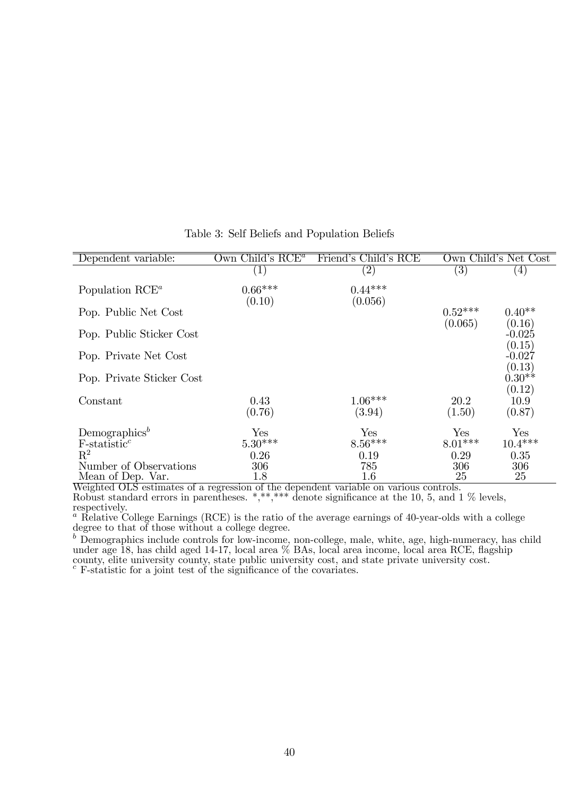| Dependent variable:                                      | Own Child's $RCE^a$ | Friend's Child's RCE              |                      | Own Child's Net Cost         |
|----------------------------------------------------------|---------------------|-----------------------------------|----------------------|------------------------------|
|                                                          | $\left(1\right)$    | $\left( 2\right)$                 | $\left( 3\right)$    | (4)                          |
| Population $RCE^a$                                       | $0.66***$<br>(0.10) | $0.44***$<br>(0.056)              |                      |                              |
| Pop. Public Net Cost                                     |                     |                                   | $0.52***$<br>(0.065) | $0.40**$<br>(0.16)           |
| Pop. Public Sticker Cost                                 |                     |                                   |                      | $-0.025$                     |
| Pop. Private Net Cost                                    |                     |                                   |                      | (0.15)<br>-0.027             |
| Pop. Private Sticker Cost                                |                     |                                   |                      | (0.13)<br>$0.30**$<br>(0.12) |
| Constant                                                 | 0.43<br>(0.76)      | $1.06***$<br>(3.94)               | 20.2<br>(1.50)       | 10.9<br>(0.87)               |
| Demographics <sup>b</sup><br>$F$ -statistic <sup>c</sup> | Yes<br>$5.30***$    | $\operatorname{Yes}$<br>$8.56***$ | Yes<br>$8.01***$     | Yes<br>$10.4***$             |
| $\mathrm{R}^2$                                           | 0.26                | 0.19                              | 0.29                 | 0.35                         |
| Number of Observations<br>Mean of Dep. Var.              | 306<br>1.8          | 785<br>$1.6\,$                    | 306<br>25            | 306<br>25                    |
| <del>117 : 1 : 1 : 1 : 1</del>                           | $\sim$ $\sim$       |                                   |                      |                              |

#### Table 3: Self Beliefs and Population Beliefs

Weighted OLS estimates of a regression of the dependent variable on various controls.

Robust standard errors in parentheses.  $*,**,**$  denote significance at the 10, 5, and 1 % levels, respectively.

<sup>a</sup> Relative College Earnings (RCE) is the ratio of the average earnings of 40-year-olds with a college degree to that of those without a college degree.

b Demographics include controls for low-income, non-college, male, white, age, high-numeracy, has child under age 18, has child aged 14-17, local area % BAs, local area income, local area RCE, flagship county, elite university county, state public university cost, and state private university cost.

 $c$  F-statistic for a joint test of the significance of the covariates.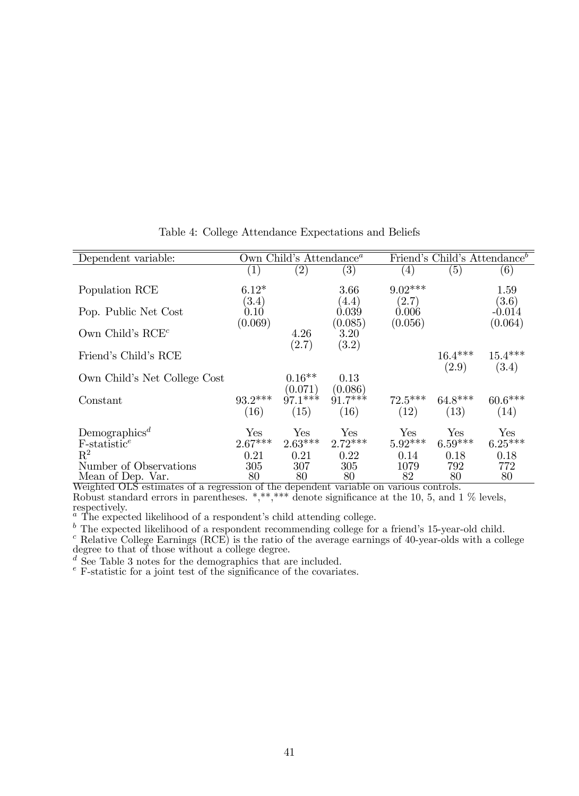| Dependent variable:                                 |                                   | Own Child's Attendance <sup><math>a</math></sup> |                              |                                   |                          | Friend's Child's Attendance <sup>b</sup> |
|-----------------------------------------------------|-----------------------------------|--------------------------------------------------|------------------------------|-----------------------------------|--------------------------|------------------------------------------|
|                                                     | (1)                               | $\left( 2\right)$                                | $\left( 3\right)$            | $\left(4\right)$                  | (5)                      | (6)                                      |
| Population RCE                                      | $6.12*$                           |                                                  | 3.66                         | $9.02***$                         |                          | 1.59                                     |
| Pop. Public Net Cost                                | (3.4)<br>$0.10\,$                 |                                                  | (4.4)<br>$0.039\,$           | (2.7)<br>0.006                    |                          | (3.6)<br>-0.014                          |
| Own Child's $RCEc$                                  | (0.069)                           | 4.26                                             | (0.085)<br>3.20              | (0.056)                           |                          | (0.064)                                  |
| Friend's Child's RCE                                |                                   | (2.7)                                            | (3.2)                        |                                   | $16.4***$                | $15.4***$                                |
| Own Child's Net College Cost                        |                                   | $0.16**$                                         | 0.13                         |                                   | (2.9)                    | (3.4)                                    |
| Constant                                            | $93.2***$<br>(16)                 | (0.071)<br>$97.1***$<br>(15)                     | (0.086)<br>$91.7***$<br>(16) | $72.5***$<br>(12)                 | $64.8***$<br>(13)        | $60.6***$<br>(14)                        |
| Demographics <sup>d</sup><br>$F\text{-statistic}^e$ | $\operatorname{Yes}$<br>$2.67***$ | $\operatorname{Yes}$<br>$2.63***$                | Yes<br>$2.72***$             | $\operatorname{Yes}$<br>$5.92***$ | ${\rm Yes}$<br>$6.59***$ | Yes<br>$6.25***$                         |
| $\mathbf{R}^2$<br>Number of Observations            | 0.21<br>305                       | 0.21<br>307                                      | 0.22<br>305                  | 0.14<br>1079                      | 0.18<br>792              | 0.18<br>772                              |
| Mean of Dep. Var.                                   | 80                                | 80                                               | 80                           | 82                                | 80                       | 80                                       |

Table 4: College Attendance Expectations and Beliefs

Weighted OLS estimates of a regression of the dependent variable on various controls. Robust standard errors in parentheses. \*,\*\*,\*\*\* denote significance at the 10, 5, and 1 % levels, respectively.

 $a$  The expected likelihood of a respondent's child attending college.

 $b$  The expected likelihood of a respondent recommending college for a friend's 15-year-old child.

<sup>c</sup> Relative College Earnings (RCE) is the ratio of the average earnings of 40-year-olds with a college degree to that of those without a college degree.

 $d$  See Table 3 notes for the demographics that are included.

 $e$  F-statistic for a joint test of the significance of the covariates.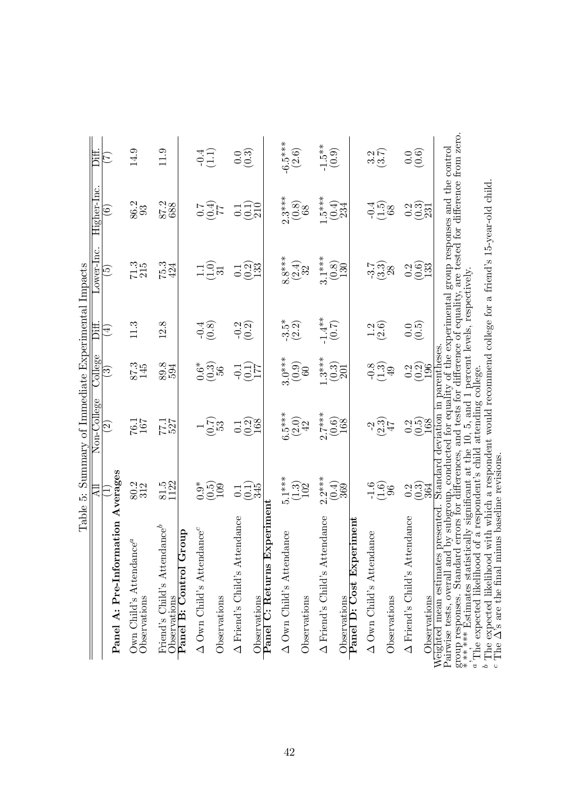| Table                                                                                                                                                                                                                                                                                             | is.                          | Summary of Immediate Experimental Impacts               |                              |                     |                                                   |                                                                            |                                                   |
|---------------------------------------------------------------------------------------------------------------------------------------------------------------------------------------------------------------------------------------------------------------------------------------------------|------------------------------|---------------------------------------------------------|------------------------------|---------------------|---------------------------------------------------|----------------------------------------------------------------------------|---------------------------------------------------|
|                                                                                                                                                                                                                                                                                                   |                              | Non-College                                             | College                      | Diff                | Lower-Inc                                         | Higher-Inc.                                                                | Diff                                              |
| Panel A: Pre-Information                                                                                                                                                                                                                                                                          | Averages                     | $\bigcirc$                                              | $\widetilde{\omega}$         | $\bigoplus$         | $\left( 5\right)$                                 | $\widehat{\odot}$                                                          | $\bigcirc$                                        |
| Own Child's Attendance <sup>a</sup><br>Observations                                                                                                                                                                                                                                               | 80.2                         | $\frac{76.1}{167}$                                      | $\frac{87.3}{145}$           | 11.3                | $71.3$<br>$215$                                   | $86.2$<br>$93$                                                             | 14.9                                              |
| $_{{\rm dance}}^b$<br>roup<br>Friend's Child's Atten<br>Panel B: Control G<br>Observations                                                                                                                                                                                                        | 81.5<br>1122                 | $77.1$<br>$527$                                         | 89.8                         | 12.8                | $75.3$<br>$424$                                   | 87.2                                                                       | 11.9                                              |
| $\Delta$ Own Child's Attendance <sup>c</sup><br>Observations                                                                                                                                                                                                                                      | $0.59$<br>$-1.09$            | $-\frac{1}{9}$ 33                                       | $\sum_{50}^{36}$             | $-0.8$ )            | $1.1$<br>$(1.0)$<br>$31$                          | $(\frac{1}{2})$<br>$(\frac{1}{2})$                                         | $-0.1$                                            |
| xperiment<br>endance<br>A Friend's Child's Att<br>Observations<br><b>Panel C: Returns E</b>                                                                                                                                                                                                       | 993                          | 995<br>198                                              | 777<br>101<br>101            | $-0.2$              | $\frac{1}{2}$ $\frac{1}{2}$ $\frac{3}{2}$         | $\begin{smallmatrix} 1 & 1 \\ 0 & 1 \\ 0 & 2 \end{smallmatrix}$            | $\frac{0.9}{0.3}$                                 |
| lance<br>$\Delta$ Own Child's Attend<br>Observations                                                                                                                                                                                                                                              | $5.1***$<br>$\frac{3}{102}$  | $6.5***$<br>$(2.0)$ $42$                                | $3.0***$<br>(0.9)            | $-3.5^{*}$<br>(2.2) | $\begin{array}{c} 8.8**\\ (2.4)\\ 32 \end{array}$ | $2.3***$<br>$\begin{pmatrix} 0.8 \\ 68 \end{pmatrix}$                      | $-6.5***$<br>(2.6)                                |
| endance<br>Panel D: Cost Experiment<br>$\Delta$ Friend's Child's Att<br>Observations                                                                                                                                                                                                              | $2.2***$<br>$\binom{4}{500}$ | $2.7***$<br>$\begin{pmatrix} 0.6 \\ -168 \end{pmatrix}$ | $1.3***$<br>$\binom{3}{201}$ | (0.7)               | $3.1***$<br>$\binom{0.8}{130}$                    | $1.5***$<br>(0.4)                                                          | $\begin{array}{c} -1.5^{**} \\ (0.9) \end{array}$ |
| $\Delta$ Own Child's Attendance<br>Observations                                                                                                                                                                                                                                                   | $7.66$<br>$-1.66$            | $2\over 2\over 37$                                      | 0.39                         | $\frac{1.2}{(2.6)}$ | 3,38                                              | $-0.59$<br>$-1.59$                                                         | $\frac{3.2}{3.7}$                                 |
| endance<br>$\Delta$ Friend's Child's Att<br>Observations                                                                                                                                                                                                                                          | ၁ <u>၁</u><br>၁ <u>၁</u> န   | 0.5<br>0.5<br>1                                         | <u>၁၃၅</u><br>၁ <u>၁</u> ၅   | $\frac{0.5}{0.5}$   | ၀ ၆ အ<br>၁၉ အ                                     | $\overset{0.2}{\underset{0.2}{\scriptstyle 0}}\overset{2}{\scriptstyle 0}$ | 0.6                                               |
| group responses. Standard errors for differences, and tests for difference of equality, are tested for difference from zero<br>Pairwise tests, overall and by subgroup, conducted for equality of the experimental group responses and the control<br>presented.<br>$\rm Weighted$ mean estimates |                              | Standard deviation in parentheses.                      |                              |                     |                                                   |                                                                            |                                                   |

\*\*\*\*\*\*\* Estimates statistically significant at the 10, 5, and 1 percent levels, respectively.

 $\alpha$ . The expected likelihood of a respondent's child attending college.

abcThe expected likelihood with which a respondent would recommend college for a friendís 15-year-old child.

 $\epsilon$  The  $\Delta$ 's are the final minus baseline revisions.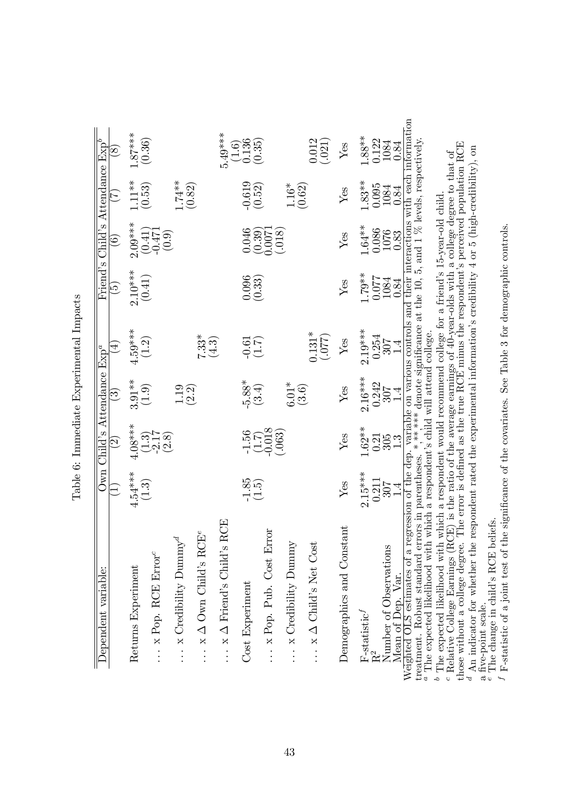| Dependent variable:                                                                                                                                                                                           | $\sum_{i=1}^{n}$                                                       |                           | Child's Attendance       | $\ensuremath{\text{Exp}}^a$                                                                                                                                         |                            | Friend's Child's Attendance                               |                             | $\mathrm{Exp}^b$                                        |
|---------------------------------------------------------------------------------------------------------------------------------------------------------------------------------------------------------------|------------------------------------------------------------------------|---------------------------|--------------------------|---------------------------------------------------------------------------------------------------------------------------------------------------------------------|----------------------------|-----------------------------------------------------------|-----------------------------|---------------------------------------------------------|
|                                                                                                                                                                                                               |                                                                        | $\widetilde{\mathcal{S}}$ | $\widetilde{\mathbb{C}}$ | $\overline{4}$                                                                                                                                                      | $\widetilde{\mathfrak{S}}$ | $\widehat{\odot}$                                         |                             | $\infty$                                                |
| Returns Experiment                                                                                                                                                                                            | $4.54***$                                                              | $4.08***$                 | $3.91**$<br>(1.9)        | $4.59***$<br>(1.2)                                                                                                                                                  | $2.10***$<br>(0.41)        |                                                           | $1.11**$<br>(0.53)          | $1.87***$<br>(0.36)                                     |
| $\ldots$ x Pop. RCE Error <sup>c</sup>                                                                                                                                                                        | (1.3)                                                                  | $\frac{13}{218}$          |                          |                                                                                                                                                                     |                            | $2.09***$<br>(0.41)<br>(0.471)<br>(0.9)                   |                             |                                                         |
| $\ldots$ x Credibility Dummy <sup>d</sup>                                                                                                                                                                     |                                                                        |                           | $1.19$<br>$(2.2)$        |                                                                                                                                                                     |                            |                                                           | $1.74***$                   |                                                         |
| $\ldots$ x $\Delta$ Own Child's RCE <sup>e</sup>                                                                                                                                                              |                                                                        |                           |                          | $7.33*$                                                                                                                                                             |                            |                                                           | (0.82)                      |                                                         |
| RCE<br>$\dots$ x $\Delta$ Friend's Child's 1                                                                                                                                                                  |                                                                        |                           |                          | (4.3)                                                                                                                                                               |                            |                                                           |                             | 5.49****                                                |
| Cost Experiment                                                                                                                                                                                               | $\frac{-1.85}{(1.5)}$                                                  |                           | $5.88*$<br>(3.4)         | $\frac{1}{(1.7)}$                                                                                                                                                   | $(0.096)$<br>$(0.33)$      | 0.046                                                     | $-0.619$<br>$(0.52)$        | $\begin{array}{c} (1.6) \\ 0.136 \\ (0.35) \end{array}$ |
| $\ldots$ x Pop. Pub. Cost Error                                                                                                                                                                               |                                                                        | $\frac{1.56}{(1.7)}$      |                          |                                                                                                                                                                     |                            | $\begin{array}{c} (0.39) \\ 0.0071 \\ (.018) \end{array}$ |                             |                                                         |
| $\ldots$ x Credibility Dummy                                                                                                                                                                                  |                                                                        | (.063)                    | $6.01*$<br>(3.6)         |                                                                                                                                                                     |                            |                                                           | $1.16*$                     |                                                         |
| $\ldots$ x $\Delta$ Child's Net Cost                                                                                                                                                                          |                                                                        |                           |                          | $0.131*$<br>(770)                                                                                                                                                   |                            |                                                           | (0.62)                      | 0.012<br>(.021)                                         |
| Demographics and Constant                                                                                                                                                                                     | Yes                                                                    | Yes                       | Yes                      | Yes                                                                                                                                                                 | Yes                        | Yes                                                       | Yes                         | Yes                                                     |
| $F-statisticf$                                                                                                                                                                                                | $2.15***$                                                              | $1.62**$                  | $2.16***$                | $2.19***$                                                                                                                                                           | $1.79***$                  | $1.64***$                                                 | $1.83**$                    | $1.88**$                                                |
| Number of Observations                                                                                                                                                                                        | $\frac{0.211}{307}$                                                    | $\frac{0.21}{305}$        | $\frac{0.242}{307}$      | $\frac{0.254}{307}$                                                                                                                                                 | 1084<br>0.84               | 0.086<br>1076<br>0.83                                     | $\frac{1095}{1084}$<br>0.84 | 1084<br>0.84                                            |
| Mean of Dep. Var. $\frac{1.4}{1.4}$ $\frac{1}{1.4}$ $\frac{1}{1.4}$<br>treatment. Robust standard ern<br>$^a$ The expected likelihood with                                                                    | which a respondent's child will attend college<br>rors in parentheses. |                           |                          | variable on various controls and their interactions with each information<br>* * * * denote significance at the 10, 5, and 1 $%$ levels, respectively               |                            |                                                           |                             |                                                         |
| Relative College Earnings (RCE) is the ratio of the average earnings of 40-year-olds with a college degree to that of<br>$\ensuremath{^b}$<br>The expected likelihood with<br>those without a college degree. |                                                                        |                           |                          | The error is defined as the true RCE minus the respondent's perceived population RCE<br>which a respondent would recommend college for a friend's 15-year-old child |                            |                                                           |                             |                                                         |
| An indicator for whether the<br>a five-point scale.                                                                                                                                                           |                                                                        |                           |                          | respondent rated the experimental information's credibility $4 \text{ or } 5$ (high-credibility), on                                                                |                            |                                                           |                             |                                                         |

Table 6: Immediate Experimental Impacts Table 6: Immediate Experimental Impacts

 $\alpha$ abc $\alpha$ abcha  $\alpha$ 

 $\epsilon$  The change in child's RCE beliefs.

I F-statistic of a joint test of the significance of the covariates. See Table 3 for demographic controls.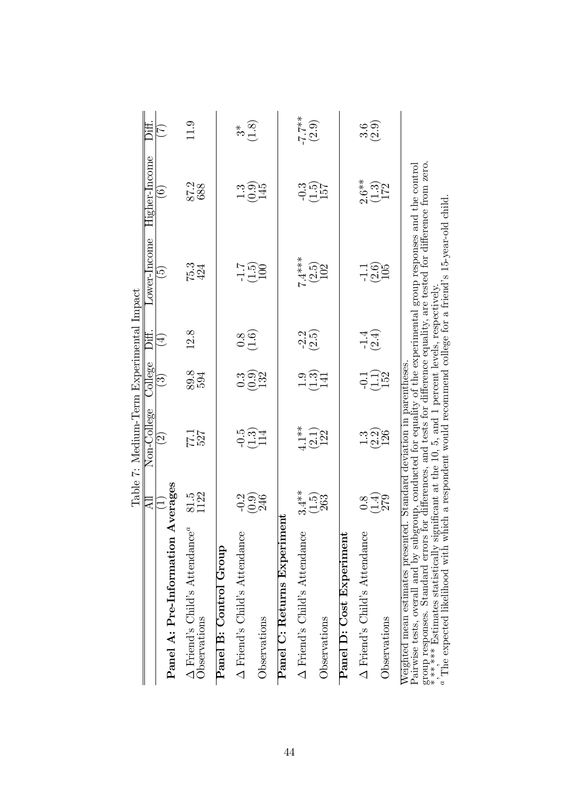|                                                                                                                                                                                                                                                                                                                                                                                                                                                                                                          |                            | Table 7: Medium-Term Experimental Impact             |                            |                   |                                      |                          |                       |
|----------------------------------------------------------------------------------------------------------------------------------------------------------------------------------------------------------------------------------------------------------------------------------------------------------------------------------------------------------------------------------------------------------------------------------------------------------------------------------------------------------|----------------------------|------------------------------------------------------|----------------------------|-------------------|--------------------------------------|--------------------------|-----------------------|
|                                                                                                                                                                                                                                                                                                                                                                                                                                                                                                          |                            | Non-College                                          | College                    | Diff.             | Lower-Income                         | Higher-Income            | Diff.                 |
| Panel A: Pre-Information A                                                                                                                                                                                                                                                                                                                                                                                                                                                                               | verages                    | $\widehat{\mathfrak{D}}$                             | $\widehat{\mathfrak{D}}$   | $(\pm)$           | $\widetilde{\mathbf{5}}$             | $\widehat{\mathfrak{S}}$ | $\widehat{\subseteq}$ |
| $\Delta$ Friend's Child's Attendance <sup>®</sup><br>Observations                                                                                                                                                                                                                                                                                                                                                                                                                                        | 81.5<br>1122               | 77.1<br>527                                          | 89.8                       | 12.8              | 75.3<br>424                          | 87.2                     | 11.9                  |
| Panel B: Control Group                                                                                                                                                                                                                                                                                                                                                                                                                                                                                   |                            |                                                      |                            |                   |                                      |                          |                       |
| $\Delta$ Friend's Child's Attendance                                                                                                                                                                                                                                                                                                                                                                                                                                                                     |                            |                                                      |                            | $0.8$<br>(1.6)    |                                      |                          | $3^{*}$<br>(1.8)      |
| Observations                                                                                                                                                                                                                                                                                                                                                                                                                                                                                             | <u>၁၁၅</u><br>၁ <u>၁</u> ၃ | 15<br>0.3)<br>114                                    | ၁ <u>၀၅၃</u><br>၁၉၅၁       |                   | $\frac{1.7}{1.5}$<br>$\frac{1.5}{1}$ | 1015<br>1015             |                       |
| Panel C: Returns Experime                                                                                                                                                                                                                                                                                                                                                                                                                                                                                | 'nt                        |                                                      |                            |                   |                                      |                          |                       |
| $\Delta$ Friend's Child's Attendance                                                                                                                                                                                                                                                                                                                                                                                                                                                                     |                            |                                                      |                            | $-2.5$<br>$(2.5)$ |                                      |                          | $-7.7$ **<br>(2.9)    |
| Observations                                                                                                                                                                                                                                                                                                                                                                                                                                                                                             | $3.4**$<br>(1.5)<br>263    | $\begin{array}{c} 4.1** \\ (2.1) \\ 122 \end{array}$ | .<br>- 31<br>- 31          |                   | $7.4**$<br>$(2.5)$<br>$102$          | $\frac{157}{157}$        |                       |
| Panel D: Cost Experiment                                                                                                                                                                                                                                                                                                                                                                                                                                                                                 |                            |                                                      |                            |                   |                                      |                          |                       |
| $\Delta$ Friend's Child's Attendance                                                                                                                                                                                                                                                                                                                                                                                                                                                                     |                            |                                                      |                            | $-1.4$<br>(2.4)   |                                      |                          | 3.6)<br>3.9)          |
| Observations                                                                                                                                                                                                                                                                                                                                                                                                                                                                                             | 879<br>0.H9                | $130$<br>$-0.26$                                     | $-0.1$<br>$(1.1)$<br>$152$ |                   | $-1.69$                              | $2.6**$<br>(1.3)<br>172  |                       |
| group responses. Standard errors for differences, and tests for difference equality, are tested for difference from zero.<br>*,**,*** Estimates statistically significant at the 10, 5, and 1 percent levels, respectively.<br>Pairwise tests, overall and by subgroup, conducted for equality of the experimental group responses and the control<br>$a'$ The expected likelihood with which a respondent would recommend college for a friend's 15-year-old child<br>Weighted mean estimates presented |                            | 1. Standard deviation in parentheses.                |                            |                   |                                      |                          |                       |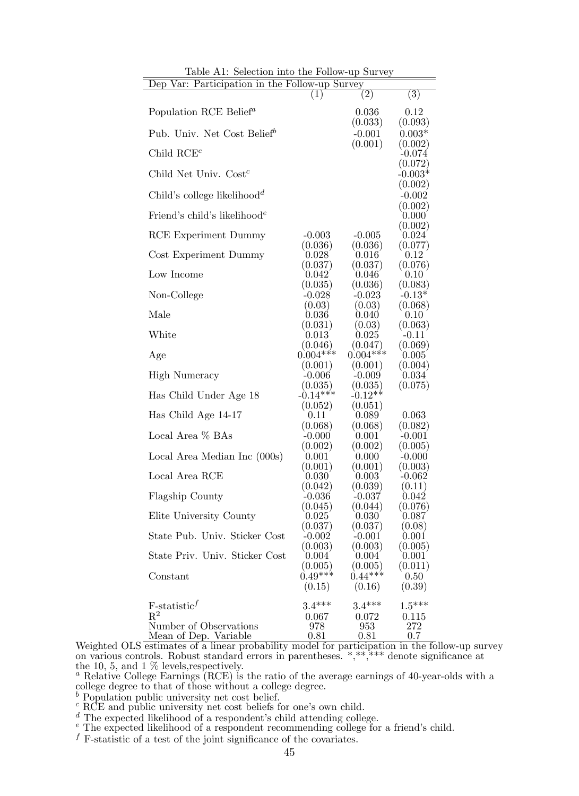| Lable T.I. Detection mo the Follow-up burvey<br>Dep Var: Participation in the Follow-up Survey |                  |                       |                    |
|------------------------------------------------------------------------------------------------|------------------|-----------------------|--------------------|
|                                                                                                | (1)              | $\overline{(2)}$      | $\overline{(3)}$   |
|                                                                                                |                  |                       |                    |
| Population RCE Belief <sup>a</sup>                                                             |                  | 0.036                 | 0.12               |
|                                                                                                |                  | (0.033)               | (0.093)            |
| Pub. Univ. Net Cost Belief <sup>b</sup>                                                        |                  | $-0.001$              | $0.003*$           |
|                                                                                                |                  | (0.001)               | (0.002)            |
| Child $RCEc$                                                                                   |                  |                       | $-0.074$           |
|                                                                                                |                  |                       | (0.072)            |
| Child Net Univ. Cost <sup>c</sup>                                                              |                  |                       | $-0.003*$          |
|                                                                                                |                  |                       | (0.002)            |
| Child's college likelihood <sup>d</sup>                                                        |                  |                       | $-0.002$           |
|                                                                                                |                  |                       | (0.002)            |
| Friend's child's likelihood <sup>e</sup>                                                       |                  |                       | 0.000              |
|                                                                                                |                  |                       | (0.002)            |
| RCE Experiment Dummy                                                                           | $-0.003$         | $-0.005$              | 0.024              |
|                                                                                                | (0.036)          | (0.036)               | (0.077)            |
| Cost Experiment Dummy                                                                          | 0.028            | 0.016                 | 0.12               |
|                                                                                                | (0.037)          | (0.037)               | (0.076)            |
| Low Income                                                                                     | 0.042            | 0.046                 | 0.10               |
|                                                                                                | (0.035)          | (0.036)               | (0.083)            |
| Non-College                                                                                    | $-0.028$         | $-0.023$              | $-0.13*$           |
|                                                                                                | (0.03)           | (0.03)                | (0.068)            |
| Male                                                                                           | 0.036            | 0.040                 | 0.10               |
| White                                                                                          | (0.031)<br>0.013 | (0.03)                | (0.063)            |
|                                                                                                | (0.046)          | 0.025                 | $-0.11$<br>(0.069) |
|                                                                                                | $0.004***$       | (0.047)<br>$0.004***$ | 0.005              |
| Age                                                                                            | (0.001)          | (0.001)               | (0.004)            |
| <b>High Numeracy</b>                                                                           | $-0.006$         | $-0.009$              | 0.034              |
|                                                                                                | (0.035)          | (0.035)               | (0.075)            |
| Has Child Under Age 18                                                                         | $-0.14***$       | $-0.12**$             |                    |
|                                                                                                | (0.052)          | (0.051)               |                    |
| Has Child Age 14-17                                                                            | 0.11             | 0.089                 | 0.063              |
|                                                                                                | (0.068)          | (0.068)               | (0.082)            |
| Local Area % BAs                                                                               | $-0.000$         | 0.001                 | $-0.001$           |
|                                                                                                | (0.002)          | (0.002)               | (0.005)            |
| Local Area Median Inc $(000s)$                                                                 | 0.001            | 0.000                 | $-0.000$           |
|                                                                                                | (0.001)          | (0.001)               | (0.003)            |
| Local Area RCE                                                                                 | $0.030\,$        | 0.003                 | -0.062             |
|                                                                                                | (0.042)          | (0.039)               | (0.11)             |
| Flagship County                                                                                | $-0.036$         | $-0.037$              | 0.042              |
|                                                                                                | (0.045)          | (0.044)               | (0.076)            |
| Elite University County                                                                        | 0.025            | 0.030                 | 0.087              |
|                                                                                                | (0.037)          | (0.037)               | (0.08)             |
| State Pub. Univ. Sticker Cost                                                                  | $-0.002$         | $-0.001$              | 0.001              |
|                                                                                                | (0.003)          | (0.003)               | (0.005)            |
| State Priv. Univ. Sticker Cost                                                                 | 0.004            | 0.004                 | 0.001              |
|                                                                                                | (0.005)          | (0.005)               | (0.011)            |
| Constant                                                                                       | $0.49***$        | $0.44***$             | 0.50               |
|                                                                                                | (0.15)           | (0.16)                | (0.39)             |
| $F\text{-statistic}^f$                                                                         | $3.4***$         | $3.4***$              | $1.5***$           |
| $\mathrm{R}^2$                                                                                 | 0.067            | 0.072                 | 0.115              |
| Number of Observations                                                                         | 978              | 953                   | 272                |
| Mean of Dep. Variable                                                                          | 0.81             | 0.81                  | 0.7                |

Table A1: Selection into the Follow-up Survey

Weighted OLS estimates of a linear probability model for participation in the follow-up survey on various controls. Robust standard errors in parentheses. \*,\*\*,\*\*\* denote significance at the 10, 5, and 1  $\%$  levels, respectively.

<sup>a</sup> Relative College Earnings (RCE) is the ratio of the average earnings of 40-year-olds with a college degree to that of those without a college degree.

 $<sup>b</sup>$  Population public university net cost belief.</sup>

 $c$  RCE and public university net cost beliefs for one's own child.

 $d$  The expected likelihood of a respondent's child attending college.

 $e^e$  The expected likelihood of a respondent recommending college for a friend's child.

 $f$  F-statistic of a test of the joint significance of the covariates.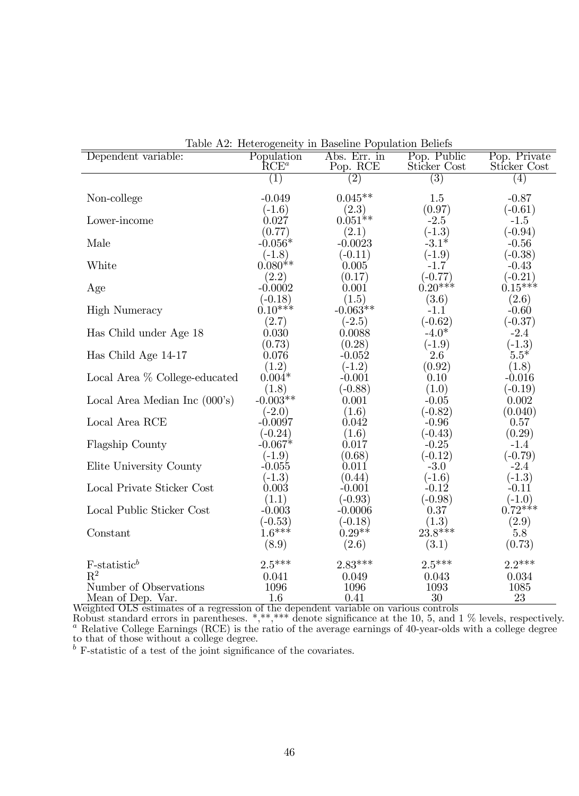|                                 |                       | Table 112. Here of cherry in Daschile I optimion Deficits |                             |                              |
|---------------------------------|-----------------------|-----------------------------------------------------------|-----------------------------|------------------------------|
| Dependent variable:             | Population<br>$RCE^a$ | Abs. Err. in<br>Pop. RCE                                  | Pop. Public<br>Sticker Cost | Pop. Private<br>Sticker Cost |
|                                 | $\left( 1\right)$     | $\left( 2\right)$                                         | $\overline{(3)}$            | $\left( 4\right)$            |
| Non-college                     | $-0.049$              | $0.045**$                                                 | 1.5                         | $-0.87$                      |
|                                 | $(-1.6)$              | (2.3)                                                     | (0.97)                      | $(-0.61)$                    |
| Lower-income                    | 0.027                 | $0.051**$                                                 | $-2.5$                      | $-1.5$                       |
|                                 | (0.77)                | (2.1)                                                     | $(-1.3)$                    | $(-0.94)$                    |
| Male                            | $-0.056*$             | $-0.0023$                                                 | $-3.1*$                     | $-0.56$                      |
|                                 | $(-1.8)$              | $(-0.11)$                                                 | $(-1.9)$                    | $(-0.38)$                    |
| White                           | $0.080**$             | 0.005                                                     | $-1.7$                      | $-0.43$                      |
|                                 | (2.2)                 | (0.17)                                                    | $(-0.77)$                   | $(-0.21)$                    |
| Age                             | $-0.0002$             | 0.001                                                     | $0.20***$                   | $0.15***$                    |
|                                 | $(-0.18)$             | (1.5)                                                     | (3.6)                       | (2.6)                        |
| <b>High Numeracy</b>            | $0.10***$             | $-0.063**$                                                | $-1.1$                      | $-0.60$                      |
|                                 | (2.7)                 | $(-2.5)$                                                  | $(-0.62)$                   | $(-0.37)$                    |
| Has Child under Age 18          | 0.030                 | 0.0088                                                    | $-4.0*$                     | $-2.4$                       |
|                                 | (0.73)                | (0.28)                                                    | $(-1.9)$                    | $(-1.3)$                     |
| Has Child Age 14-17             | 0.076                 | $-0.052$                                                  | $2.6\,$                     | $5.5*$                       |
|                                 | (1.2)                 | $(-1.2)$                                                  | (0.92)                      | (1.8)                        |
| Local Area % College-educated   | $0.004*$              | $-0.001$                                                  | 0.10                        | $-0.016$                     |
|                                 | (1.8)                 | $(-0.88)$                                                 | (1.0)                       | $(-0.19)$                    |
| Local Area Median Inc $(000's)$ | $-0.003**$            | 0.001                                                     | $-0.05$                     | 0.002                        |
|                                 | $(-2.0)$              | (1.6)                                                     | $(-0.82)$                   | (0.040)                      |
| Local Area RCE                  | -0.0097               | 0.042                                                     | $-0.96$                     | 0.57                         |
|                                 | $(-0.24)$             | (1.6)                                                     | $(-0.43)$                   | (0.29)                       |
| Flagship County                 | $-0.067*$             | 0.017                                                     | $-0.25$                     | $-1.4$                       |
|                                 | $(-1.9)$              | (0.68)                                                    | $(-0.12)$                   | $(-0.79)$                    |
| Elite University County         | $-0.055$              | 0.011                                                     | $-3.0$                      | $-2.4$                       |
|                                 | $(-1.3)$              | (0.44)                                                    | $(-1.6)$                    | $(-1.3)$                     |
| Local Private Sticker Cost      | 0.003                 | $-0.001$                                                  | $-0.12$                     | $-0.11$                      |
|                                 | (1.1)                 | $(-0.93)$                                                 | $(-0.98)$                   | $(-1.0)$                     |
| Local Public Sticker Cost       | $-0.003$              | $-0.0006$                                                 | 0.37                        | $0.72***$                    |
|                                 | $(-0.53)$             | $(-0.18)$                                                 | (1.3)                       | (2.9)                        |
| Constant                        | $1.6***$              | $0.29**$                                                  | $23.8***$                   | 5.8                          |
|                                 | (8.9)                 | (2.6)                                                     | (3.1)                       | (0.73)                       |
| $F$ -statistic <sup>b</sup>     | $2.5***$              | $2.83***$                                                 | $2.5***$                    | $2.2***$                     |
| $R^2$                           | 0.041                 | 0.049                                                     | 0.043                       | 0.034                        |
| Number of Observations          | 1096                  | 1096                                                      | 1093                        | 1085                         |
| Mean of Dep. Var.               | 1.6                   | 0.41                                                      | 30                          | 23                           |

Table A2: Heterogeneity in Baseline Population Beliefs

Weighted OLS estimates of a regression of the dependent variable on various controls

Robust standard errors in parentheses. \*,\*\*,\*\*\* denote significance at the 10, 5, and 1 % levels, respectively. <sup>a</sup> Relative College Earnings (RCE) is the ratio of the average earnings of 40-year-olds with a college degree to that of those without a college degree.

 $b$  F-statistic of a test of the joint significance of the covariates.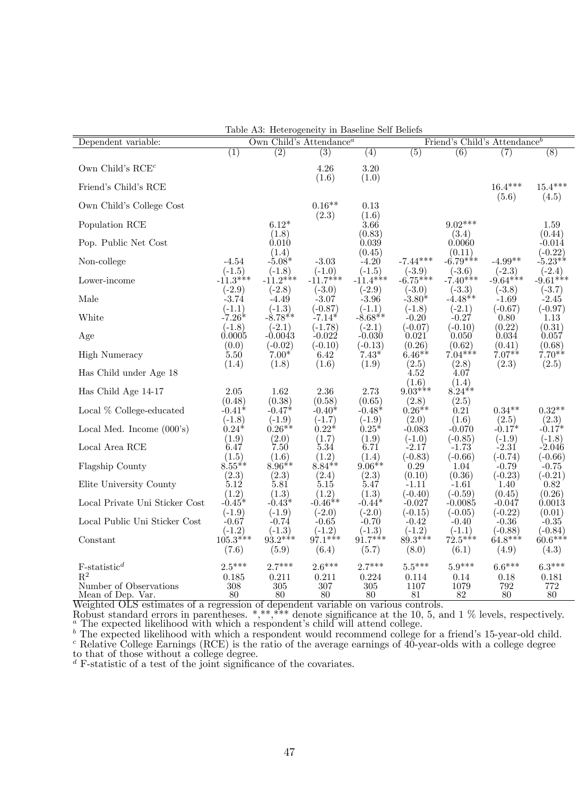|                                |                    |                                     |                   | Table A3: Heterogeneity in Baseline Self Beliefs |                    |                    |                                          |                       |
|--------------------------------|--------------------|-------------------------------------|-------------------|--------------------------------------------------|--------------------|--------------------|------------------------------------------|-----------------------|
| Dependent variable:            |                    | Own Child's Attendance <sup>a</sup> |                   |                                                  |                    |                    | Friend's Child's Attendance <sup>b</sup> |                       |
|                                | $\overline{(1)}$   | $\overline{(2)}$                    | $\overline{(3)}$  | $\overline{(4)}$                                 | $\overline{(5)}$   | $\overline{(6)}$   | (7)                                      | (8)                   |
| Own Child's $RCEc$             |                    |                                     | 4.26<br>(1.6)     | 3.20<br>(1.0)                                    |                    |                    |                                          |                       |
| Friend's Child's RCE           |                    |                                     |                   |                                                  |                    |                    | $16.4***$<br>(5.6)                       | $15.4***$<br>(4.5)    |
| Own Child's College Cost       |                    |                                     | $0.16**$<br>(2.3) | 0.13<br>(1.6)                                    |                    |                    |                                          |                       |
| Population RCE                 |                    | $6.12*$<br>(1.8)                    |                   | $3.66\,$<br>(0.83)                               |                    | $9.02***$<br>(3.4) |                                          | 1.59<br>(0.44)        |
| Pop. Public Net Cost           |                    | 0.010<br>(1.4)                      |                   | 0.039<br>(0.45)                                  |                    | 0.0060<br>(0.11)   |                                          | $-0.014$<br>$(-0.22)$ |
| Non-college                    | $-4.54$            | $-5.08*$                            | $-3.03$           | $-4.20$                                          | $-7.44***$         | $-6.79***$         | $\textbf{-4.99}^{\textbf{\texttt{**}}}$  | $-5.23**$             |
|                                | $(-1.5)$           | $(-1.8)$                            | $(-1.0)$          | $(-1.5)$                                         | $(-3.9)$           | $(-3.6)$           | $(-2.3)$                                 | $(-2.4)$              |
| Lower-income                   | $-11.3***$         | $-11.2***$                          | $-11.7***$        | $-11.4***$                                       | $-6.75***$         | $-7.40***$         | $-9.64***$                               | $-9.61***$            |
|                                | $(-2.9)$           | $(-2.8)$                            | $(-3.0)$          | $(-2.9)$                                         | $(-3.0)$           | $(-3.3)$           | $(-3.8)$                                 | $(-3.7)$              |
| Male                           | $-3.74$            | $-4.49$                             | $-3.07$           | $-3.96$                                          | $-3.80*$           | $-4.48**$          | $-1.69$                                  | $-2.45$               |
|                                | $(-1.1)$           | $(-1.3)$                            | $(-0.87)$         | $(-1.1)$                                         | $(-1.8)$           | $(-2.1)$           | $(-0.67)$                                | $(-0.97)$             |
| White                          | $-7.26*$           | $-8.78**$                           | $-7.14*$          | $-8.68**$                                        | $-0.20$            | $-0.27$            | 0.80                                     | 1.13                  |
|                                | $(-1.8)$           | $(-2.1)$                            | $(-1.78)$         | $(-2.1)$                                         | $(-0.07)$          | $(-0.10)$          | (0.22)                                   | (0.31)                |
| Age                            | 0.0005             | -0.0043                             | $-0.022$          | $-0.030$                                         | 0.021              | 0.050              | 0.034                                    | 0.057                 |
|                                | (0.0)              | $(-0.02)$                           | $(-0.10)$         | $(-0.13)$                                        | (0.26)             | (0.62)             | (0.41)                                   | (0.68)                |
| <b>High Numeracy</b>           | 5.50               | $7.00*$                             | 6.42              | $7.43*$                                          | $6.46**$           | $7.04***$          | $7.07**$                                 | $7.70**$              |
|                                | (1.4)              | (1.8)                               | (1.6)             | (1.9)                                            | (2.5)              | (2.8)              | (2.3)                                    | (2.5)                 |
| Has Child under Age 18         |                    |                                     |                   |                                                  | 4.52<br>(1.6)      | 4.07<br>(1.4)      |                                          |                       |
| Has Child Age 14-17            | $2.05\,$<br>(0.48) | 1.62<br>(0.38)                      | 2.36<br>(0.58)    | 2.73<br>(0.65)                                   | $9.03***$<br>(2.8) | $8.24**$<br>(2.5)  |                                          |                       |
| Local % College-educated       | $-0.41*$           | $-0.47*$                            | $-0.40*$          | $-0.48*$                                         | $0.26**$           | 0.21               | $0.34**$                                 | $0.32**$              |
|                                | $(-1.8)$           | $(-1.9)$                            | $(-1.7)$          | $(-1.9)$                                         | (2.0)              | (1.6)              | (2.5)                                    | (2.3)                 |
| Local Med. Income $(000's)$    | $0.24*$            | $0.26**$                            | $0.22*$           | $0.25*$                                          | $-0.083$           | $-0.070$           | $-0.17*$                                 | $-0.17*$              |
|                                | (1.9)              | (2.0)                               | (1.7)             | (1.9)                                            | $(-1.0)$           | $(-0.85)$          | $(-1.9)$                                 | $(-1.8)$              |
| Local Area RCE                 | 6.47               | 7.50                                | 5.34              | 6.71                                             | $-2.17$            | $-1.73$            | $-2.31$                                  | $-2.046$              |
|                                | (1.5)              | (1.6)                               | (1.2)             | (1.4)                                            | $(-0.83)$          | $(-0.66)$          | $(-0.74)$                                | $(-0.66)$             |
| Flagship County                | $8.55**$           | $8.96**$                            | $8.84**$          | $9.06**$                                         | $0.29\,$           | 1.04               | $-0.79$                                  | $-0.75$               |
|                                | (2.3)              | (2.3)                               | (2.4)             | (2.3)                                            | (0.10)             | (0.36)             | $(-0.23)$                                | $(-0.21)$             |
| Elite University County        | 5.12               | 5.81                                | $5.15\,$          | 5.47                                             | $-1.11$            | $-1.61$            | 1.40                                     | 0.82                  |
|                                | (1.2)              | (1.3)                               | (1.2)             | (1.3)                                            | $(-0.40)$          | $(-0.59)$          | (0.45)                                   | (0.26)                |
| Local Private Uni Sticker Cost | $-0.45*$           | $-0.43*$                            | $-0.46**$         | $-0.44*$                                         | $-0.027$           | $-0.0085$          | $-0.047$                                 | 0.0013                |
|                                | $(-1.9)$           | $(-1.9)$                            | $(-2.0)$          | $(-2.0)$                                         | $(-0.15)$          | $(-0.05)$          | $(-0.22)$                                | (0.01)                |
| Local Public Uni Sticker Cost  | $-0.67$            | $-0.74$                             | $-0.65$           | $-0.70$                                          | -0.42              | $-0.40^{\circ}$    | $-0.36$                                  | $-0.35$               |
|                                | $(-1.2)$           | $(-1.3)$                            | $(-1.2)$          | $(-1.3)$                                         | $(-1.2)$           | $(-1.1)$           | $(-0.88)$                                | $(-0.84)$             |
| Constant                       | $105.3***$         | $93.2***$                           | $97.1***$         | $91.7***$                                        | $89.3***$          | $72.5***$          | $64.8***$                                | $60.6***$             |
|                                | (7.6)              | (5.9)                               | (6.4)             | (5.7)                                            | (8.0)              | (6.1)              | (4.9)                                    | (4.3)                 |
| $F\text{-statistic}^d$         | $2.5***$           | $2.7***$                            | $2.6***$          | $2.7***$                                         | $5.5***$           | $5.9***$           | $6.6***$                                 | $6.3***$              |
| $\mathbf{R}^2$                 | 0.185              | 0.211                               | 0.211             | 0.224                                            | 0.114              | 0.14               | 0.18                                     | 0.181                 |
| Number of Observations         | 308                | 305                                 | 307               | 305                                              | 1107               | 1079               | 792                                      |                       |
| Mean of Dep. Var.              | 80                 | 80                                  | 80                | 80                                               | 81                 | $82\,$             | 80                                       | 772<br>80             |

Table A3: Heterogeneity in Baseline Self Beliefs

Weighted OLS estimates of a regression of dependent variable on various controls.

Robust standard errors in parentheses. \*,\*\*,\*\*\* denote significance at the 10, 5, and 1 % levels, respectively.  $\alpha$  The expected likelihood with which a respondent's child will attend college.

 $b$  The expected likelihood with which a respondent would recommend college for a friend's 15-year-old child.

<sup>c</sup> Relative College Earnings (RCE) is the ratio of the average earnings of  $40$ -year-olds with a college degree to that of those without a college degree.

 $d$  F-statistic of a test of the joint significance of the covariates.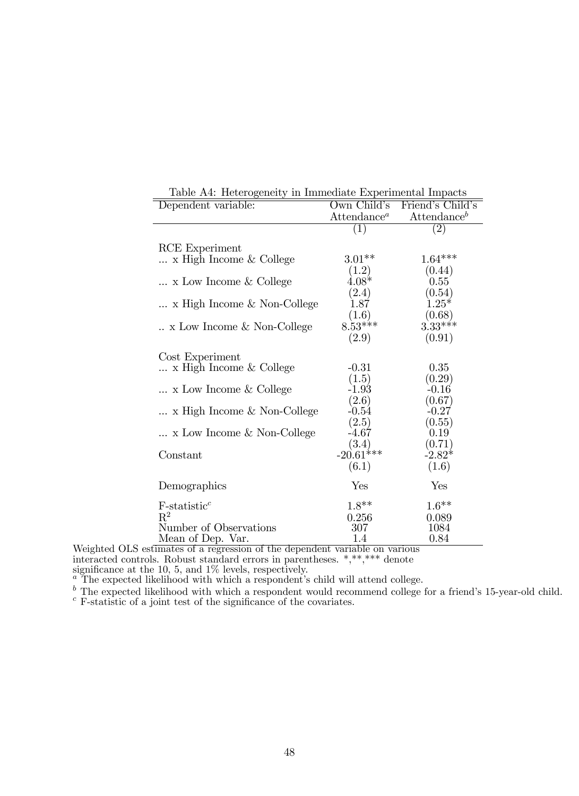| Table A4. Heterogenery in Immediate Experimental Impacts |                     |                       |
|----------------------------------------------------------|---------------------|-----------------------|
| Dependent variable:                                      | Own Child's         | Friend's Child's      |
|                                                          | $\rm Attendance^a$  | $\text{Attendance}^b$ |
|                                                          | (1)                 | (2)                   |
| <b>RCE</b> Experiment                                    |                     |                       |
| x High Income & College                                  | $3.01**$            | $1.64***$             |
|                                                          | (1.2)               | (0.44)                |
| $\ldots$ x Low Income & College                          | $4.08*$             | 0.55                  |
|                                                          | $\left( 2.4\right)$ | (0.54)                |
| x High Income & Non-College                              | 1.87                | $1.25^*$              |
|                                                          | (1.6)               | (0.68)                |
| $\ldots$ x Low Income & Non-College                      | $8.53***$           | $3.33***$             |
|                                                          | (2.9)               | (0.91)                |
| Cost Experiment                                          |                     |                       |
| x High Income & College                                  | $-0.31$             | 0.35                  |
|                                                          | (1.5)               | (0.29)                |
| $\ldots$ x Low Income & College                          | $-1.93$             | $-0.16$               |
|                                                          | $\left( 2.6\right)$ | (0.67)                |
| $\ldots$ x High Income & Non-College                     | -0.54               | $-0.27$               |
|                                                          | (2.5)               | (0.55)                |
| $\ldots$ x Low Income & Non-College                      | -4.67               | 0.19                  |
|                                                          | (3.4)               | (0.71)                |
| Constant                                                 | $-20.61***$         | $-2.82*$              |
|                                                          | (6.1)               | (1.6)                 |
| Demographics                                             | Yes                 | Yes                   |
| $F$ -statistic <sup>c</sup>                              | $1.8**$             | $1.6**$               |
| $\mathrm{R}^2$                                           | 0.256               | 0.089                 |
| Number of Observations                                   | 307                 | 1084                  |
| Mean of Dep. Var.                                        | 1.4                 | 0.84                  |

Table A4: Heterogeneity in Immediate Experimental Impacts

Weighted OLS estimates of a regression of the dependent variable on various

interacted controls. Robust standard errors in parentheses. \*,\*\*,\*\*\* denote

significance at the 10, 5, and  $1\%$  levels, respectively.

 $a$  The expected likelihood with which a respondent's child will attend college.

 $b$  The expected likelihood with which a respondent would recommend college for a friend's 15-year-old child.  $c$  F-statistic of a joint test of the significance of the covariates.